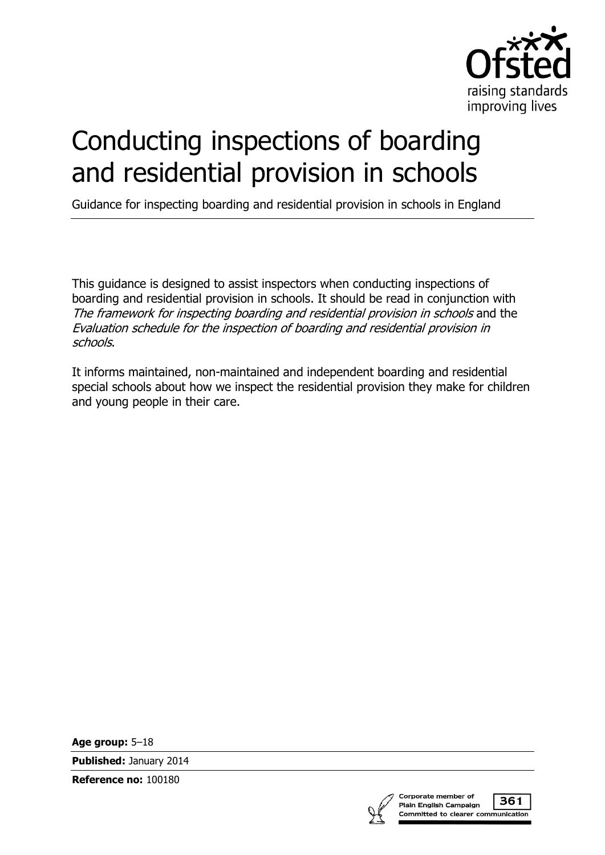

# Conducting inspections of boarding and residential provision in schools

Guidance for inspecting boarding and residential provision in schools in England

This guidance is designed to assist inspectors when conducting inspections of boarding and residential provision in schools. It should be read in conjunction with The framework for inspecting boarding and residential provision in schools and the Evaluation schedule for the inspection of boarding and residential provision in schools.

It informs maintained, non-maintained and independent boarding and residential special schools about how we inspect the residential provision they make for children and young people in their care.

**Age group:** 5–18

**Published:** January 2014

**Reference no:** 100180



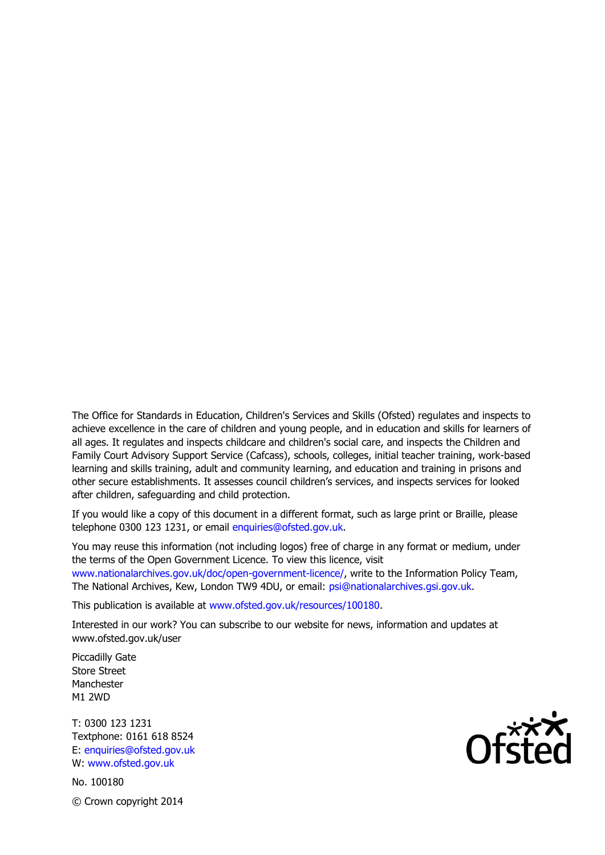The Office for Standards in Education, Children's Services and Skills (Ofsted) regulates and inspects to achieve excellence in the care of children and young people, and in education and skills for learners of all ages. It regulates and inspects childcare and children's social care, and inspects the Children and Family Court Advisory Support Service (Cafcass), schools, colleges, initial teacher training, work-based learning and skills training, adult and community learning, and education and training in prisons and other secure establishments. It assesses council children's services, and inspects services for looked after children, safeguarding and child protection.

If you would like a copy of this document in a different format, such as large print or Braille, please telephone 0300 123 1231, or email enquiries@ofsted.gov.uk.

You may reuse this information (not including logos) free of charge in any format or medium, under the terms of the Open Government Licence. To view this licence, visit www.nationalarchives.gov.uk/doc/open-government-licence/, write to the Information Policy Team, The National Archives, Kew, London TW9 4DU, or email: psi@nationalarchives.gsi.gov.uk.

This publication is available at www.ofsted.gov.uk/resources/100180.

Interested in our work? You can subscribe to our website for news, information and updates at www.ofsted.gov.uk/user

Piccadilly Gate Store Street Manchester M1 2WD

T: 0300 123 1231 Textphone: 0161 618 8524 E: enquiries@ofsted.gov.uk W: www.ofsted.gov.uk

No. 100180 © Crown copyright 2014

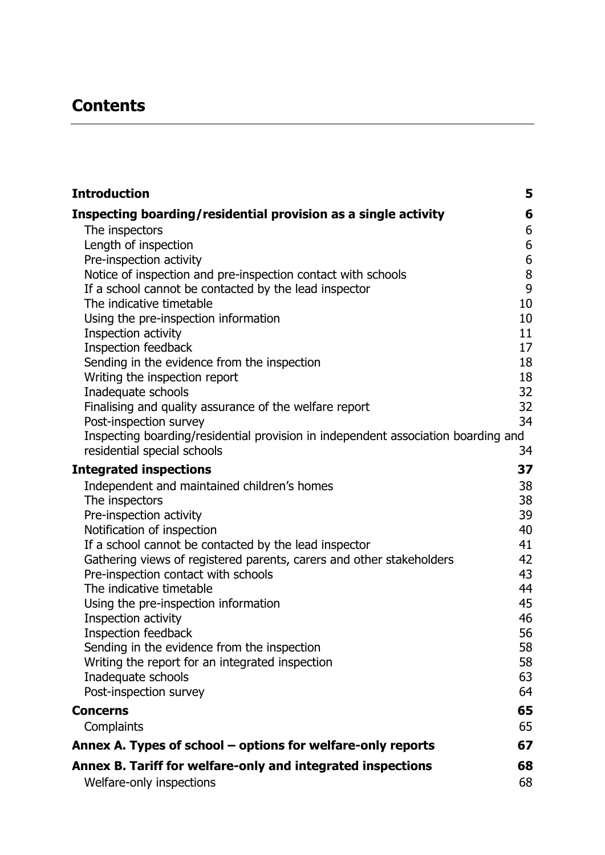# **Contents**

| <b>Introduction</b>                                                                 | 5        |
|-------------------------------------------------------------------------------------|----------|
| Inspecting boarding/residential provision as a single activity                      | 6        |
| The inspectors                                                                      | 6        |
| Length of inspection                                                                | 6        |
| Pre-inspection activity                                                             | $6\,$    |
| Notice of inspection and pre-inspection contact with schools                        | 8        |
| If a school cannot be contacted by the lead inspector<br>The indicative timetable   | 9<br>10  |
| Using the pre-inspection information                                                | 10       |
| Inspection activity                                                                 | 11       |
| Inspection feedback                                                                 | 17       |
| Sending in the evidence from the inspection                                         | 18       |
| Writing the inspection report                                                       | 18       |
| Inadequate schools                                                                  | 32       |
| Finalising and quality assurance of the welfare report                              | 32       |
| Post-inspection survey                                                              | 34       |
| Inspecting boarding/residential provision in independent association boarding and   |          |
| residential special schools                                                         | 34       |
| <b>Integrated inspections</b>                                                       | 37       |
| Independent and maintained children's homes                                         | 38       |
| The inspectors                                                                      | 38       |
| Pre-inspection activity                                                             | 39<br>40 |
| Notification of inspection<br>If a school cannot be contacted by the lead inspector | 41       |
| Gathering views of registered parents, carers and other stakeholders                | 42       |
| Pre-inspection contact with schools                                                 | 43       |
| The indicative timetable                                                            | 44       |
| Using the pre-inspection information                                                | 45       |
| Inspection activity                                                                 | 46       |
| Inspection feedback                                                                 | 56       |
| Sending in the evidence from the inspection                                         | 58       |
| Writing the report for an integrated inspection                                     | 58       |
| Inadequate schools                                                                  | 63       |
| Post-inspection survey                                                              | 64       |
| <b>Concerns</b>                                                                     | 65       |
| Complaints                                                                          | 65       |
| Annex A. Types of school – options for welfare-only reports                         | 67       |
| Annex B. Tariff for welfare-only and integrated inspections                         | 68       |
| Welfare-only inspections                                                            | 68       |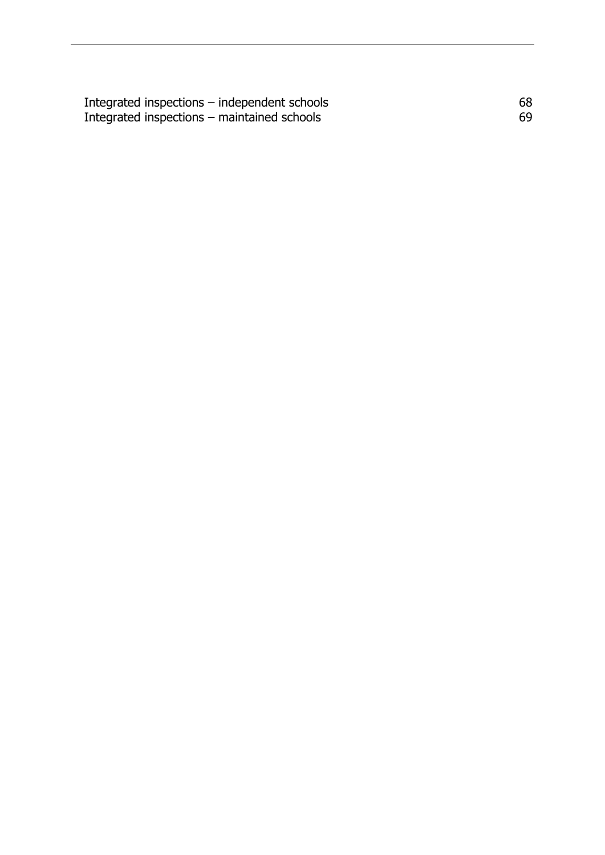[Integrated inspections](#page-67-2) – independent schools and the state of  $68$ [Integrated inspections](#page-68-0)  – maintained schools 69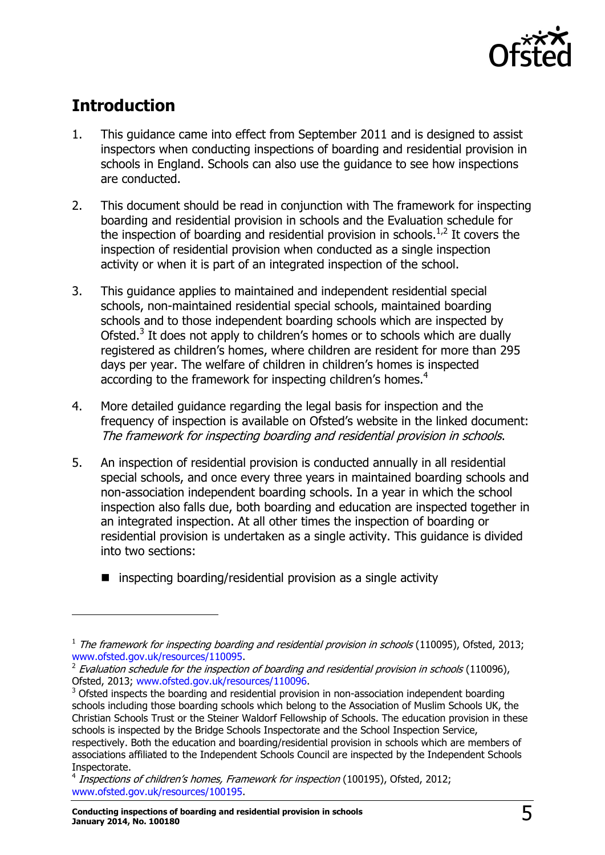

# <span id="page-4-0"></span>**Introduction**

- 1. This guidance came into effect from September 2011 and is designed to assist inspectors when conducting inspections of boarding and residential provision in schools in England. Schools can also use the guidance to see how inspections are conducted.
- 2. This document should be read in conjunction with The framework for inspecting boarding and residential provision in schools and the Evaluation schedule for the inspection of boarding and residential provision in schools.<sup>1,2</sup> It covers the inspection of residential provision when conducted as a single inspection activity or when it is part of an integrated inspection of the school.
- 3. This guidance applies to maintained and independent residential special schools, non-maintained residential special schools, maintained boarding schools and to those independent boarding schools which are inspected by Ofsted.<sup>3</sup> It does not apply to children's homes or to schools which are dually registered as children's homes, where children are resident for more than 295 days per year. The welfare of children in children's homes is inspected according to the framework for inspecting children's homes.<sup>4</sup>
- 4. More detailed guidance regarding the legal basis for inspection and the frequency of inspection is available on Ofsted's website in the linked document: The framework for inspecting boarding and residential provision in schools.
- 5. An inspection of residential provision is conducted annually in all residential special schools, and once every three years in maintained boarding schools and non-association independent boarding schools. In a year in which the school inspection also falls due, both boarding and education are inspected together in an integrated inspection. At all other times the inspection of boarding or residential provision is undertaken as a single activity. This guidance is divided into two sections:
	- $\blacksquare$  inspecting boarding/residential provision as a single activity

 $<sup>1</sup>$  The framework for inspecting boarding and residential provision in schools (110095), Ofsted, 2013;</sup> [www.ofsted.gov.uk/resources/110095.](http://www.ofsted.gov.uk/resources/110095)

 $^2$  Evaluation schedule for the inspection of boarding and residential provision in schools (110096), Ofsted, 2013; [www.ofsted.gov.uk/resources/110096.](http://www.ofsted.gov.uk/resources/110096)

 $3$  Ofsted inspects the boarding and residential provision in non-association independent boarding schools including those boarding schools which belong to the Association of Muslim Schools UK, the Christian Schools Trust or the Steiner Waldorf Fellowship of Schools. The education provision in these schools is inspected by the Bridge Schools Inspectorate and the School Inspection Service, respectively. Both the education and boarding/residential provision in schools which are members of associations affiliated to the Independent Schools Council are inspected by the Independent Schools Inspectorate.

<sup>&</sup>lt;sup>4</sup> Inspections of children's homes, Framework for inspection (100195), Ofsted, 2012; [www.ofsted.gov.uk/resources/100195.](http://www.ofsted.gov.uk/resources/100195)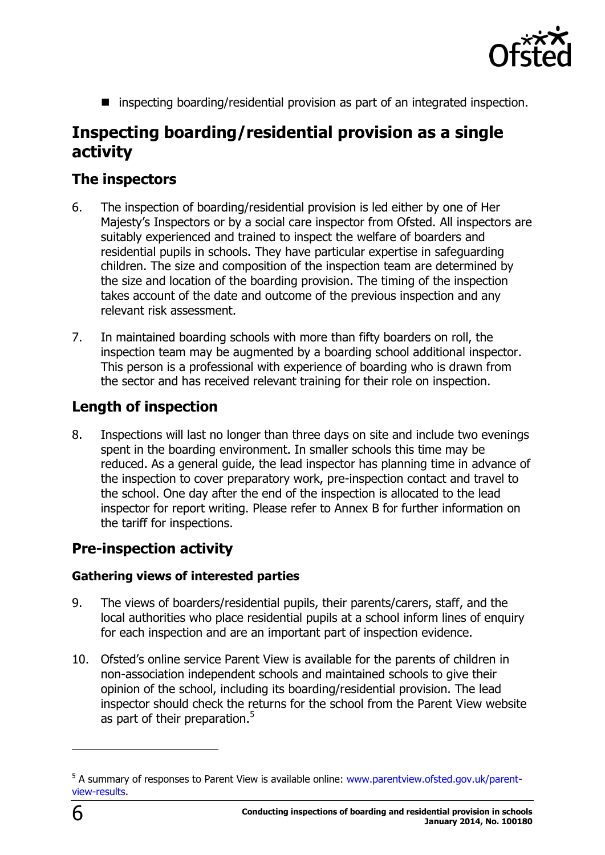

■ inspecting boarding/residential provision as part of an integrated inspection.

# <span id="page-5-0"></span>**Inspecting boarding/residential provision as a single activity**

## <span id="page-5-1"></span>**The inspectors**

- 6. The inspection of boarding/residential provision is led either by one of Her Majesty's Inspectors or by a social care inspector from Ofsted. All inspectors are suitably experienced and trained to inspect the welfare of boarders and residential pupils in schools. They have particular expertise in safeguarding children. The size and composition of the inspection team are determined by the size and location of the boarding provision. The timing of the inspection takes account of the date and outcome of the previous inspection and any relevant risk assessment.
- 7. In maintained boarding schools with more than fifty boarders on roll, the inspection team may be augmented by a boarding school additional inspector. This person is a professional with experience of boarding who is drawn from the sector and has received relevant training for their role on inspection.

## <span id="page-5-2"></span>**Length of inspection**

8. Inspections will last no longer than three days on site and include two evenings spent in the boarding environment. In smaller schools this time may be reduced. As a general guide, the lead inspector has planning time in advance of the inspection to cover preparatory work, pre-inspection contact and travel to the school. One day after the end of the inspection is allocated to the lead inspector for report writing. Please refer to Annex B for further information on the tariff for inspections.

## <span id="page-5-3"></span>**Pre-inspection activity**

#### **Gathering views of interested parties**

- 9. The views of boarders/residential pupils, their parents/carers, staff, and the local authorities who place residential pupils at a school inform lines of enquiry for each inspection and are an important part of inspection evidence.
- 10. Ofsted's online service Parent View is available for the parents of children in non-association independent schools and maintained schools to give their opinion of the school, including its boarding/residential provision. The lead inspector should check the returns for the school from the Parent View website as part of their preparation.<sup>5</sup>

<sup>&</sup>lt;sup>5</sup> A summary of responses to Parent View is available online: [www.parentview.ofsted.gov.uk/parent](http://www.parentview.ofsted.gov.uk/parent-view-results)[view-results.](http://www.parentview.ofsted.gov.uk/parent-view-results)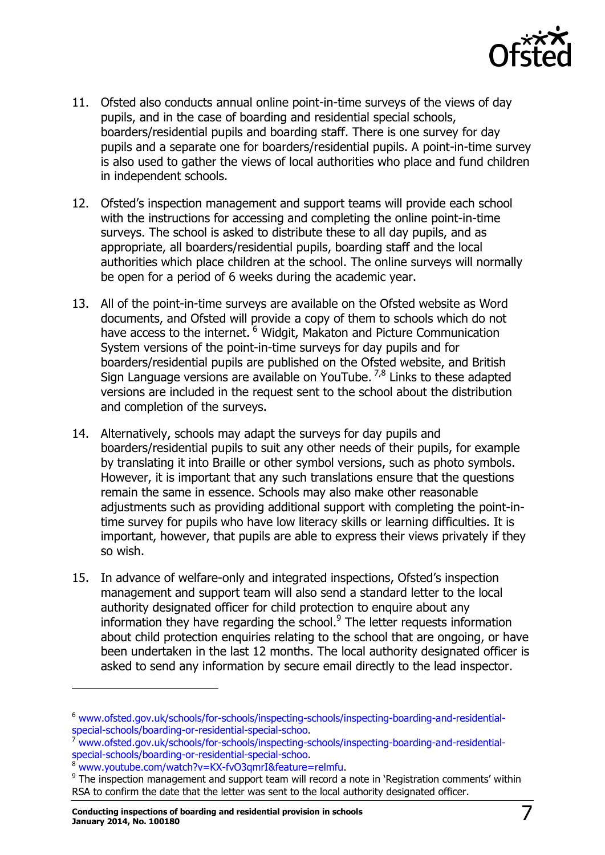

- 11. Ofsted also conducts annual online point-in-time surveys of the views of day pupils, and in the case of boarding and residential special schools, boarders/residential pupils and boarding staff. There is one survey for day pupils and a separate one for boarders/residential pupils. A point-in-time survey is also used to gather the views of local authorities who place and fund children in independent schools.
- 12. Ofsted's inspection management and support teams will provide each school with the instructions for accessing and completing the online point-in-time surveys. The school is asked to distribute these to all day pupils, and as appropriate, all boarders/residential pupils, boarding staff and the local authorities which place children at the school. The online surveys will normally be open for a period of 6 weeks during the academic year.
- 13. All of the point-in-time surveys are available on the Ofsted website as Word documents, and Ofsted will provide a copy of them to schools which do not have access to the internet. <sup>6</sup> Widgit, Makaton and Picture Communication System versions of the point-in-time surveys for day pupils and for boarders/residential pupils are published on the Ofsted website, and British Sign Language versions are available on YouTube.  $^{7,8}$  Links to these adapted versions are included in the request sent to the school about the distribution and completion of the surveys.
- 14. Alternatively, schools may adapt the surveys for day pupils and boarders/residential pupils to suit any other needs of their pupils, for example by translating it into Braille or other symbol versions, such as photo symbols. However, it is important that any such translations ensure that the questions remain the same in essence. Schools may also make other reasonable adjustments such as providing additional support with completing the point-intime survey for pupils who have low literacy skills or learning difficulties. It is important, however, that pupils are able to express their views privately if they so wish.
- 15. In advance of welfare-only and integrated inspections, Ofsted's inspection management and support team will also send a standard letter to the local authority designated officer for child protection to enquire about any information they have regarding the school.<sup>9</sup> The letter requests information about child protection enquiries relating to the school that are ongoing, or have been undertaken in the last 12 months. The local authority designated officer is asked to send any information by secure email directly to the lead inspector.

<sup>6</sup> [www.ofsted.gov.uk/schools/for-schools/inspecting-schools/inspecting-boarding-and-residential](http://www.ofsted.gov.uk/schools/for-schools/inspecting-schools/inspecting-boarding-and-residential-special-schools/boarding-or-residential-special-schoo)[special-schools/boarding-or-residential-special-schoo.](http://www.ofsted.gov.uk/schools/for-schools/inspecting-schools/inspecting-boarding-and-residential-special-schools/boarding-or-residential-special-schoo)

<sup>7</sup> [www.ofsted.gov.uk/schools/for-schools/inspecting-schools/inspecting-boarding-and-residential](http://www.ofsted.gov.uk/schools/for-schools/inspecting-schools/inspecting-boarding-and-residential-special-schools/boarding-or-residential-special-schoo)[special-schools/boarding-or-residential-special-schoo.](http://www.ofsted.gov.uk/schools/for-schools/inspecting-schools/inspecting-boarding-and-residential-special-schools/boarding-or-residential-special-schoo)

[www.youtube.com/watch?v=KX-fvO3qmrI&feature=relmfu.](http://www.youtube.com/watch?v=KX-fvO3qmrI&feature=relmfu)

 $9$  The inspection management and support team will record a note in 'Registration comments' within RSA to confirm the date that the letter was sent to the local authority designated officer.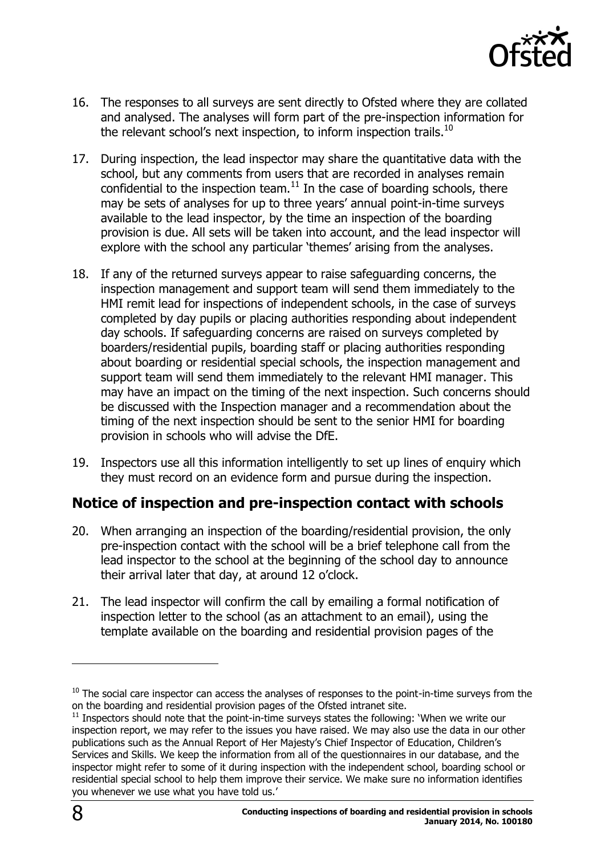

- 16. The responses to all surveys are sent directly to Ofsted where they are collated and analysed. The analyses will form part of the pre-inspection information for the relevant school's next inspection, to inform inspection trails.<sup>10</sup>
- 17. During inspection, the lead inspector may share the quantitative data with the school, but any comments from users that are recorded in analyses remain confidential to the inspection team.<sup>11</sup> In the case of boarding schools, there may be sets of analyses for up to three years' annual point-in-time surveys available to the lead inspector, by the time an inspection of the boarding provision is due. All sets will be taken into account, and the lead inspector will explore with the school any particular 'themes' arising from the analyses.
- 18. If any of the returned surveys appear to raise safeguarding concerns, the inspection management and support team will send them immediately to the HMI remit lead for inspections of independent schools, in the case of surveys completed by day pupils or placing authorities responding about independent day schools. If safeguarding concerns are raised on surveys completed by boarders/residential pupils, boarding staff or placing authorities responding about boarding or residential special schools, the inspection management and support team will send them immediately to the relevant HMI manager. This may have an impact on the timing of the next inspection. Such concerns should be discussed with the Inspection manager and a recommendation about the timing of the next inspection should be sent to the senior HMI for boarding provision in schools who will advise the DfE.
- 19. Inspectors use all this information intelligently to set up lines of enquiry which they must record on an evidence form and pursue during the inspection.

# <span id="page-7-0"></span>**Notice of inspection and pre-inspection contact with schools**

- 20. When arranging an inspection of the boarding/residential provision, the only pre-inspection contact with the school will be a brief telephone call from the lead inspector to the school at the beginning of the school day to announce their arrival later that day, at around 12 o'clock.
- 21. The lead inspector will confirm the call by emailing a formal notification of inspection letter to the school (as an attachment to an email), using the template available on the boarding and residential provision pages of the

 $10$  The social care inspector can access the analyses of responses to the point-in-time surveys from the on the boarding and residential provision pages of the Ofsted intranet site.

 $11$  Inspectors should note that the point-in-time surveys states the following: 'When we write our inspection report, we may refer to the issues you have raised. We may also use the data in our other publications such as the Annual Report of Her Majesty's Chief Inspector of Education, Children's Services and Skills. We keep the information from all of the questionnaires in our database, and the inspector might refer to some of it during inspection with the independent school, boarding school or residential special school to help them improve their service. We make sure no information identifies you whenever we use what you have told us.'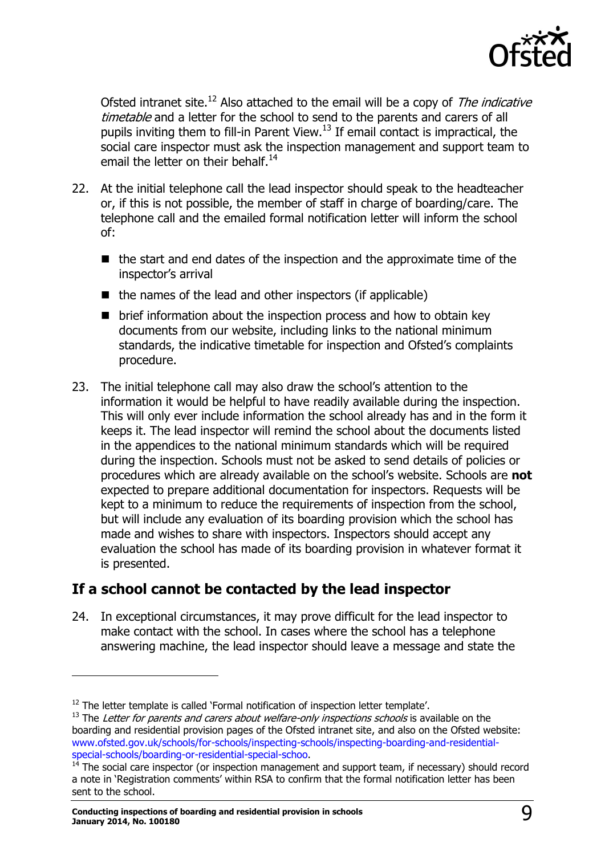

Ofsted intranet site.<sup>12</sup> Also attached to the email will be a copy of The indicative timetable and a letter for the school to send to the parents and carers of all pupils inviting them to fill-in Parent View. $13$  If email contact is impractical, the social care inspector must ask the inspection management and support team to email the letter on their behalf.<sup>14</sup>

- 22. At the initial telephone call the lead inspector should speak to the headteacher or, if this is not possible, the member of staff in charge of boarding/care. The telephone call and the emailed formal notification letter will inform the school of:
	- $\blacksquare$  the start and end dates of the inspection and the approximate time of the inspector's arrival
	- $\blacksquare$  the names of the lead and other inspectors (if applicable)
	- $\blacksquare$  brief information about the inspection process and how to obtain key documents from our website, including links to the national minimum standards, the indicative timetable for inspection and Ofsted's complaints procedure.
- 23. The initial telephone call may also draw the school's attention to the information it would be helpful to have readily available during the inspection. This will only ever include information the school already has and in the form it keeps it. The lead inspector will remind the school about the documents listed in the appendices to the national minimum standards which will be required during the inspection. Schools must not be asked to send details of policies or procedures which are already available on the school's website. Schools are **not** expected to prepare additional documentation for inspectors. Requests will be kept to a minimum to reduce the requirements of inspection from the school, but will include any evaluation of its boarding provision which the school has made and wishes to share with inspectors. Inspectors should accept any evaluation the school has made of its boarding provision in whatever format it is presented.

# <span id="page-8-0"></span>**If a school cannot be contacted by the lead inspector**

24. In exceptional circumstances, it may prove difficult for the lead inspector to make contact with the school. In cases where the school has a telephone answering machine, the lead inspector should leave a message and state the

 $12$  The letter template is called `Formal notification of inspection letter template'.

 $13$  The Letter for parents and carers about welfare-only inspections schools is available on the boarding and residential provision pages of the Ofsted intranet site, and also on the Ofsted website: [www.ofsted.gov.uk/schools/for-schools/inspecting-schools/inspecting-boarding-and-residential](http://www.ofsted.gov.uk/schools/for-schools/inspecting-schools/inspecting-boarding-and-residential-special-schools/boarding-or-residential-special-schoo)[special-schools/boarding-or-residential-special-schoo.](http://www.ofsted.gov.uk/schools/for-schools/inspecting-schools/inspecting-boarding-and-residential-special-schools/boarding-or-residential-special-schoo)

<sup>14</sup> The social care inspector (or inspection management and support team, if necessary) should record a note in 'Registration comments' within RSA to confirm that the formal notification letter has been sent to the school.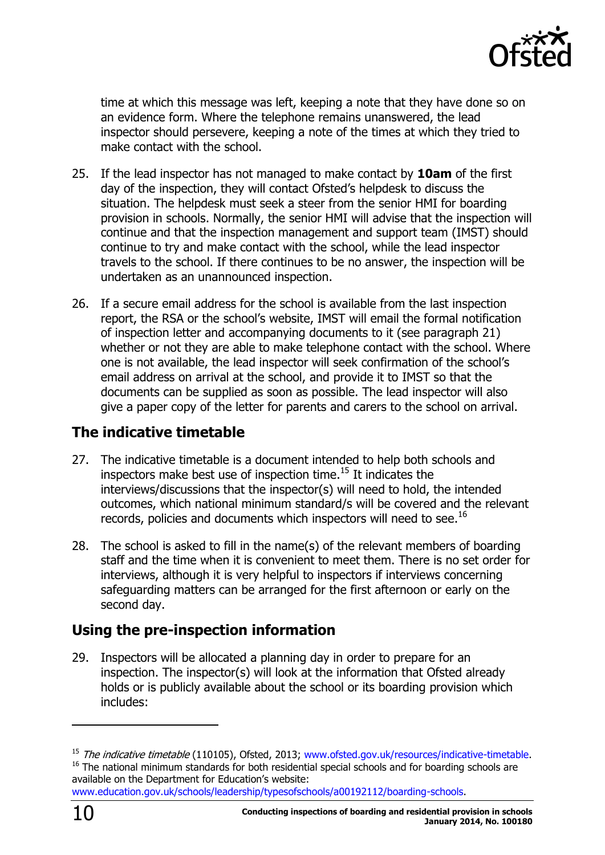

time at which this message was left, keeping a note that they have done so on an evidence form. Where the telephone remains unanswered, the lead inspector should persevere, keeping a note of the times at which they tried to make contact with the school.

- 25. If the lead inspector has not managed to make contact by **10am** of the first day of the inspection, they will contact Ofsted's helpdesk to discuss the situation. The helpdesk must seek a steer from the senior HMI for boarding provision in schools. Normally, the senior HMI will advise that the inspection will continue and that the inspection management and support team (IMST) should continue to try and make contact with the school, while the lead inspector travels to the school. If there continues to be no answer, the inspection will be undertaken as an unannounced inspection.
- 26. If a secure email address for the school is available from the last inspection report, the RSA or the school's website, IMST will email the formal notification of inspection letter and accompanying documents to it (see paragraph 21) whether or not they are able to make telephone contact with the school. Where one is not available, the lead inspector will seek confirmation of the school's email address on arrival at the school, and provide it to IMST so that the documents can be supplied as soon as possible. The lead inspector will also give a paper copy of the letter for parents and carers to the school on arrival.

# <span id="page-9-0"></span>**The indicative timetable**

- 27. The indicative timetable is a document intended to help both schools and inspectors make best use of inspection time. <sup>15</sup> It indicates the interviews/discussions that the inspector(s) will need to hold, the intended outcomes, which national minimum standard/s will be covered and the relevant records, policies and documents which inspectors will need to see.<sup>16</sup>
- 28. The school is asked to fill in the name(s) of the relevant members of boarding staff and the time when it is convenient to meet them. There is no set order for interviews, although it is very helpful to inspectors if interviews concerning safeguarding matters can be arranged for the first afternoon or early on the second day.

# <span id="page-9-1"></span>**Using the pre-inspection information**

29. Inspectors will be allocated a planning day in order to prepare for an inspection. The inspector(s) will look at the information that Ofsted already holds or is publicly available about the school or its boarding provision which includes:

[www.education.gov.uk/schools/leadership/typesofschools/a00192112/boarding-schools.](http://www.education.gov.uk/schools/leadership/typesofschools/a00192112/boarding-schools)

-

<sup>&</sup>lt;sup>15</sup> The indicative timetable (110105), Ofsted, 2013; [www.ofsted.gov.uk/resources/indicative-timetable.](http://www.ofsted.gov.uk/resources/indicative-timetable) <sup>16</sup> The national minimum standards for both residential special schools and for boarding schools are available on the Department for Education's website: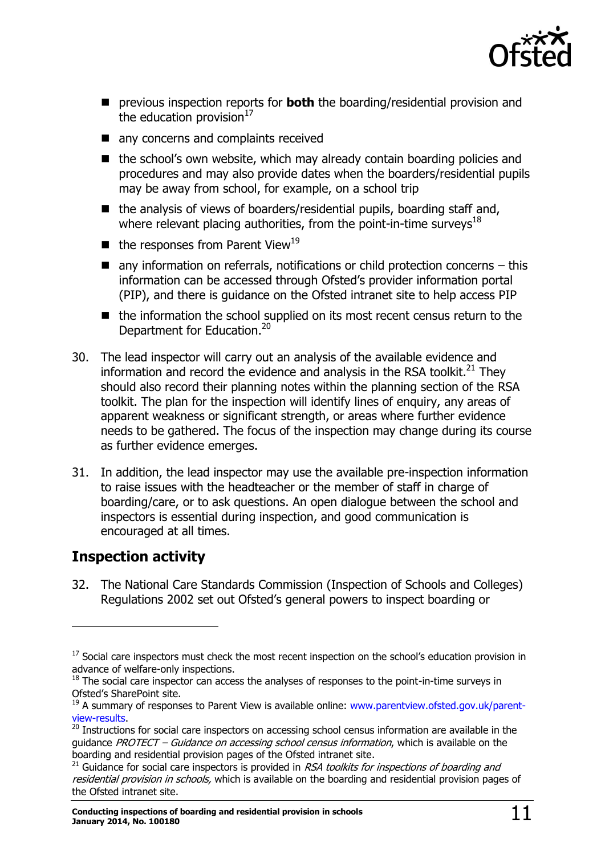

- previous inspection reports for **both** the boarding/residential provision and the education provision $17$
- any concerns and complaints received
- $\blacksquare$  the school's own website, which may already contain boarding policies and procedures and may also provide dates when the boarders/residential pupils may be away from school, for example, on a school trip
- $\blacksquare$  the analysis of views of boarders/residential pupils, boarding staff and, where relevant placing authorities, from the point-in-time surveys<sup>18</sup>
- $\blacksquare$  the responses from Parent View<sup>19</sup>
- $\blacksquare$  any information on referrals, notifications or child protection concerns this information can be accessed through Ofsted's provider information portal (PIP), and there is guidance on the Ofsted intranet site to help access PIP
- $\blacksquare$  the information the school supplied on its most recent census return to the Department for Education.<sup>20</sup>
- 30. The lead inspector will carry out an analysis of the available evidence and information and record the evidence and analysis in the RSA toolkit. $^{21}$  They should also record their planning notes within the planning section of the RSA toolkit. The plan for the inspection will identify lines of enquiry, any areas of apparent weakness or significant strength, or areas where further evidence needs to be gathered. The focus of the inspection may change during its course as further evidence emerges.
- 31. In addition, the lead inspector may use the available pre-inspection information to raise issues with the headteacher or the member of staff in charge of boarding/care, or to ask questions. An open dialogue between the school and inspectors is essential during inspection, and good communication is encouraged at all times.

# <span id="page-10-0"></span>**Inspection activity**

j

32. The National Care Standards Commission (Inspection of Schools and Colleges) Regulations 2002 set out Ofsted's general powers to inspect boarding or

 $17$  Social care inspectors must check the most recent inspection on the school's education provision in advance of welfare-only inspections.

 $18$  The social care inspector can access the analyses of responses to the point-in-time surveys in Ofsted's SharePoint site.

<sup>&</sup>lt;sup>19</sup> A summary of responses to Parent View is available online: [www.parentview.ofsted.gov.uk/parent](http://www.parentview.ofsted.gov.uk/parent-view-results)[view-results.](http://www.parentview.ofsted.gov.uk/parent-view-results)

<sup>&</sup>lt;sup>20</sup> Instructions for social care inspectors on accessing school census information are available in the guidance PROTECT – Guidance on accessing school census information, which is available on the boarding and residential provision pages of the Ofsted intranet site.

 $21$  Guidance for social care inspectors is provided in RSA toolkits for inspections of boarding and residential provision in schools, which is available on the boarding and residential provision pages of the Ofsted intranet site.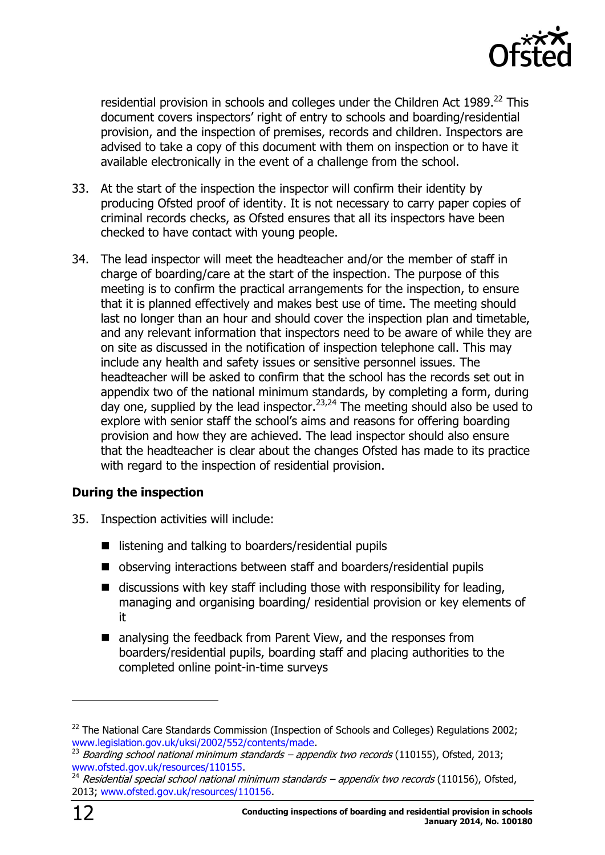

residential provision in schools and colleges under the Children Act  $1989.<sup>22</sup>$  This document covers inspectors' right of entry to schools and boarding/residential provision, and the inspection of premises, records and children. Inspectors are advised to take a copy of this document with them on inspection or to have it available electronically in the event of a challenge from the school.

- 33. At the start of the inspection the inspector will confirm their identity by producing Ofsted proof of identity. It is not necessary to carry paper copies of criminal records checks, as Ofsted ensures that all its inspectors have been checked to have contact with young people.
- 34. The lead inspector will meet the headteacher and/or the member of staff in charge of boarding/care at the start of the inspection. The purpose of this meeting is to confirm the practical arrangements for the inspection, to ensure that it is planned effectively and makes best use of time. The meeting should last no longer than an hour and should cover the inspection plan and timetable, and any relevant information that inspectors need to be aware of while they are on site as discussed in the notification of inspection telephone call. This may include any health and safety issues or sensitive personnel issues. The headteacher will be asked to confirm that the school has the records set out in appendix two of the national minimum standards, by completing a form, during day one, supplied by the lead inspector.<sup>23,24</sup> The meeting should also be used to explore with senior staff the school's aims and reasons for offering boarding provision and how they are achieved. The lead inspector should also ensure that the headteacher is clear about the changes Ofsted has made to its practice with regard to the inspection of residential provision.

#### **During the inspection**

- 35. Inspection activities will include:
	- $\blacksquare$  listening and talking to boarders/residential pupils
	- observing interactions between staff and boarders/residential pupils
	- $\blacksquare$  discussions with key staff including those with responsibility for leading, managing and organising boarding/ residential provision or key elements of it
	- analysing the feedback from Parent View, and the responses from boarders/residential pupils, boarding staff and placing authorities to the completed online point-in-time surveys

 $22$  The National Care Standards Commission (Inspection of Schools and Colleges) Regulations 2002; [www.legislation.gov.uk/uksi/2002/552/contents/made.](http://www.legislation.gov.uk/uksi/2002/552/contents/made)

 $^{23}$  Boarding school national minimum standards – appendix two records (110155), Ofsted, 2013; [www.ofsted.gov.uk/resources/110155.](http://www.ofsted.gov.uk/resources/110155)

 $^{24}$  Residential special school national minimum standards – appendix two records (110156), Ofsted, 2013; [www.ofsted.gov.uk/resources/110156.](http://www.ofsted.gov.uk/resources/110156)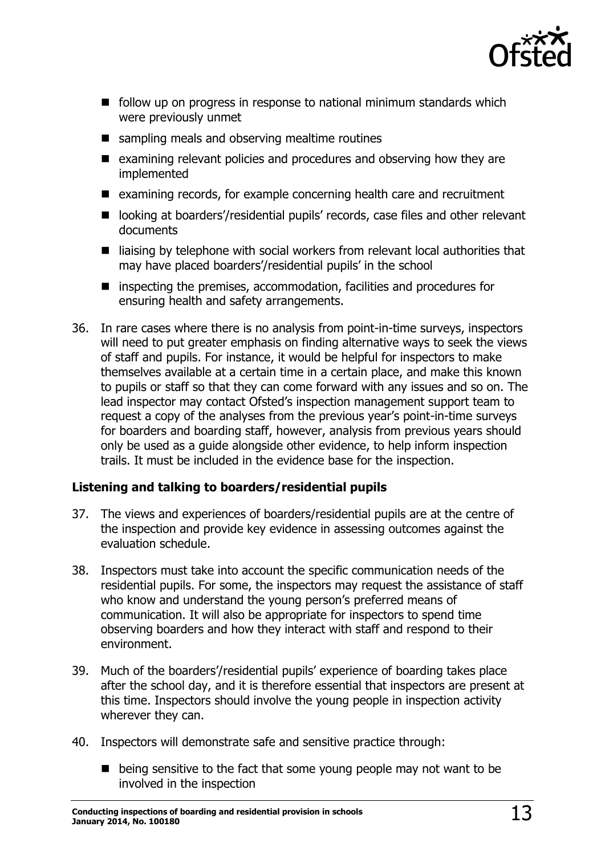

- $\blacksquare$  follow up on progress in response to national minimum standards which were previously unmet
- sampling meals and observing mealtime routines
- $\blacksquare$  examining relevant policies and procedures and observing how they are implemented
- examining records, for example concerning health care and recruitment
- looking at boarders'/residential pupils' records, case files and other relevant documents
- $\blacksquare$  liaising by telephone with social workers from relevant local authorities that may have placed boarders'/residential pupils' in the school
- inspecting the premises, accommodation, facilities and procedures for ensuring health and safety arrangements.
- 36. In rare cases where there is no analysis from point-in-time surveys, inspectors will need to put greater emphasis on finding alternative ways to seek the views of staff and pupils. For instance, it would be helpful for inspectors to make themselves available at a certain time in a certain place, and make this known to pupils or staff so that they can come forward with any issues and so on. The lead inspector may contact Ofsted's inspection management support team to request a copy of the analyses from the previous year's point-in-time surveys for boarders and boarding staff, however, analysis from previous years should only be used as a guide alongside other evidence, to help inform inspection trails. It must be included in the evidence base for the inspection.

#### **Listening and talking to boarders/residential pupils**

- 37. The views and experiences of boarders/residential pupils are at the centre of the inspection and provide key evidence in assessing outcomes against the evaluation schedule.
- 38. Inspectors must take into account the specific communication needs of the residential pupils. For some, the inspectors may request the assistance of staff who know and understand the young person's preferred means of communication. It will also be appropriate for inspectors to spend time observing boarders and how they interact with staff and respond to their environment.
- 39. Much of the boarders'/residential pupils' experience of boarding takes place after the school day, and it is therefore essential that inspectors are present at this time. Inspectors should involve the young people in inspection activity wherever they can.
- 40. Inspectors will demonstrate safe and sensitive practice through:
	- $\blacksquare$  being sensitive to the fact that some young people may not want to be involved in the inspection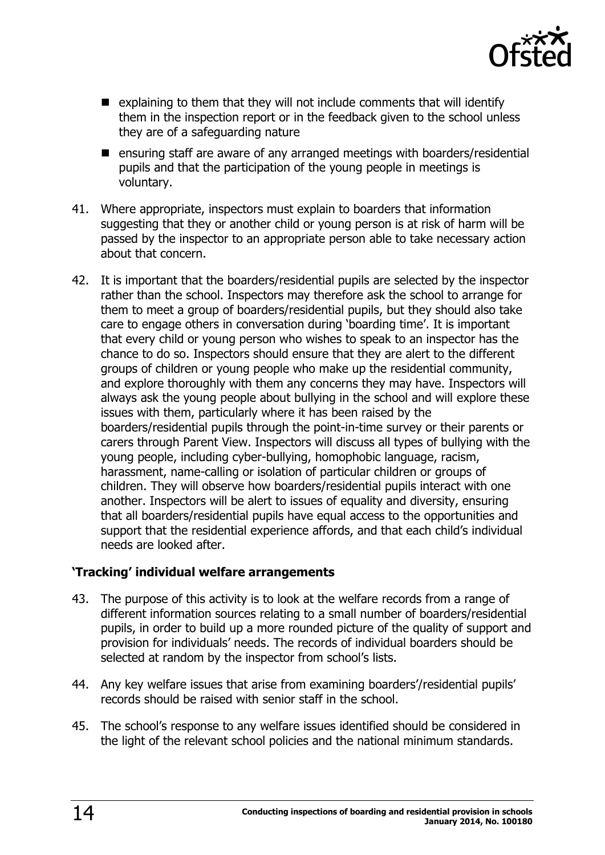

- $\blacksquare$  explaining to them that they will not include comments that will identify them in the inspection report or in the feedback given to the school unless they are of a safeguarding nature
- **E** ensuring staff are aware of any arranged meetings with boarders/residential pupils and that the participation of the young people in meetings is voluntary.
- 41. Where appropriate, inspectors must explain to boarders that information suggesting that they or another child or young person is at risk of harm will be passed by the inspector to an appropriate person able to take necessary action about that concern.
- 42. It is important that the boarders/residential pupils are selected by the inspector rather than the school. Inspectors may therefore ask the school to arrange for them to meet a group of boarders/residential pupils, but they should also take care to engage others in conversation during 'boarding time'. It is important that every child or young person who wishes to speak to an inspector has the chance to do so. Inspectors should ensure that they are alert to the different groups of children or young people who make up the residential community, and explore thoroughly with them any concerns they may have. Inspectors will always ask the young people about bullying in the school and will explore these issues with them, particularly where it has been raised by the boarders/residential pupils through the point-in-time survey or their parents or carers through Parent View. Inspectors will discuss all types of bullying with the young people, including cyber-bullying, homophobic language, racism, harassment, name-calling or isolation of particular children or groups of children. They will observe how boarders/residential pupils interact with one another. Inspectors will be alert to issues of equality and diversity, ensuring that all boarders/residential pupils have equal access to the opportunities and support that the residential experience affords, and that each child's individual needs are looked after.

#### **'Tracking' individual welfare arrangements**

- 43. The purpose of this activity is to look at the welfare records from a range of different information sources relating to a small number of boarders/residential pupils, in order to build up a more rounded picture of the quality of support and provision for individuals' needs. The records of individual boarders should be selected at random by the inspector from school's lists.
- 44. Any key welfare issues that arise from examining boarders'/residential pupils' records should be raised with senior staff in the school.
- 45. The school's response to any welfare issues identified should be considered in the light of the relevant school policies and the national minimum standards.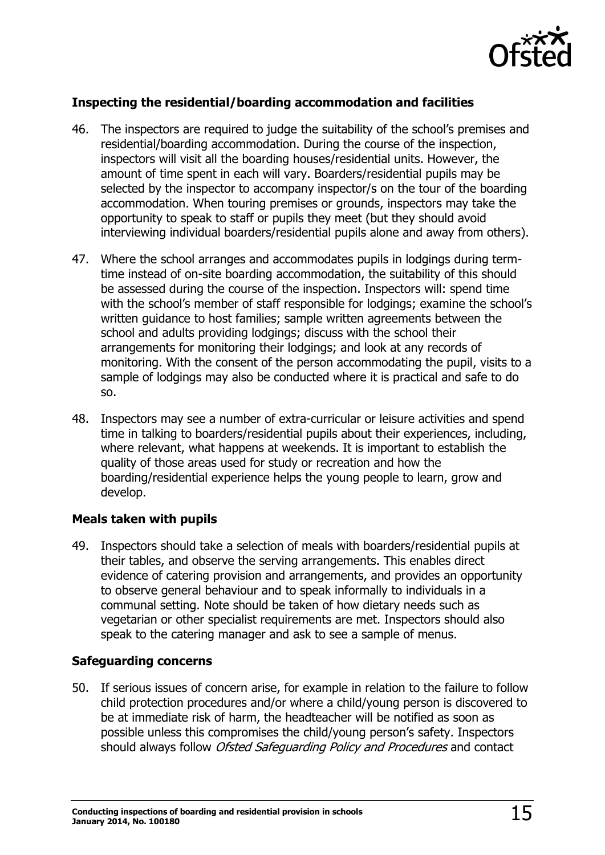

#### **Inspecting the residential/boarding accommodation and facilities**

- 46. The inspectors are required to judge the suitability of the school's premises and residential/boarding accommodation. During the course of the inspection, inspectors will visit all the boarding houses/residential units. However, the amount of time spent in each will vary. Boarders/residential pupils may be selected by the inspector to accompany inspector/s on the tour of the boarding accommodation. When touring premises or grounds, inspectors may take the opportunity to speak to staff or pupils they meet (but they should avoid interviewing individual boarders/residential pupils alone and away from others).
- 47. Where the school arranges and accommodates pupils in lodgings during termtime instead of on-site boarding accommodation, the suitability of this should be assessed during the course of the inspection. Inspectors will: spend time with the school's member of staff responsible for lodgings; examine the school's written guidance to host families; sample written agreements between the school and adults providing lodgings; discuss with the school their arrangements for monitoring their lodgings; and look at any records of monitoring. With the consent of the person accommodating the pupil, visits to a sample of lodgings may also be conducted where it is practical and safe to do so.
- 48. Inspectors may see a number of extra-curricular or leisure activities and spend time in talking to boarders/residential pupils about their experiences, including, where relevant, what happens at weekends. It is important to establish the quality of those areas used for study or recreation and how the boarding/residential experience helps the young people to learn, grow and develop.

#### **Meals taken with pupils**

49. Inspectors should take a selection of meals with boarders/residential pupils at their tables, and observe the serving arrangements. This enables direct evidence of catering provision and arrangements, and provides an opportunity to observe general behaviour and to speak informally to individuals in a communal setting. Note should be taken of how dietary needs such as vegetarian or other specialist requirements are met. Inspectors should also speak to the catering manager and ask to see a sample of menus.

#### **Safeguarding concerns**

50. If serious issues of concern arise, for example in relation to the failure to follow child protection procedures and/or where a child/young person is discovered to be at immediate risk of harm, the headteacher will be notified as soon as possible unless this compromises the child/young person's safety. Inspectors should always follow Ofsted Safeguarding Policy and Procedures and contact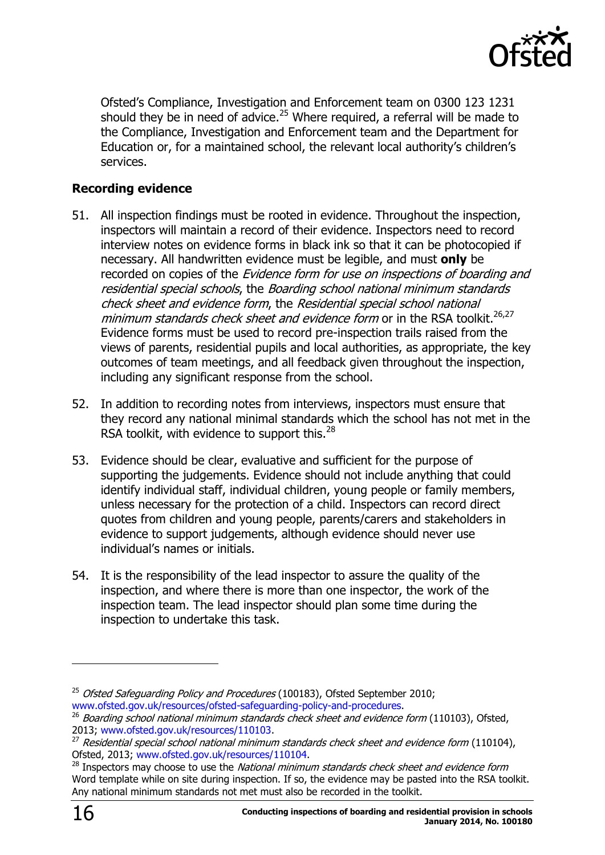

Ofsted's Compliance, Investigation and Enforcement team on 0300 123 1231 should they be in need of advice.<sup>25</sup> Where required, a referral will be made to the Compliance, Investigation and Enforcement team and the Department for Education or, for a maintained school, the relevant local authority's children's services.

#### **Recording evidence**

- 51. All inspection findings must be rooted in evidence. Throughout the inspection, inspectors will maintain a record of their evidence. Inspectors need to record interview notes on evidence forms in black ink so that it can be photocopied if necessary. All handwritten evidence must be legible, and must **only** be recorded on copies of the *Evidence form for use on inspections of boarding and* residential special schools, the Boarding school national minimum standards check sheet and evidence form, the Residential special school national minimum standards check sheet and evidence form or in the RSA toolkit.<sup>26,27</sup> Evidence forms must be used to record pre-inspection trails raised from the views of parents, residential pupils and local authorities, as appropriate, the key outcomes of team meetings, and all feedback given throughout the inspection, including any significant response from the school.
- 52. In addition to recording notes from interviews, inspectors must ensure that they record any national minimal standards which the school has not met in the RSA toolkit, with evidence to support this.<sup>28</sup>
- 53. Evidence should be clear, evaluative and sufficient for the purpose of supporting the judgements. Evidence should not include anything that could identify individual staff, individual children, young people or family members, unless necessary for the protection of a child. Inspectors can record direct quotes from children and young people, parents/carers and stakeholders in evidence to support judgements, although evidence should never use individual's names or initials.
- 54. It is the responsibility of the lead inspector to assure the quality of the inspection, and where there is more than one inspector, the work of the inspection team. The lead inspector should plan some time during the inspection to undertake this task.

 $25$  Ofsted Safeguarding Policy and Procedures (100183), Ofsted September 2010; [www.ofsted.gov.uk/resources/ofsted-safeguarding-policy-and-procedures.](http://www.ofsted.gov.uk/resources/ofsted-safeguarding-policy-and-procedures)

 $26$  Boardina school national minimum standards check sheet and evidence form (110103), Ofsted, 2013; [www.ofsted.gov.uk/resources/110103.](http://www.ofsted.gov.uk/resources/110103)

 $^{27}$  Residential special school national minimum standards check sheet and evidence form (110104), Ofsted, 2013; [www.ofsted.gov.uk/resources/110104.](http://www.ofsted.gov.uk/resources/110104)

 $^{28}$  Inspectors may choose to use the National minimum standards check sheet and evidence form Word template while on site during inspection. If so, the evidence may be pasted into the RSA toolkit. Any national minimum standards not met must also be recorded in the toolkit.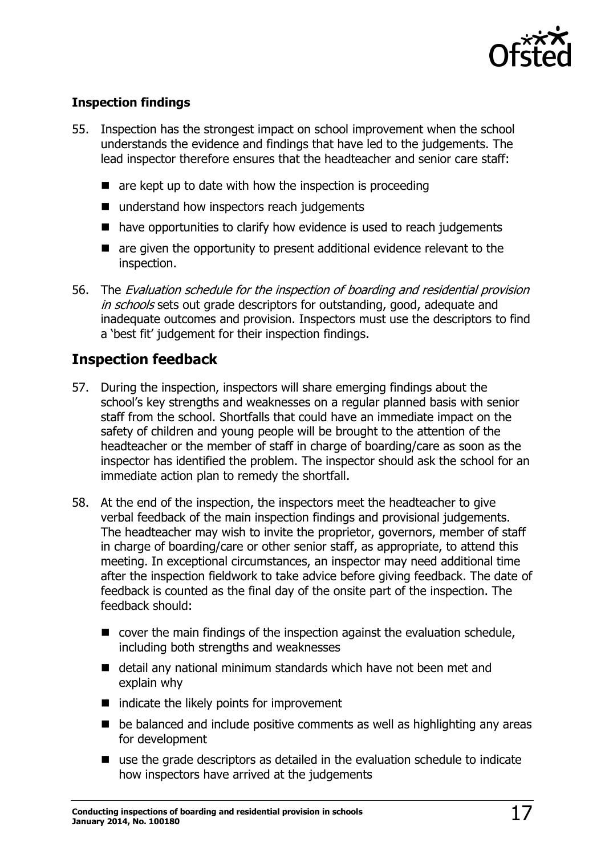

#### **Inspection findings**

- 55. Inspection has the strongest impact on school improvement when the school understands the evidence and findings that have led to the judgements. The lead inspector therefore ensures that the headteacher and senior care staff:
	- $\blacksquare$  are kept up to date with how the inspection is proceeding
	- understand how inspectors reach judgements
	- $\blacksquare$  have opportunities to clarify how evidence is used to reach judgements
	- are given the opportunity to present additional evidence relevant to the inspection.
- 56. The Evaluation schedule for the inspection of boarding and residential provision in schools sets out grade descriptors for outstanding, good, adequate and inadequate outcomes and provision. Inspectors must use the descriptors to find a 'best fit' judgement for their inspection findings.

# <span id="page-16-0"></span>**Inspection feedback**

- 57. During the inspection, inspectors will share emerging findings about the school's key strengths and weaknesses on a regular planned basis with senior staff from the school. Shortfalls that could have an immediate impact on the safety of children and young people will be brought to the attention of the headteacher or the member of staff in charge of boarding/care as soon as the inspector has identified the problem. The inspector should ask the school for an immediate action plan to remedy the shortfall.
- 58. At the end of the inspection, the inspectors meet the headteacher to give verbal feedback of the main inspection findings and provisional judgements. The headteacher may wish to invite the proprietor, governors, member of staff in charge of boarding/care or other senior staff, as appropriate, to attend this meeting. In exceptional circumstances, an inspector may need additional time after the inspection fieldwork to take advice before giving feedback. The date of feedback is counted as the final day of the onsite part of the inspection. The feedback should:
	- $\blacksquare$  cover the main findings of the inspection against the evaluation schedule, including both strengths and weaknesses
	- detail any national minimum standards which have not been met and explain why
	- $\blacksquare$  indicate the likely points for improvement
	- **be balanced and include positive comments as well as highlighting any areas** for development
	- use the grade descriptors as detailed in the evaluation schedule to indicate how inspectors have arrived at the judgements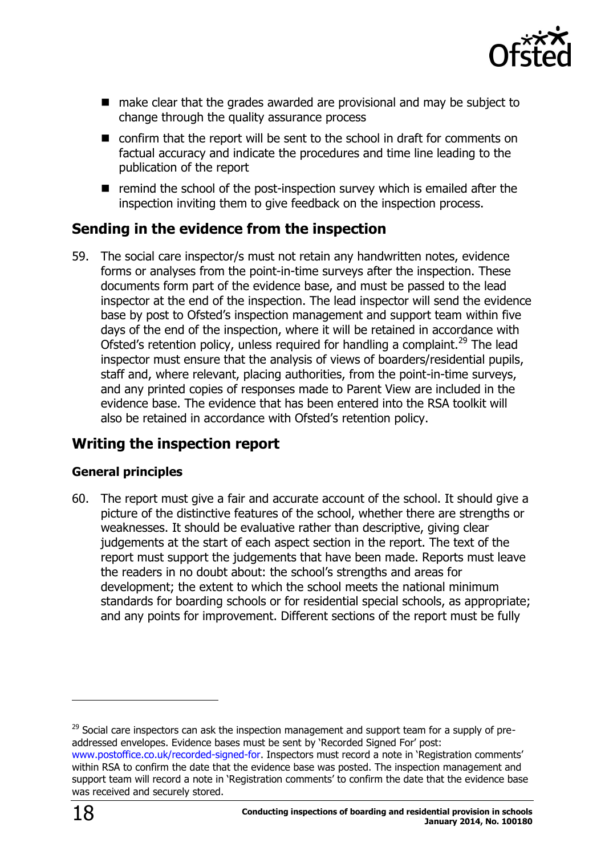

- make clear that the grades awarded are provisional and may be subject to change through the quality assurance process
- confirm that the report will be sent to the school in draft for comments on factual accuracy and indicate the procedures and time line leading to the publication of the report
- $\blacksquare$  remind the school of the post-inspection survey which is emailed after the inspection inviting them to give feedback on the inspection process.

# <span id="page-17-0"></span>**Sending in the evidence from the inspection**

59. The social care inspector/s must not retain any handwritten notes, evidence forms or analyses from the point-in-time surveys after the inspection. These documents form part of the evidence base, and must be passed to the lead inspector at the end of the inspection. The lead inspector will send the evidence base by post to Ofsted's inspection management and support team within five days of the end of the inspection, where it will be retained in accordance with Ofsted's retention policy, unless required for handling a complaint.<sup>29</sup> The lead inspector must ensure that the analysis of views of boarders/residential pupils, staff and, where relevant, placing authorities, from the point-in-time surveys, and any printed copies of responses made to Parent View are included in the evidence base. The evidence that has been entered into the RSA toolkit will also be retained in accordance with Ofsted's retention policy.

# <span id="page-17-1"></span>**Writing the inspection report**

#### **General principles**

60. The report must give a fair and accurate account of the school. It should give a picture of the distinctive features of the school, whether there are strengths or weaknesses. It should be evaluative rather than descriptive, giving clear judgements at the start of each aspect section in the report. The text of the report must support the judgements that have been made. Reports must leave the readers in no doubt about: the school's strengths and areas for development; the extent to which the school meets the national minimum standards for boarding schools or for residential special schools, as appropriate; and any points for improvement. Different sections of the report must be fully

 $29$  Social care inspectors can ask the inspection management and support team for a supply of preaddressed envelopes. Evidence bases must be sent by 'Recorded Signed For' post: [www.postoffice.co.uk/recorded-signed-for](http://www.postoffice.co.uk/recorded-signed-for). Inspectors must record a note in 'Registration comments' within RSA to confirm the date that the evidence base was posted. The inspection management and support team will record a note in 'Registration comments' to confirm the date that the evidence base was received and securely stored.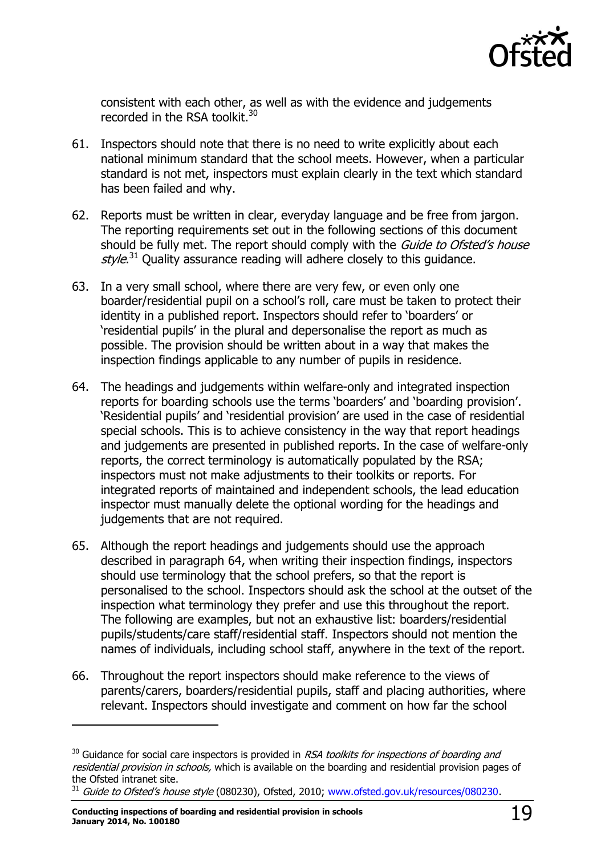

consistent with each other, as well as with the evidence and judgements recorded in the RSA toolkit.<sup>30</sup>

- 61. Inspectors should note that there is no need to write explicitly about each national minimum standard that the school meets. However, when a particular standard is not met, inspectors must explain clearly in the text which standard has been failed and why.
- 62. Reports must be written in clear, everyday language and be free from jargon. The reporting requirements set out in the following sections of this document should be fully met. The report should comply with the *Guide to Ofsted's house* style.<sup>31</sup> Quality assurance reading will adhere closely to this guidance.
- 63. In a very small school, where there are very few, or even only one boarder/residential pupil on a school's roll, care must be taken to protect their identity in a published report. Inspectors should refer to 'boarders' or 'residential pupils' in the plural and depersonalise the report as much as possible. The provision should be written about in a way that makes the inspection findings applicable to any number of pupils in residence.
- 64. The headings and judgements within welfare-only and integrated inspection reports for boarding schools use the terms 'boarders' and 'boarding provision'. 'Residential pupils' and 'residential provision' are used in the case of residential special schools. This is to achieve consistency in the way that report headings and judgements are presented in published reports. In the case of welfare-only reports, the correct terminology is automatically populated by the RSA; inspectors must not make adjustments to their toolkits or reports. For integrated reports of maintained and independent schools, the lead education inspector must manually delete the optional wording for the headings and judgements that are not required.
- 65. Although the report headings and judgements should use the approach described in paragraph 64, when writing their inspection findings, inspectors should use terminology that the school prefers, so that the report is personalised to the school. Inspectors should ask the school at the outset of the inspection what terminology they prefer and use this throughout the report. The following are examples, but not an exhaustive list: boarders/residential pupils/students/care staff/residential staff. Inspectors should not mention the names of individuals, including school staff, anywhere in the text of the report.
- 66. Throughout the report inspectors should make reference to the views of parents/carers, boarders/residential pupils, staff and placing authorities, where relevant. Inspectors should investigate and comment on how far the school

-

 $30$  Guidance for social care inspectors is provided in RSA toolkits for inspections of boarding and residential provision in schools, which is available on the boarding and residential provision pages of the Ofsted intranet site.

<sup>&</sup>lt;sup>31</sup> Guide to Ofsted's house style (080230), Ofsted, 2010; [www.ofsted.gov.uk/resources/080230.](http://www.ofsted.gov.uk/resources/guide-ofsteds-house-style)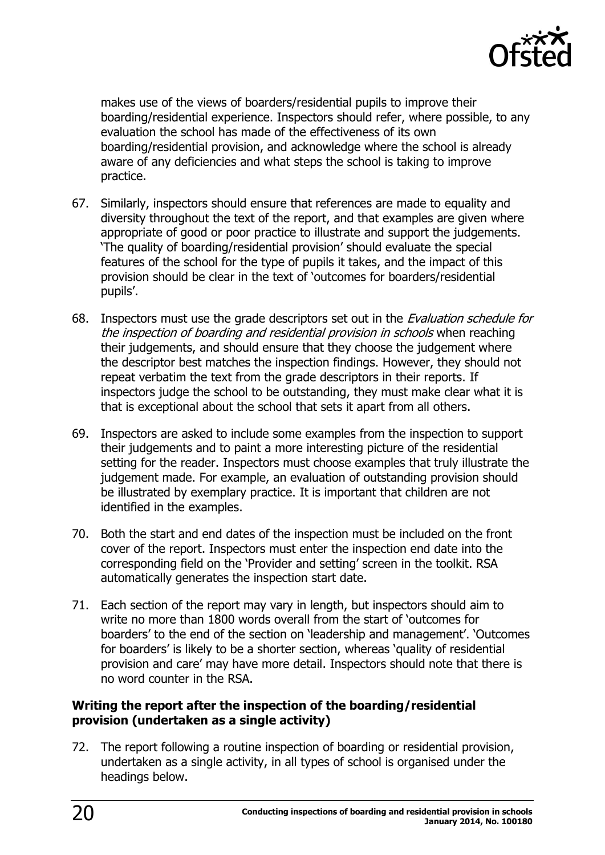

makes use of the views of boarders/residential pupils to improve their boarding/residential experience. Inspectors should refer, where possible, to any evaluation the school has made of the effectiveness of its own boarding/residential provision, and acknowledge where the school is already aware of any deficiencies and what steps the school is taking to improve practice.

- 67. Similarly, inspectors should ensure that references are made to equality and diversity throughout the text of the report, and that examples are given where appropriate of good or poor practice to illustrate and support the judgements. 'The quality of boarding/residential provision' should evaluate the special features of the school for the type of pupils it takes, and the impact of this provision should be clear in the text of 'outcomes for boarders/residential pupils'.
- 68. Inspectors must use the grade descriptors set out in the *Evaluation schedule for* the inspection of boarding and residential provision in schools when reaching their judgements, and should ensure that they choose the judgement where the descriptor best matches the inspection findings. However, they should not repeat verbatim the text from the grade descriptors in their reports. If inspectors judge the school to be outstanding, they must make clear what it is that is exceptional about the school that sets it apart from all others.
- 69. Inspectors are asked to include some examples from the inspection to support their judgements and to paint a more interesting picture of the residential setting for the reader. Inspectors must choose examples that truly illustrate the judgement made. For example, an evaluation of outstanding provision should be illustrated by exemplary practice. It is important that children are not identified in the examples.
- 70. Both the start and end dates of the inspection must be included on the front cover of the report. Inspectors must enter the inspection end date into the corresponding field on the 'Provider and setting' screen in the toolkit. RSA automatically generates the inspection start date.
- 71. Each section of the report may vary in length, but inspectors should aim to write no more than 1800 words overall from the start of 'outcomes for boarders' to the end of the section on 'leadership and management'. 'Outcomes for boarders' is likely to be a shorter section, whereas 'quality of residential provision and care' may have more detail. Inspectors should note that there is no word counter in the RSA.

#### **Writing the report after the inspection of the boarding/residential provision (undertaken as a single activity)**

72. The report following a routine inspection of boarding or residential provision, undertaken as a single activity, in all types of school is organised under the headings below.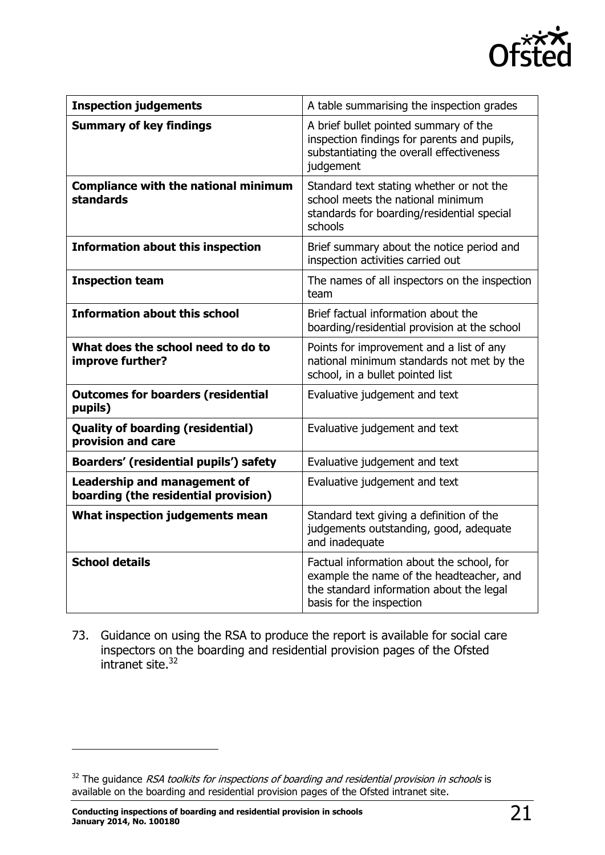

| <b>Inspection judgements</b>                                         | A table summarising the inspection grades                                                                                                                     |  |  |
|----------------------------------------------------------------------|---------------------------------------------------------------------------------------------------------------------------------------------------------------|--|--|
| <b>Summary of key findings</b>                                       | A brief bullet pointed summary of the<br>inspection findings for parents and pupils,<br>substantiating the overall effectiveness<br>judgement                 |  |  |
| <b>Compliance with the national minimum</b><br><b>standards</b>      | Standard text stating whether or not the<br>school meets the national minimum<br>standards for boarding/residential special<br>schools                        |  |  |
| <b>Information about this inspection</b>                             | Brief summary about the notice period and<br>inspection activities carried out                                                                                |  |  |
| <b>Inspection team</b>                                               | The names of all inspectors on the inspection<br>team                                                                                                         |  |  |
| <b>Information about this school</b>                                 | Brief factual information about the<br>boarding/residential provision at the school                                                                           |  |  |
| What does the school need to do to<br>improve further?               | Points for improvement and a list of any<br>national minimum standards not met by the<br>school, in a bullet pointed list                                     |  |  |
| <b>Outcomes for boarders (residential</b><br>pupils)                 | Evaluative judgement and text                                                                                                                                 |  |  |
| <b>Quality of boarding (residential)</b><br>provision and care       | Evaluative judgement and text                                                                                                                                 |  |  |
| <b>Boarders' (residential pupils') safety</b>                        | Evaluative judgement and text                                                                                                                                 |  |  |
| Leadership and management of<br>boarding (the residential provision) | Evaluative judgement and text                                                                                                                                 |  |  |
| What inspection judgements mean                                      | Standard text giving a definition of the<br>judgements outstanding, good, adequate<br>and inadequate                                                          |  |  |
| <b>School details</b>                                                | Factual information about the school, for<br>example the name of the headteacher, and<br>the standard information about the legal<br>basis for the inspection |  |  |

73. Guidance on using the RSA to produce the report is available for social care inspectors on the boarding and residential provision pages of the Ofsted intranet site.<sup>32</sup>

 $32$  The guidance *RSA toolkits for inspections of boarding and residential provision in schools* is available on the boarding and residential provision pages of the Ofsted intranet site.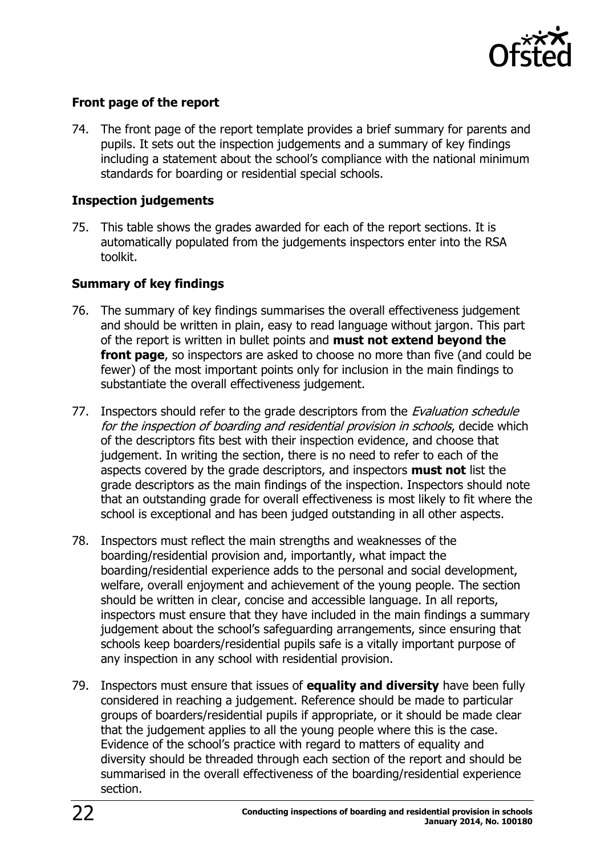

#### **Front page of the report**

74. The front page of the report template provides a brief summary for parents and pupils. It sets out the inspection judgements and a summary of key findings including a statement about the school's compliance with the national minimum standards for boarding or residential special schools.

#### **Inspection judgements**

75. This table shows the grades awarded for each of the report sections. It is automatically populated from the judgements inspectors enter into the RSA toolkit.

#### **Summary of key findings**

- 76. The summary of key findings summarises the overall effectiveness judgement and should be written in plain, easy to read language without jargon. This part of the report is written in bullet points and **must not extend beyond the front page**, so inspectors are asked to choose no more than five (and could be fewer) of the most important points only for inclusion in the main findings to substantiate the overall effectiveness judgement.
- 77. Inspectors should refer to the grade descriptors from the *Evaluation schedule* for the inspection of boarding and residential provision in schools, decide which of the descriptors fits best with their inspection evidence, and choose that judgement. In writing the section, there is no need to refer to each of the aspects covered by the grade descriptors, and inspectors **must not** list the grade descriptors as the main findings of the inspection. Inspectors should note that an outstanding grade for overall effectiveness is most likely to fit where the school is exceptional and has been judged outstanding in all other aspects.
- 78. Inspectors must reflect the main strengths and weaknesses of the boarding/residential provision and, importantly, what impact the boarding/residential experience adds to the personal and social development, welfare, overall enjoyment and achievement of the young people. The section should be written in clear, concise and accessible language. In all reports, inspectors must ensure that they have included in the main findings a summary judgement about the school's safeguarding arrangements, since ensuring that schools keep boarders/residential pupils safe is a vitally important purpose of any inspection in any school with residential provision.
- 79. Inspectors must ensure that issues of **equality and diversity** have been fully considered in reaching a judgement. Reference should be made to particular groups of boarders/residential pupils if appropriate, or it should be made clear that the judgement applies to all the young people where this is the case. Evidence of the school's practice with regard to matters of equality and diversity should be threaded through each section of the report and should be summarised in the overall effectiveness of the boarding/residential experience section.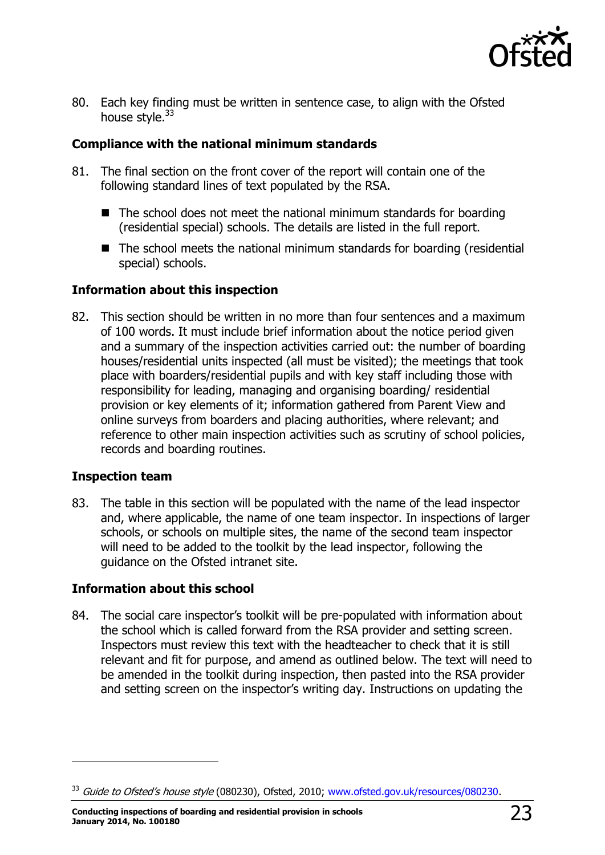

80. Each key finding must be written in sentence case, to align with the Ofsted house style.<sup>33</sup>

#### **Compliance with the national minimum standards**

- 81. The final section on the front cover of the report will contain one of the following standard lines of text populated by the RSA.
	- The school does not meet the national minimum standards for boarding (residential special) schools. The details are listed in the full report.
	- $\blacksquare$  The school meets the national minimum standards for boarding (residential special) schools.

#### **Information about this inspection**

82. This section should be written in no more than four sentences and a maximum of 100 words. It must include brief information about the notice period given and a summary of the inspection activities carried out: the number of boarding houses/residential units inspected (all must be visited); the meetings that took place with boarders/residential pupils and with key staff including those with responsibility for leading, managing and organising boarding/ residential provision or key elements of it; information gathered from Parent View and online surveys from boarders and placing authorities, where relevant; and reference to other main inspection activities such as scrutiny of school policies, records and boarding routines.

#### **Inspection team**

j

83. The table in this section will be populated with the name of the lead inspector and, where applicable, the name of one team inspector. In inspections of larger schools, or schools on multiple sites, the name of the second team inspector will need to be added to the toolkit by the lead inspector, following the guidance on the Ofsted intranet site.

#### **Information about this school**

84. The social care inspector's toolkit will be pre-populated with information about the school which is called forward from the RSA provider and setting screen. Inspectors must review this text with the headteacher to check that it is still relevant and fit for purpose, and amend as outlined below. The text will need to be amended in the toolkit during inspection, then pasted into the RSA provider and setting screen on the inspector's writing day. Instructions on updating the

<sup>&</sup>lt;sup>33</sup> Guide to Ofsted's house style (080230), Ofsted, 2010; [www.ofsted.gov.uk/resources/080230.](http://www.ofsted.gov.uk/resources/080230)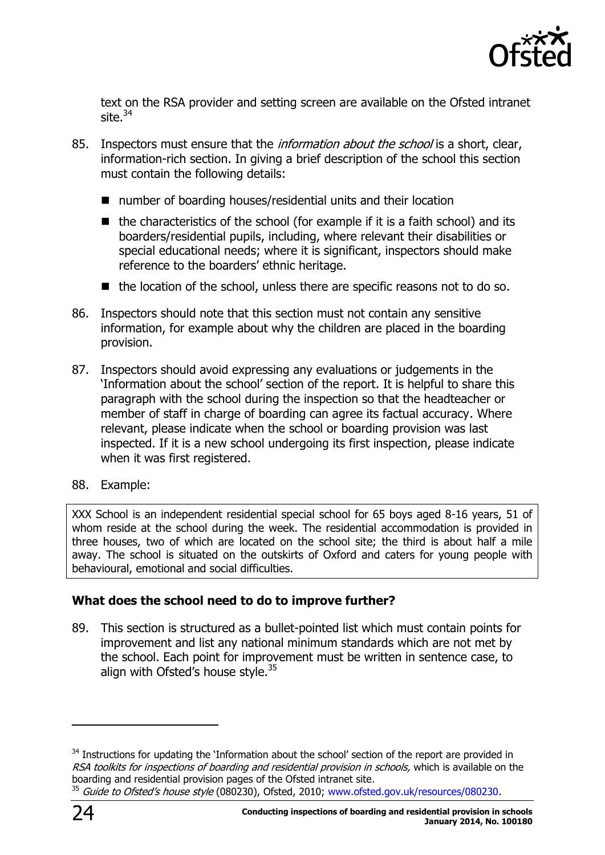

text on the RSA provider and setting screen are available on the Ofsted intranet site. $34$ 

- 85. Inspectors must ensure that the *information about the school* is a short, clear, information-rich section. In giving a brief description of the school this section must contain the following details:
	- number of boarding houses/residential units and their location
	- $\blacksquare$  the characteristics of the school (for example if it is a faith school) and its boarders/residential pupils, including, where relevant their disabilities or special educational needs; where it is significant, inspectors should make reference to the boarders' ethnic heritage.
	- $\blacksquare$  the location of the school, unless there are specific reasons not to do so.
- 86. Inspectors should note that this section must not contain any sensitive information, for example about why the children are placed in the boarding provision.
- 87. Inspectors should avoid expressing any evaluations or judgements in the 'Information about the school' section of the report. It is helpful to share this paragraph with the school during the inspection so that the headteacher or member of staff in charge of boarding can agree its factual accuracy. Where relevant, please indicate when the school or boarding provision was last inspected. If it is a new school undergoing its first inspection, please indicate when it was first registered.
- 88. Example:

XXX School is an independent residential special school for 65 boys aged 8-16 years, 51 of whom reside at the school during the week. The residential accommodation is provided in three houses, two of which are located on the school site; the third is about half a mile away. The school is situated on the outskirts of Oxford and caters for young people with behavioural, emotional and social difficulties.

#### **What does the school need to do to improve further?**

89. This section is structured as a bullet-pointed list which must contain points for improvement and list any national minimum standards which are not met by the school. Each point for improvement must be written in sentence case, to align with Ofsted's house style. $35$ 

-

<sup>&</sup>lt;sup>34</sup> Instructions for updating the 'Information about the school' section of the report are provided in RSA toolkits for inspections of boarding and residential provision in schools, which is available on the boarding and residential provision pages of the Ofsted intranet site.

<sup>&</sup>lt;sup>35</sup> Guide to Ofsted's house style (080230), Ofsted, 2010; [www.ofsted.gov.uk/resources/080230.](http://www.ofsted.gov.uk/resources/080230)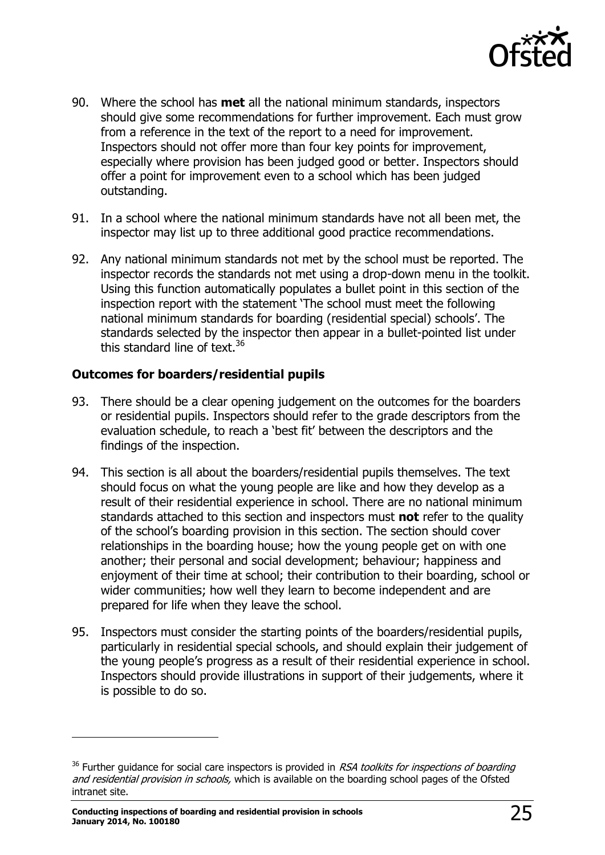

- 90. Where the school has **met** all the national minimum standards, inspectors should give some recommendations for further improvement. Each must grow from a reference in the text of the report to a need for improvement. Inspectors should not offer more than four key points for improvement, especially where provision has been judged good or better. Inspectors should offer a point for improvement even to a school which has been judged outstanding.
- 91. In a school where the national minimum standards have not all been met, the inspector may list up to three additional good practice recommendations.
- 92. Any national minimum standards not met by the school must be reported. The inspector records the standards not met using a drop-down menu in the toolkit. Using this function automatically populates a bullet point in this section of the inspection report with the statement 'The school must meet the following national minimum standards for boarding (residential special) schools'. The standards selected by the inspector then appear in a bullet-pointed list under this standard line of text.  $36$

#### **Outcomes for boarders/residential pupils**

- 93. There should be a clear opening judgement on the outcomes for the boarders or residential pupils. Inspectors should refer to the grade descriptors from the evaluation schedule, to reach a 'best fit' between the descriptors and the findings of the inspection.
- 94. This section is all about the boarders/residential pupils themselves. The text should focus on what the young people are like and how they develop as a result of their residential experience in school. There are no national minimum standards attached to this section and inspectors must **not** refer to the quality of the school's boarding provision in this section. The section should cover relationships in the boarding house; how the young people get on with one another; their personal and social development; behaviour; happiness and enjoyment of their time at school; their contribution to their boarding, school or wider communities; how well they learn to become independent and are prepared for life when they leave the school.
- 95. Inspectors must consider the starting points of the boarders/residential pupils, particularly in residential special schools, and should explain their judgement of the young people's progress as a result of their residential experience in school. Inspectors should provide illustrations in support of their judgements, where it is possible to do so.

-

 $36$  Further guidance for social care inspectors is provided in RSA toolkits for inspections of boarding and residential provision in schools, which is available on the boarding school pages of the Ofsted intranet site.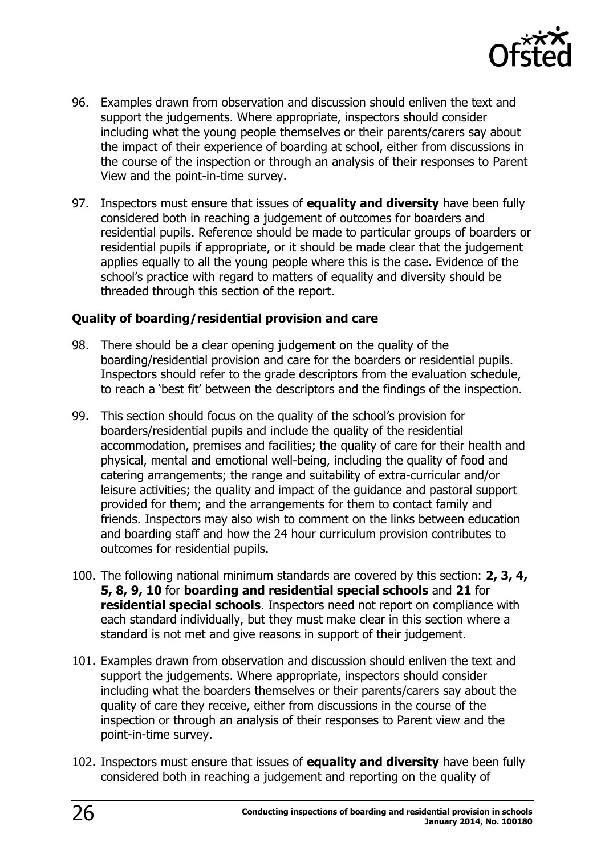

- 96. Examples drawn from observation and discussion should enliven the text and support the judgements. Where appropriate, inspectors should consider including what the young people themselves or their parents/carers say about the impact of their experience of boarding at school, either from discussions in the course of the inspection or through an analysis of their responses to Parent View and the point-in-time survey.
- 97. Inspectors must ensure that issues of **equality and diversity** have been fully considered both in reaching a judgement of outcomes for boarders and residential pupils. Reference should be made to particular groups of boarders or residential pupils if appropriate, or it should be made clear that the judgement applies equally to all the young people where this is the case. Evidence of the school's practice with regard to matters of equality and diversity should be threaded through this section of the report.

#### **Quality of boarding/residential provision and care**

- 98. There should be a clear opening judgement on the quality of the boarding/residential provision and care for the boarders or residential pupils. Inspectors should refer to the grade descriptors from the evaluation schedule, to reach a 'best fit' between the descriptors and the findings of the inspection.
- 99. This section should focus on the quality of the school's provision for boarders/residential pupils and include the quality of the residential accommodation, premises and facilities; the quality of care for their health and physical, mental and emotional well-being, including the quality of food and catering arrangements; the range and suitability of extra-curricular and/or leisure activities; the quality and impact of the guidance and pastoral support provided for them; and the arrangements for them to contact family and friends. Inspectors may also wish to comment on the links between education and boarding staff and how the 24 hour curriculum provision contributes to outcomes for residential pupils.
- 100. The following national minimum standards are covered by this section: **2, 3, 4, 5, 8, 9, 10** for **boarding and residential special schools** and **21** for **residential special schools**. Inspectors need not report on compliance with each standard individually, but they must make clear in this section where a standard is not met and give reasons in support of their judgement.
- 101. Examples drawn from observation and discussion should enliven the text and support the judgements. Where appropriate, inspectors should consider including what the boarders themselves or their parents/carers say about the quality of care they receive, either from discussions in the course of the inspection or through an analysis of their responses to Parent view and the point-in-time survey.
- 102. Inspectors must ensure that issues of **equality and diversity** have been fully considered both in reaching a judgement and reporting on the quality of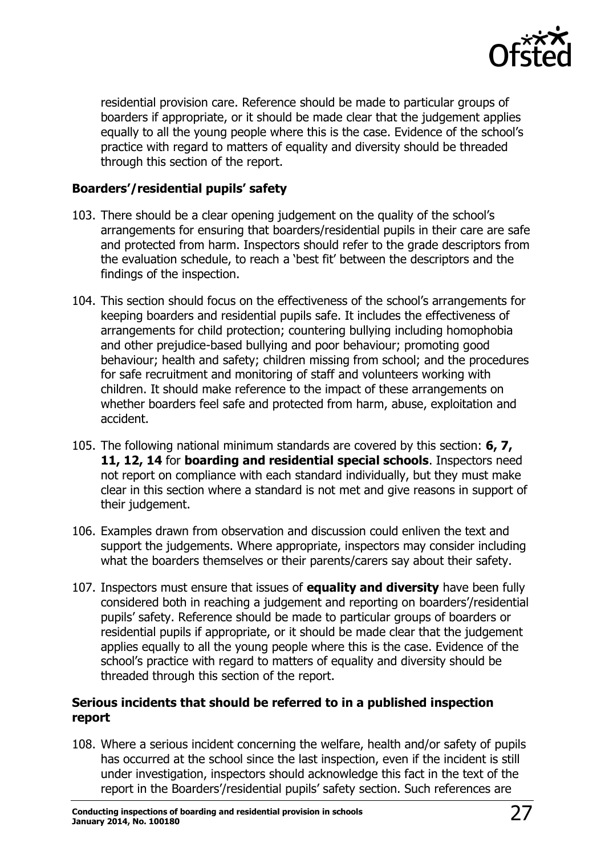

residential provision care. Reference should be made to particular groups of boarders if appropriate, or it should be made clear that the judgement applies equally to all the young people where this is the case. Evidence of the school's practice with regard to matters of equality and diversity should be threaded through this section of the report.

#### **Boarders'/residential pupils' safety**

- 103. There should be a clear opening judgement on the quality of the school's arrangements for ensuring that boarders/residential pupils in their care are safe and protected from harm. Inspectors should refer to the grade descriptors from the evaluation schedule, to reach a 'best fit' between the descriptors and the findings of the inspection.
- 104. This section should focus on the effectiveness of the school's arrangements for keeping boarders and residential pupils safe. It includes the effectiveness of arrangements for child protection; countering bullying including homophobia and other prejudice-based bullying and poor behaviour; promoting good behaviour; health and safety; children missing from school; and the procedures for safe recruitment and monitoring of staff and volunteers working with children. It should make reference to the impact of these arrangements on whether boarders feel safe and protected from harm, abuse, exploitation and accident.
- 105. The following national minimum standards are covered by this section: **6, 7, 11, 12, 14** for **boarding and residential special schools**. Inspectors need not report on compliance with each standard individually, but they must make clear in this section where a standard is not met and give reasons in support of their judgement.
- 106. Examples drawn from observation and discussion could enliven the text and support the judgements. Where appropriate, inspectors may consider including what the boarders themselves or their parents/carers say about their safety.
- 107. Inspectors must ensure that issues of **equality and diversity** have been fully considered both in reaching a judgement and reporting on boarders'/residential pupils' safety. Reference should be made to particular groups of boarders or residential pupils if appropriate, or it should be made clear that the judgement applies equally to all the young people where this is the case. Evidence of the school's practice with regard to matters of equality and diversity should be threaded through this section of the report.

#### **Serious incidents that should be referred to in a published inspection report**

108. Where a serious incident concerning the welfare, health and/or safety of pupils has occurred at the school since the last inspection, even if the incident is still under investigation, inspectors should acknowledge this fact in the text of the report in the Boarders'/residential pupils' safety section. Such references are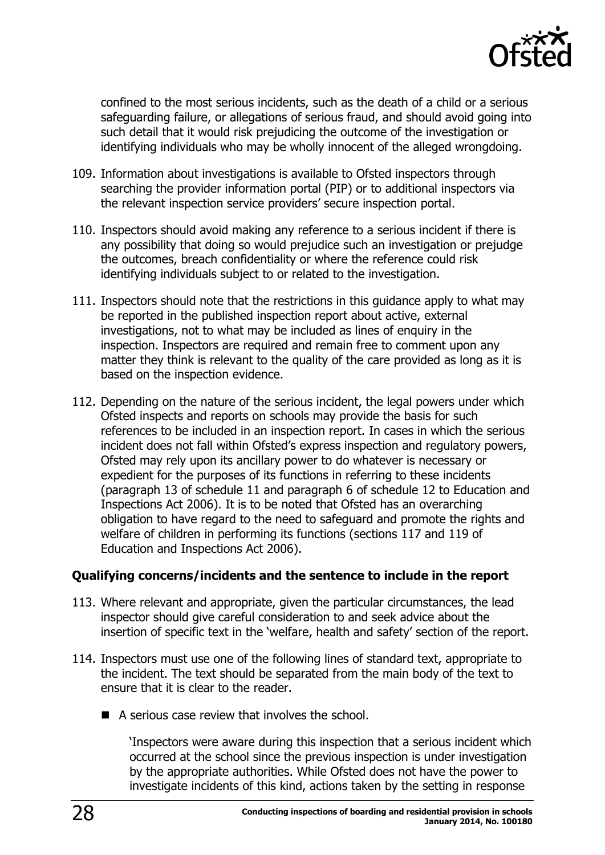

confined to the most serious incidents, such as the death of a child or a serious safeguarding failure, or allegations of serious fraud, and should avoid going into such detail that it would risk prejudicing the outcome of the investigation or identifying individuals who may be wholly innocent of the alleged wrongdoing.

- 109. Information about investigations is available to Ofsted inspectors through searching the provider information portal (PIP) or to additional inspectors via the relevant inspection service providers' secure inspection portal.
- 110. Inspectors should avoid making any reference to a serious incident if there is any possibility that doing so would prejudice such an investigation or prejudge the outcomes, breach confidentiality or where the reference could risk identifying individuals subject to or related to the investigation.
- 111. Inspectors should note that the restrictions in this guidance apply to what may be reported in the published inspection report about active, external investigations, not to what may be included as lines of enquiry in the inspection. Inspectors are required and remain free to comment upon any matter they think is relevant to the quality of the care provided as long as it is based on the inspection evidence.
- 112. Depending on the nature of the serious incident, the legal powers under which Ofsted inspects and reports on schools may provide the basis for such references to be included in an inspection report. In cases in which the serious incident does not fall within Ofsted's express inspection and regulatory powers, Ofsted may rely upon its ancillary power to do whatever is necessary or expedient for the purposes of its functions in referring to these incidents (paragraph 13 of schedule 11 and paragraph 6 of schedule 12 to Education and Inspections Act 2006). It is to be noted that Ofsted has an overarching obligation to have regard to the need to safeguard and promote the rights and welfare of children in performing its functions (sections 117 and 119 of Education and Inspections Act 2006).

#### **Qualifying concerns/incidents and the sentence to include in the report**

- 113. Where relevant and appropriate, given the particular circumstances, the lead inspector should give careful consideration to and seek advice about the insertion of specific text in the 'welfare, health and safety' section of the report.
- 114. Inspectors must use one of the following lines of standard text, appropriate to the incident. The text should be separated from the main body of the text to ensure that it is clear to the reader.
	- A serious case review that involves the school.

'Inspectors were aware during this inspection that a serious incident which occurred at the school since the previous inspection is under investigation by the appropriate authorities. While Ofsted does not have the power to investigate incidents of this kind, actions taken by the setting in response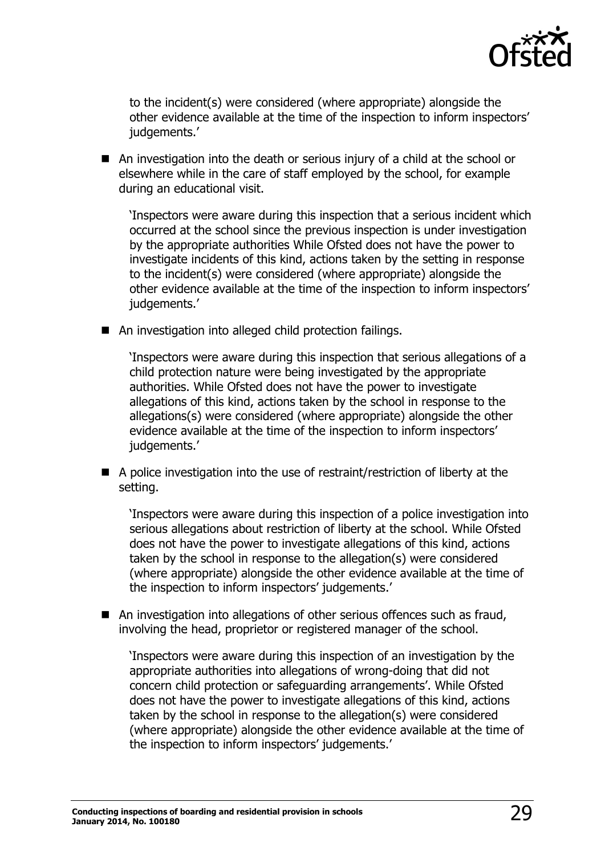

to the incident(s) were considered (where appropriate) alongside the other evidence available at the time of the inspection to inform inspectors' iudgements.'

 An investigation into the death or serious injury of a child at the school or elsewhere while in the care of staff employed by the school, for example during an educational visit.

'Inspectors were aware during this inspection that a serious incident which occurred at the school since the previous inspection is under investigation by the appropriate authorities While Ofsted does not have the power to investigate incidents of this kind, actions taken by the setting in response to the incident(s) were considered (where appropriate) alongside the other evidence available at the time of the inspection to inform inspectors' judgements.'

■ An investigation into alleged child protection failings.

'Inspectors were aware during this inspection that serious allegations of a child protection nature were being investigated by the appropriate authorities. While Ofsted does not have the power to investigate allegations of this kind, actions taken by the school in response to the allegations(s) were considered (where appropriate) alongside the other evidence available at the time of the inspection to inform inspectors' judgements.'

 A police investigation into the use of restraint/restriction of liberty at the setting.

'Inspectors were aware during this inspection of a police investigation into serious allegations about restriction of liberty at the school. While Ofsted does not have the power to investigate allegations of this kind, actions taken by the school in response to the allegation(s) were considered (where appropriate) alongside the other evidence available at the time of the inspection to inform inspectors' judgements.'

■ An investigation into allegations of other serious offences such as fraud, involving the head, proprietor or registered manager of the school.

'Inspectors were aware during this inspection of an investigation by the appropriate authorities into allegations of wrong-doing that did not concern child protection or safeguarding arrangements'. While Ofsted does not have the power to investigate allegations of this kind, actions taken by the school in response to the allegation(s) were considered (where appropriate) alongside the other evidence available at the time of the inspection to inform inspectors' judgements.'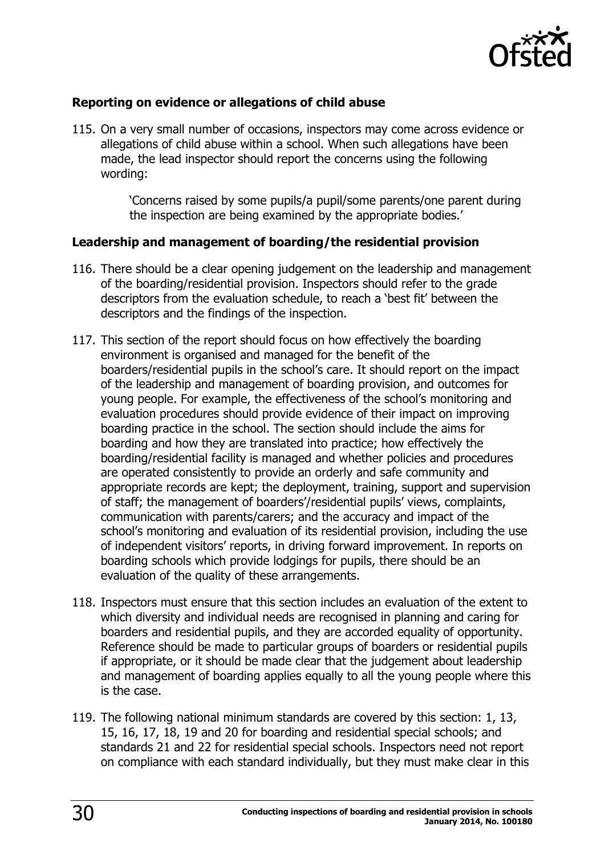

#### **Reporting on evidence or allegations of child abuse**

115. On a very small number of occasions, inspectors may come across evidence or allegations of child abuse within a school. When such allegations have been made, the lead inspector should report the concerns using the following wording:

> 'Concerns raised by some pupils/a pupil/some parents/one parent during the inspection are being examined by the appropriate bodies.'

#### **Leadership and management of boarding/the residential provision**

- 116. There should be a clear opening judgement on the leadership and management of the boarding/residential provision. Inspectors should refer to the grade descriptors from the evaluation schedule, to reach a 'best fit' between the descriptors and the findings of the inspection.
- 117. This section of the report should focus on how effectively the boarding environment is organised and managed for the benefit of the boarders/residential pupils in the school's care. It should report on the impact of the leadership and management of boarding provision, and outcomes for young people. For example, the effectiveness of the school's monitoring and evaluation procedures should provide evidence of their impact on improving boarding practice in the school. The section should include the aims for boarding and how they are translated into practice; how effectively the boarding/residential facility is managed and whether policies and procedures are operated consistently to provide an orderly and safe community and appropriate records are kept; the deployment, training, support and supervision of staff; the management of boarders'/residential pupils' views, complaints, communication with parents/carers; and the accuracy and impact of the school's monitoring and evaluation of its residential provision, including the use of independent visitors' reports, in driving forward improvement. In reports on boarding schools which provide lodgings for pupils, there should be an evaluation of the quality of these arrangements.
- 118. Inspectors must ensure that this section includes an evaluation of the extent to which diversity and individual needs are recognised in planning and caring for boarders and residential pupils, and they are accorded equality of opportunity. Reference should be made to particular groups of boarders or residential pupils if appropriate, or it should be made clear that the judgement about leadership and management of boarding applies equally to all the young people where this is the case.
- 119. The following national minimum standards are covered by this section: 1, 13, 15, 16, 17, 18, 19 and 20 for boarding and residential special schools; and standards 21 and 22 for residential special schools. Inspectors need not report on compliance with each standard individually, but they must make clear in this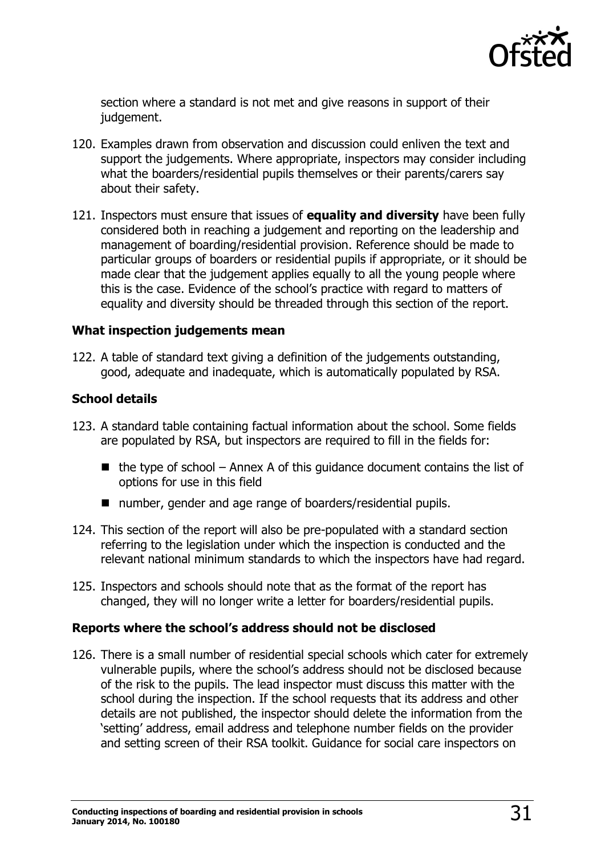

section where a standard is not met and give reasons in support of their judgement.

- 120. Examples drawn from observation and discussion could enliven the text and support the judgements. Where appropriate, inspectors may consider including what the boarders/residential pupils themselves or their parents/carers say about their safety.
- 121. Inspectors must ensure that issues of **equality and diversity** have been fully considered both in reaching a judgement and reporting on the leadership and management of boarding/residential provision. Reference should be made to particular groups of boarders or residential pupils if appropriate, or it should be made clear that the judgement applies equally to all the young people where this is the case. Evidence of the school's practice with regard to matters of equality and diversity should be threaded through this section of the report.

#### **What inspection judgements mean**

122. A table of standard text giving a definition of the judgements outstanding, good, adequate and inadequate, which is automatically populated by RSA.

#### **School details**

- 123. A standard table containing factual information about the school. Some fields are populated by RSA, but inspectors are required to fill in the fields for:
	- $\blacksquare$  the type of school Annex A of this guidance document contains the list of options for use in this field
	- number, gender and age range of boarders/residential pupils.
- 124. This section of the report will also be pre-populated with a standard section referring to the legislation under which the inspection is conducted and the relevant national minimum standards to which the inspectors have had regard.
- 125. Inspectors and schools should note that as the format of the report has changed, they will no longer write a letter for boarders/residential pupils.

#### **Reports where the school's address should not be disclosed**

126. There is a small number of residential special schools which cater for extremely vulnerable pupils, where the school's address should not be disclosed because of the risk to the pupils. The lead inspector must discuss this matter with the school during the inspection. If the school requests that its address and other details are not published, the inspector should delete the information from the 'setting' address, email address and telephone number fields on the provider and setting screen of their RSA toolkit. Guidance for social care inspectors on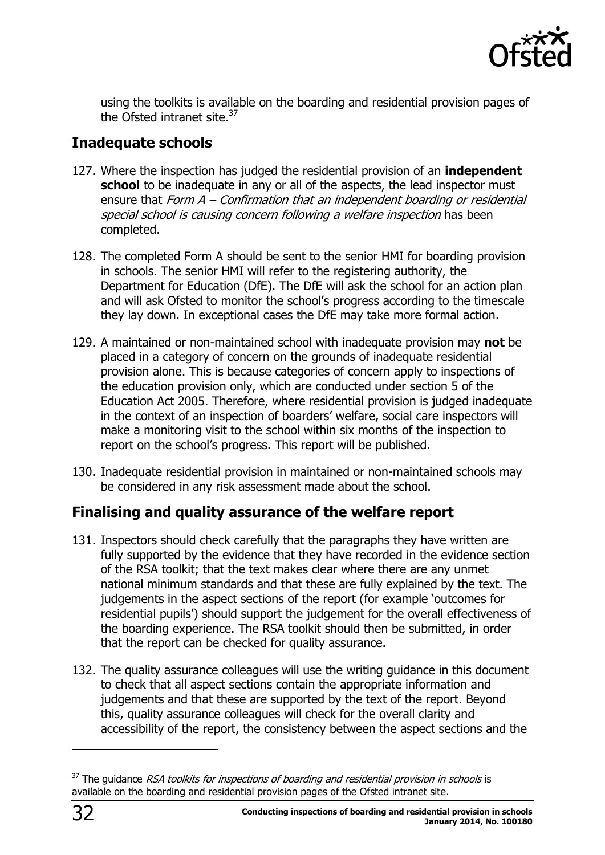

using the toolkits is available on the boarding and residential provision pages of the Ofsted intranet site.<sup>37</sup>

# <span id="page-31-0"></span>**Inadequate schools**

- 127. Where the inspection has judged the residential provision of an **independent school** to be inadequate in any or all of the aspects, the lead inspector must ensure that Form A – Confirmation that an independent boarding or residential special school is causing concern following a welfare inspection has been completed.
- 128. The completed Form A should be sent to the senior HMI for boarding provision in schools. The senior HMI will refer to the registering authority, the Department for Education (DfE). The DfE will ask the school for an action plan and will ask Ofsted to monitor the school's progress according to the timescale they lay down. In exceptional cases the DfE may take more formal action.
- 129. A maintained or non-maintained school with inadequate provision may **not** be placed in a category of concern on the grounds of inadequate residential provision alone. This is because categories of concern apply to inspections of the education provision only, which are conducted under section 5 of the Education Act 2005. Therefore, where residential provision is judged inadequate in the context of an inspection of boarders' welfare, social care inspectors will make a monitoring visit to the school within six months of the inspection to report on the school's progress. This report will be published.
- 130. Inadequate residential provision in maintained or non-maintained schools may be considered in any risk assessment made about the school.

# <span id="page-31-1"></span>**Finalising and quality assurance of the welfare report**

- 131. Inspectors should check carefully that the paragraphs they have written are fully supported by the evidence that they have recorded in the evidence section of the RSA toolkit; that the text makes clear where there are any unmet national minimum standards and that these are fully explained by the text. The judgements in the aspect sections of the report (for example 'outcomes for residential pupils') should support the judgement for the overall effectiveness of the boarding experience. The RSA toolkit should then be submitted, in order that the report can be checked for quality assurance.
- 132. The quality assurance colleagues will use the writing guidance in this document to check that all aspect sections contain the appropriate information and judgements and that these are supported by the text of the report. Beyond this, quality assurance colleagues will check for the overall clarity and accessibility of the report, the consistency between the aspect sections and the

 $37$  The guidance RSA toolkits for inspections of boarding and residential provision in schools is available on the boarding and residential provision pages of the Ofsted intranet site.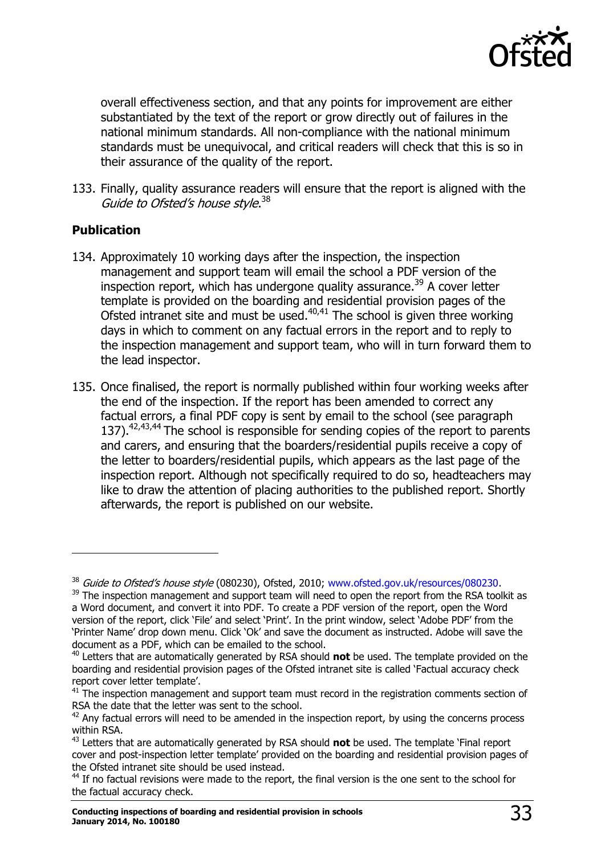

overall effectiveness section, and that any points for improvement are either substantiated by the text of the report or grow directly out of failures in the national minimum standards. All non-compliance with the national minimum standards must be unequivocal, and critical readers will check that this is so in their assurance of the quality of the report.

133. Finally, quality assurance readers will ensure that the report is aligned with the Guide to Ofsted's house style.<sup>38</sup>

#### **Publication**

- 134. Approximately 10 working days after the inspection, the inspection management and support team will email the school a PDF version of the inspection report, which has undergone quality assurance.<sup>39</sup> A cover letter template is provided on the boarding and residential provision pages of the Ofsted intranet site and must be used.<sup>40,41</sup> The school is given three working days in which to comment on any factual errors in the report and to reply to the inspection management and support team, who will in turn forward them to the lead inspector.
- 135. Once finalised, the report is normally published within four working weeks after the end of the inspection. If the report has been amended to correct any factual errors, a final PDF copy is sent by email to the school (see paragraph 137).<sup>42,43,44</sup> The school is responsible for sending copies of the report to parents and carers, and ensuring that the boarders/residential pupils receive a copy of the letter to boarders/residential pupils, which appears as the last page of the inspection report. Although not specifically required to do so, headteachers may like to draw the attention of placing authorities to the published report. Shortly afterwards, the report is published on our website.

<sup>&</sup>lt;sup>38</sup> Guide to Ofsted's house style (080230), Ofsted, 2010; [www.ofsted.gov.uk/resources/080230.](http://www.ofsted.gov.uk/resources/guide-ofsteds-house-style)

<sup>&</sup>lt;sup>39</sup> The inspection management and support team will need to open the report from the RSA toolkit as a Word document, and convert it into PDF. To create a PDF version of the report, open the Word version of the report, click 'File' and select 'Print'. In the print window, select 'Adobe PDF' from the 'Printer Name' drop down menu. Click 'Ok' and save the document as instructed. Adobe will save the document as a PDF, which can be emailed to the school.

<sup>40</sup> Letters that are automatically generated by RSA should **not** be used. The template provided on the boarding and residential provision pages of the Ofsted intranet site is called 'Factual accuracy check report cover letter template'.

 $41$  The inspection management and support team must record in the registration comments section of RSA the date that the letter was sent to the school.

 $42$  Anv factual errors will need to be amended in the inspection report, by using the concerns process within RSA.

<sup>43</sup> Letters that are automatically generated by RSA should **not** be used. The template 'Final report cover and post-inspection letter template' provided on the boarding and residential provision pages of the Ofsted intranet site should be used instead.

<sup>&</sup>lt;sup>44</sup> If no factual revisions were made to the report, the final version is the one sent to the school for the factual accuracy check.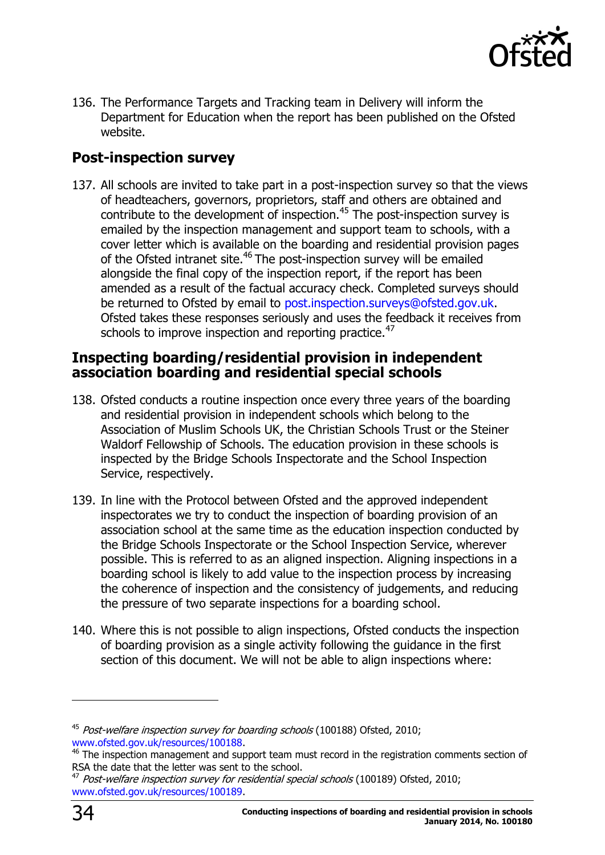

136. The Performance Targets and Tracking team in Delivery will inform the Department for Education when the report has been published on the Ofsted website.

# <span id="page-33-0"></span>**Post-inspection survey**

137. All schools are invited to take part in a post-inspection survey so that the views of headteachers, governors, proprietors, staff and others are obtained and contribute to the development of inspection.<sup>45</sup> The post-inspection survey is emailed by the inspection management and support team to schools, with a cover letter which is available on the boarding and residential provision pages of the Ofsted intranet site.<sup>46</sup> The post-inspection survey will be emailed alongside the final copy of the inspection report, if the report has been amended as a result of the factual accuracy check. Completed surveys should be returned to Ofsted by email to [post.inspection.surveys@ofsted.gov.uk.](mailto:post.inspection.surveys@ofsted.gov.uk) Ofsted takes these responses seriously and uses the feedback it receives from schools to improve inspection and reporting practice.<sup>47</sup>

#### <span id="page-33-1"></span>**Inspecting boarding/residential provision in independent association boarding and residential special schools**

- 138. Ofsted conducts a routine inspection once every three years of the boarding and residential provision in independent schools which belong to the Association of Muslim Schools UK, the Christian Schools Trust or the Steiner Waldorf Fellowship of Schools. The education provision in these schools is inspected by the Bridge Schools Inspectorate and the School Inspection Service, respectively.
- 139. In line with the Protocol between Ofsted and the approved independent inspectorates we try to conduct the inspection of boarding provision of an association school at the same time as the education inspection conducted by the Bridge Schools Inspectorate or the School Inspection Service, wherever possible. This is referred to as an aligned inspection. Aligning inspections in a boarding school is likely to add value to the inspection process by increasing the coherence of inspection and the consistency of judgements, and reducing the pressure of two separate inspections for a boarding school.
- 140. Where this is not possible to align inspections, Ofsted conducts the inspection of boarding provision as a single activity following the guidance in the first section of this document. We will not be able to align inspections where:

<sup>&</sup>lt;sup>45</sup> Post-welfare inspection survey for boarding schools (100188) Ofsted, 2010; [www.ofsted.gov.uk/resources/100188.](http://www.ofsted.gov.uk/resources/post-welfare-inspection-survey-for-boarding-schools)

 $46$  The inspection management and support team must record in the registration comments section of RSA the date that the letter was sent to the school.

Post-welfare inspection survey for residential special schools (100189) Ofsted, 2010; [www.ofsted.gov.uk/resources/100189.](http://www.ofsted.gov.uk/resources/post-welfare-inspection-survey-for-residential-special-schools)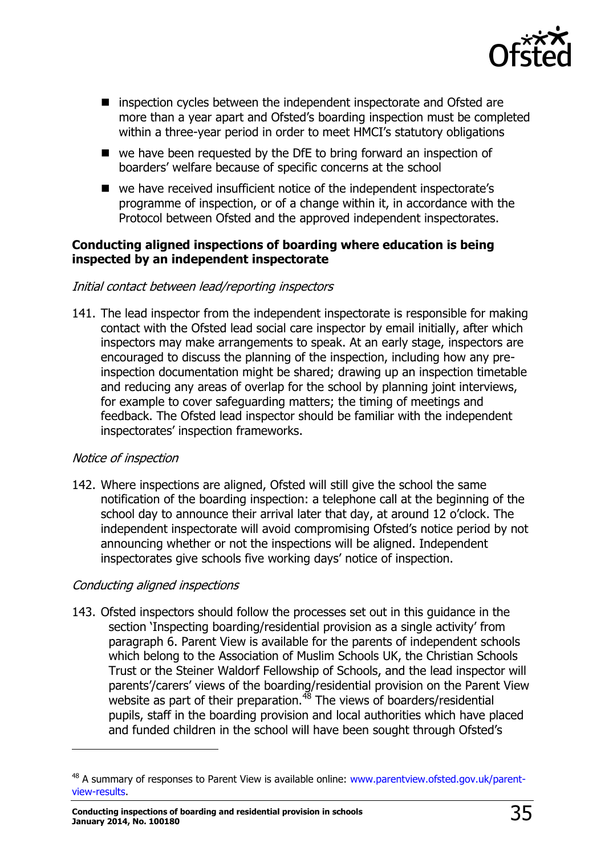

- inspection cycles between the independent inspectorate and Ofsted are more than a year apart and Ofsted's boarding inspection must be completed within a three-year period in order to meet HMCI's statutory obligations
- we have been requested by the DfE to bring forward an inspection of boarders' welfare because of specific concerns at the school
- we have received insufficient notice of the independent inspectorate's programme of inspection, or of a change within it, in accordance with the Protocol between Ofsted and the approved independent inspectorates.

#### **Conducting aligned inspections of boarding where education is being inspected by an independent inspectorate**

#### Initial contact between lead/reporting inspectors

141. The lead inspector from the independent inspectorate is responsible for making contact with the Ofsted lead social care inspector by email initially, after which inspectors may make arrangements to speak. At an early stage, inspectors are encouraged to discuss the planning of the inspection, including how any preinspection documentation might be shared; drawing up an inspection timetable and reducing any areas of overlap for the school by planning joint interviews, for example to cover safeguarding matters; the timing of meetings and feedback. The Ofsted lead inspector should be familiar with the independent inspectorates' inspection frameworks.

#### Notice of inspection

j

142. Where inspections are aligned, Ofsted will still give the school the same notification of the boarding inspection: a telephone call at the beginning of the school day to announce their arrival later that day, at around 12 o'clock. The independent inspectorate will avoid compromising Ofsted's notice period by not announcing whether or not the inspections will be aligned. Independent inspectorates give schools five working days' notice of inspection.

#### Conducting aligned inspections

143. Ofsted inspectors should follow the processes set out in this guidance in the section 'Inspecting boarding/residential provision as a single activity' from paragraph 6. Parent View is available for the parents of independent schools which belong to the Association of Muslim Schools UK, the Christian Schools Trust or the Steiner Waldorf Fellowship of Schools, and the lead inspector will parents'/carers' views of the boarding/residential provision on the Parent View website as part of their preparation.<sup>48</sup> The views of boarders/residential pupils, staff in the boarding provision and local authorities which have placed and funded children in the school will have been sought through Ofsted's

<sup>&</sup>lt;sup>48</sup> A summary of responses to Parent View is available online: [www.parentview.ofsted.gov.uk/parent](http://www.parentview.ofsted.gov.uk/parent-view-results)[view-results.](http://www.parentview.ofsted.gov.uk/parent-view-results)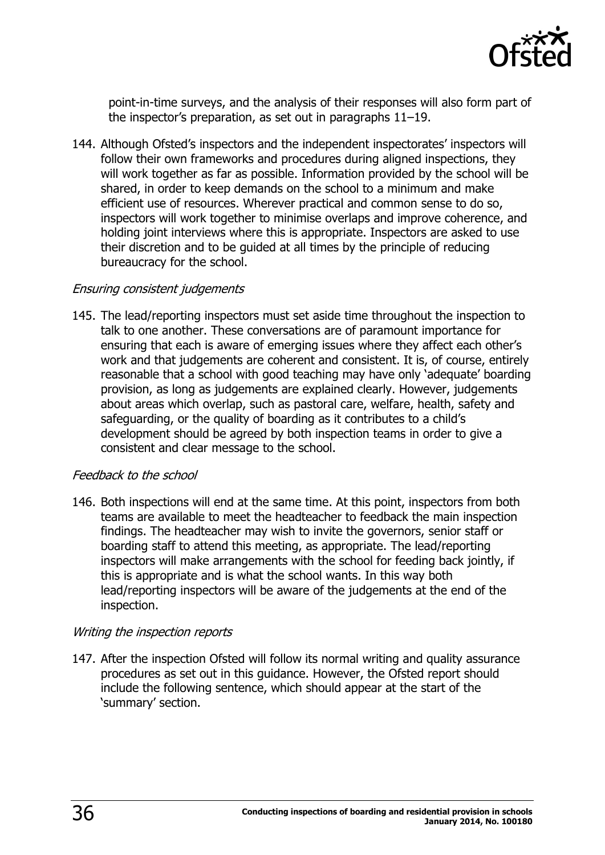

point-in-time surveys, and the analysis of their responses will also form part of the inspector's preparation, as set out in paragraphs 11–19.

144. Although Ofsted's inspectors and the independent inspectorates' inspectors will follow their own frameworks and procedures during aligned inspections, they will work together as far as possible. Information provided by the school will be shared, in order to keep demands on the school to a minimum and make efficient use of resources. Wherever practical and common sense to do so, inspectors will work together to minimise overlaps and improve coherence, and holding joint interviews where this is appropriate. Inspectors are asked to use their discretion and to be guided at all times by the principle of reducing bureaucracy for the school.

#### Ensuring consistent judgements

145. The lead/reporting inspectors must set aside time throughout the inspection to talk to one another. These conversations are of paramount importance for ensuring that each is aware of emerging issues where they affect each other's work and that judgements are coherent and consistent. It is, of course, entirely reasonable that a school with good teaching may have only 'adequate' boarding provision, as long as judgements are explained clearly. However, judgements about areas which overlap, such as pastoral care, welfare, health, safety and safeguarding, or the quality of boarding as it contributes to a child's development should be agreed by both inspection teams in order to give a consistent and clear message to the school.

#### Feedback to the school

146. Both inspections will end at the same time. At this point, inspectors from both teams are available to meet the headteacher to feedback the main inspection findings. The headteacher may wish to invite the governors, senior staff or boarding staff to attend this meeting, as appropriate. The lead/reporting inspectors will make arrangements with the school for feeding back jointly, if this is appropriate and is what the school wants. In this way both lead/reporting inspectors will be aware of the judgements at the end of the inspection.

#### Writing the inspection reports

147. After the inspection Ofsted will follow its normal writing and quality assurance procedures as set out in this guidance. However, the Ofsted report should include the following sentence, which should appear at the start of the 'summary' section.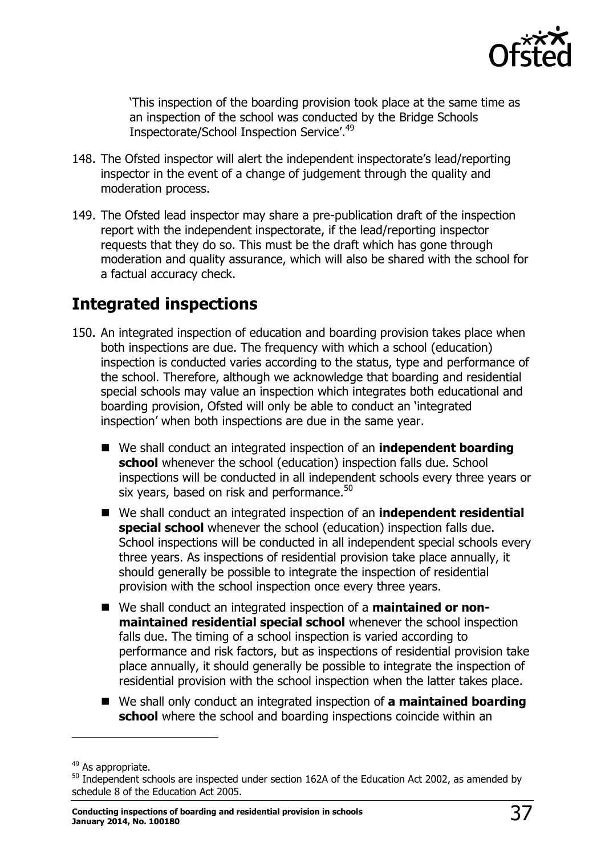

'This inspection of the boarding provision took place at the same time as an inspection of the school was conducted by the Bridge Schools Inspectorate/School Inspection Service'.<sup>49</sup>

- 148. The Ofsted inspector will alert the independent inspectorate's lead/reporting inspector in the event of a change of judgement through the quality and moderation process.
- 149. The Ofsted lead inspector may share a pre-publication draft of the inspection report with the independent inspectorate, if the lead/reporting inspector requests that they do so. This must be the draft which has gone through moderation and quality assurance, which will also be shared with the school for a factual accuracy check.

# <span id="page-36-0"></span>**Integrated inspections**

- 150. An integrated inspection of education and boarding provision takes place when both inspections are due. The frequency with which a school (education) inspection is conducted varies according to the status, type and performance of the school. Therefore, although we acknowledge that boarding and residential special schools may value an inspection which integrates both educational and boarding provision, Ofsted will only be able to conduct an 'integrated inspection' when both inspections are due in the same year.
	- We shall conduct an integrated inspection of an **independent boarding school** whenever the school (education) inspection falls due. School inspections will be conducted in all independent schools every three years or six years, based on risk and performance.<sup>50</sup>
	- We shall conduct an integrated inspection of an **independent residential special school** whenever the school (education) inspection falls due. School inspections will be conducted in all independent special schools every three years. As inspections of residential provision take place annually, it should generally be possible to integrate the inspection of residential provision with the school inspection once every three years.
	- We shall conduct an integrated inspection of a **maintained or nonmaintained residential special school** whenever the school inspection falls due. The timing of a school inspection is varied according to performance and risk factors, but as inspections of residential provision take place annually, it should generally be possible to integrate the inspection of residential provision with the school inspection when the latter takes place.
	- We shall only conduct an integrated inspection of **a maintained boarding school** where the school and boarding inspections coincide within an

-

<sup>&</sup>lt;sup>49</sup> As appropriate.

<sup>&</sup>lt;sup>50</sup> Independent schools are inspected under section 162A of the Education Act 2002, as amended by schedule 8 of the Education Act 2005.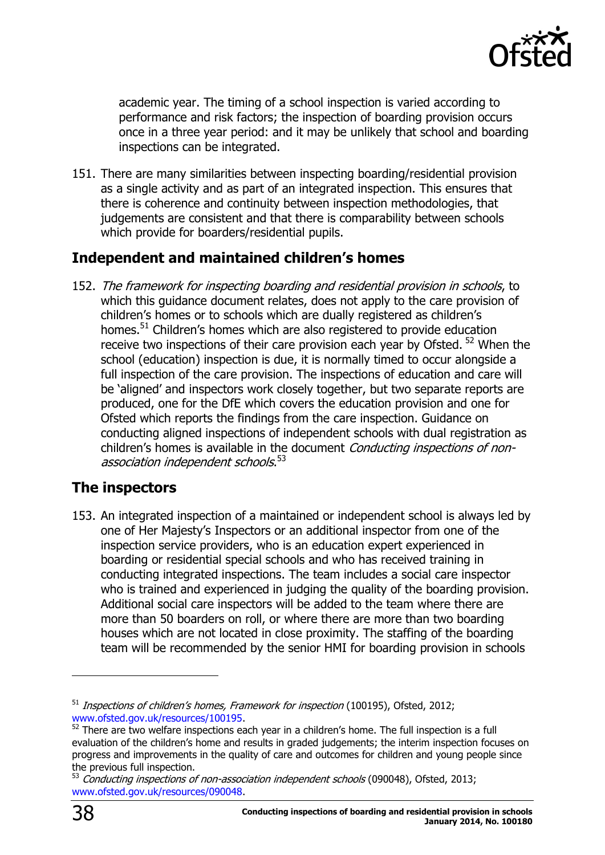

academic year. The timing of a school inspection is varied according to performance and risk factors; the inspection of boarding provision occurs once in a three year period: and it may be unlikely that school and boarding inspections can be integrated.

151. There are many similarities between inspecting boarding/residential provision as a single activity and as part of an integrated inspection. This ensures that there is coherence and continuity between inspection methodologies, that judgements are consistent and that there is comparability between schools which provide for boarders/residential pupils.

# <span id="page-37-0"></span>**Independent and maintained children's homes**

152. The framework for inspecting boarding and residential provision in schools, to which this guidance document relates, does not apply to the care provision of children's homes or to schools which are dually registered as children's homes.<sup>51</sup> Children's homes which are also registered to provide education receive two inspections of their care provision each year by Ofsted. <sup>52</sup> When the school (education) inspection is due, it is normally timed to occur alongside a full inspection of the care provision. The inspections of education and care will be 'aligned' and inspectors work closely together, but two separate reports are produced, one for the DfE which covers the education provision and one for Ofsted which reports the findings from the care inspection. Guidance on conducting aligned inspections of independent schools with dual registration as children's homes is available in the document Conducting inspections of nonassociation independent schools.<sup>53</sup>

## <span id="page-37-1"></span>**The inspectors**

153. An integrated inspection of a maintained or independent school is always led by one of Her Majesty's Inspectors or an additional inspector from one of the inspection service providers, who is an education expert experienced in boarding or residential special schools and who has received training in conducting integrated inspections. The team includes a social care inspector who is trained and experienced in judging the quality of the boarding provision. Additional social care inspectors will be added to the team where there are more than 50 boarders on roll, or where there are more than two boarding houses which are not located in close proximity. The staffing of the boarding team will be recommended by the senior HMI for boarding provision in schools

 $51$  Inspections of children's homes, Framework for inspection (100195), Ofsted, 2012; [www.ofsted.gov.uk/resources/100195.](http://www.ofsted.gov.uk/resources/100195)

<sup>&</sup>lt;sup>52</sup> There are two welfare inspections each year in a children's home. The full inspection is a full evaluation of the children's home and results in graded judgements; the interim inspection focuses on progress and improvements in the quality of care and outcomes for children and young people since the previous full inspection.

the previous rule impediation.<br><sup>53</sup> Conducting inspections of non-association independent schools (090048), Ofsted, 2013; [www.ofsted.gov.uk/resources/090048.](http://www.ofsted.gov.uk/resources/090048)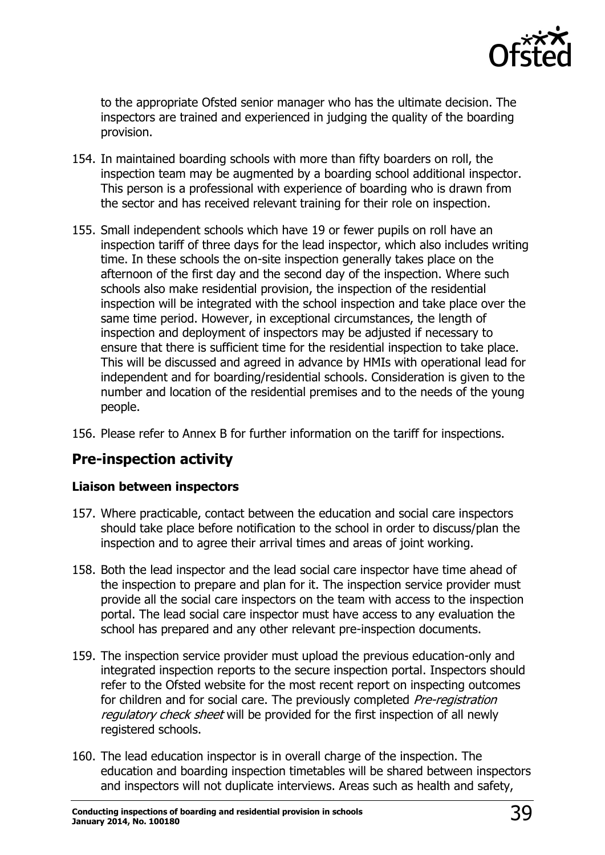

to the appropriate Ofsted senior manager who has the ultimate decision. The inspectors are trained and experienced in judging the quality of the boarding provision.

- 154. In maintained boarding schools with more than fifty boarders on roll, the inspection team may be augmented by a boarding school additional inspector. This person is a professional with experience of boarding who is drawn from the sector and has received relevant training for their role on inspection.
- 155. Small independent schools which have 19 or fewer pupils on roll have an inspection tariff of three days for the lead inspector, which also includes writing time. In these schools the on-site inspection generally takes place on the afternoon of the first day and the second day of the inspection. Where such schools also make residential provision, the inspection of the residential inspection will be integrated with the school inspection and take place over the same time period. However, in exceptional circumstances, the length of inspection and deployment of inspectors may be adjusted if necessary to ensure that there is sufficient time for the residential inspection to take place. This will be discussed and agreed in advance by HMIs with operational lead for independent and for boarding/residential schools. Consideration is given to the number and location of the residential premises and to the needs of the young people.
- 156. Please refer to Annex B for further information on the tariff for inspections.

## <span id="page-38-0"></span>**Pre-inspection activity**

#### **Liaison between inspectors**

- 157. Where practicable, contact between the education and social care inspectors should take place before notification to the school in order to discuss/plan the inspection and to agree their arrival times and areas of joint working.
- 158. Both the lead inspector and the lead social care inspector have time ahead of the inspection to prepare and plan for it. The inspection service provider must provide all the social care inspectors on the team with access to the inspection portal. The lead social care inspector must have access to any evaluation the school has prepared and any other relevant pre-inspection documents.
- 159. The inspection service provider must upload the previous education-only and integrated inspection reports to the secure inspection portal. Inspectors should refer to the Ofsted website for the most recent report on inspecting outcomes for children and for social care. The previously completed Pre-registration regulatory check sheet will be provided for the first inspection of all newly registered schools.
- 160. The lead education inspector is in overall charge of the inspection. The education and boarding inspection timetables will be shared between inspectors and inspectors will not duplicate interviews. Areas such as health and safety,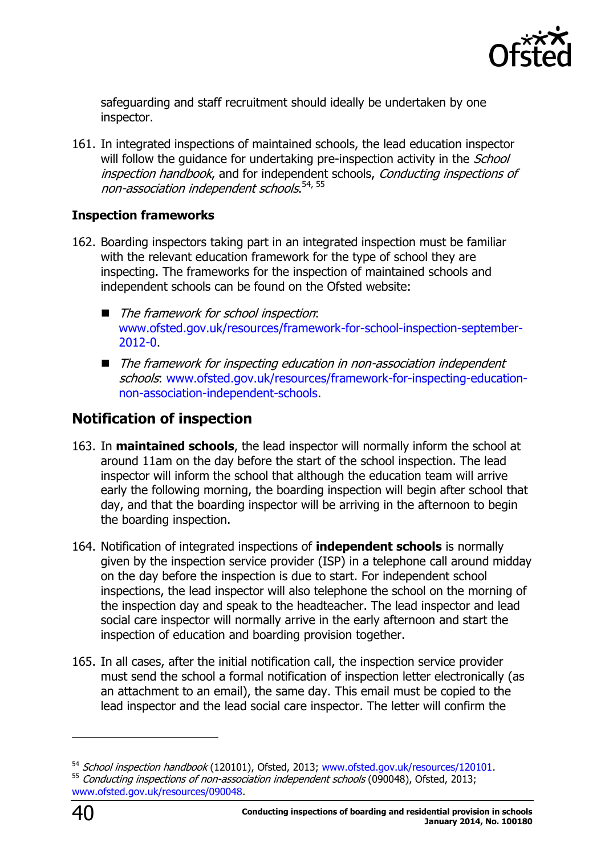

safeguarding and staff recruitment should ideally be undertaken by one inspector.

161. In integrated inspections of maintained schools, the lead education inspector will follow the quidance for undertaking pre-inspection activity in the *School* inspection handbook, and for independent schools, Conducting inspections of non-association independent schools.<sup>54, 55</sup>

#### **Inspection frameworks**

- 162. Boarding inspectors taking part in an integrated inspection must be familiar with the relevant education framework for the type of school they are inspecting. The frameworks for the inspection of maintained schools and independent schools can be found on the Ofsted website:
	- The framework for school inspection: [www.ofsted.gov.uk/resources/framework-for-school-inspection-september-](http://www.ofsted.gov.uk/resources/framework-for-school-inspection-september-2012-0)[2012-0.](http://www.ofsted.gov.uk/resources/framework-for-school-inspection-september-2012-0)
	- The framework for inspecting education in non-association independent schools: [www.ofsted.gov.uk/resources/framework-for-inspecting-education](http://www.ofsted.gov.uk/resources/framework-for-inspecting-education-non-association-independent-schools)[non-association-independent-schools.](http://www.ofsted.gov.uk/resources/framework-for-inspecting-education-non-association-independent-schools)

## <span id="page-39-0"></span>**Notification of inspection**

- 163. In **maintained schools**, the lead inspector will normally inform the school at around 11am on the day before the start of the school inspection. The lead inspector will inform the school that although the education team will arrive early the following morning, the boarding inspection will begin after school that day, and that the boarding inspector will be arriving in the afternoon to begin the boarding inspection.
- 164. Notification of integrated inspections of **independent schools** is normally given by the inspection service provider (ISP) in a telephone call around midday on the day before the inspection is due to start. For independent school inspections, the lead inspector will also telephone the school on the morning of the inspection day and speak to the headteacher. The lead inspector and lead social care inspector will normally arrive in the early afternoon and start the inspection of education and boarding provision together.
- 165. In all cases, after the initial notification call, the inspection service provider must send the school a formal notification of inspection letter electronically (as an attachment to an email), the same day. This email must be copied to the lead inspector and the lead social care inspector. The letter will confirm the



-

<sup>54</sup> School inspection handbook (120101), Ofsted, 2013; [www.ofsted.gov.uk/resources/120101.](http://www.ofsted.gov.uk/resources/120101) 55 Conducting inspections of non-association independent schools (090048), Ofsted, 2013; [www.ofsted.gov.uk/resources/090048.](http://www.ofsted.gov.uk/resources/090048)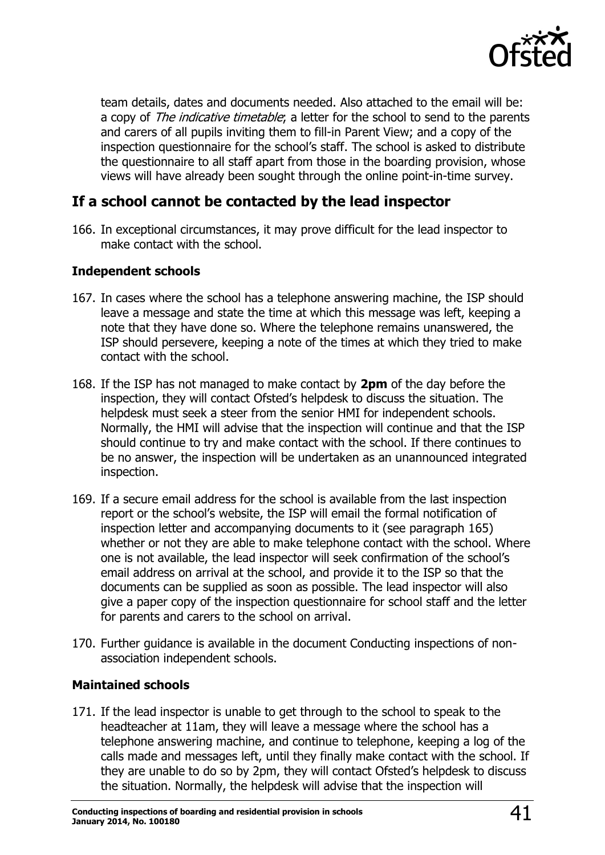

team details, dates and documents needed. Also attached to the email will be: a copy of The indicative timetable; a letter for the school to send to the parents and carers of all pupils inviting them to fill-in Parent View; and a copy of the inspection questionnaire for the school's staff. The school is asked to distribute the questionnaire to all staff apart from those in the boarding provision, whose views will have already been sought through the online point-in-time survey.

# <span id="page-40-0"></span>**If a school cannot be contacted by the lead inspector**

166. In exceptional circumstances, it may prove difficult for the lead inspector to make contact with the school.

#### **Independent schools**

- 167. In cases where the school has a telephone answering machine, the ISP should leave a message and state the time at which this message was left, keeping a note that they have done so. Where the telephone remains unanswered, the ISP should persevere, keeping a note of the times at which they tried to make contact with the school.
- 168. If the ISP has not managed to make contact by **2pm** of the day before the inspection, they will contact Ofsted's helpdesk to discuss the situation. The helpdesk must seek a steer from the senior HMI for independent schools. Normally, the HMI will advise that the inspection will continue and that the ISP should continue to try and make contact with the school. If there continues to be no answer, the inspection will be undertaken as an unannounced integrated inspection.
- 169. If a secure email address for the school is available from the last inspection report or the school's website, the ISP will email the formal notification of inspection letter and accompanying documents to it (see paragraph 165) whether or not they are able to make telephone contact with the school. Where one is not available, the lead inspector will seek confirmation of the school's email address on arrival at the school, and provide it to the ISP so that the documents can be supplied as soon as possible. The lead inspector will also give a paper copy of the inspection questionnaire for school staff and the letter for parents and carers to the school on arrival.
- 170. Further guidance is available in the document Conducting inspections of nonassociation independent schools.

#### **Maintained schools**

171. If the lead inspector is unable to get through to the school to speak to the headteacher at 11am, they will leave a message where the school has a telephone answering machine, and continue to telephone, keeping a log of the calls made and messages left, until they finally make contact with the school. If they are unable to do so by 2pm, they will contact Ofsted's helpdesk to discuss the situation. Normally, the helpdesk will advise that the inspection will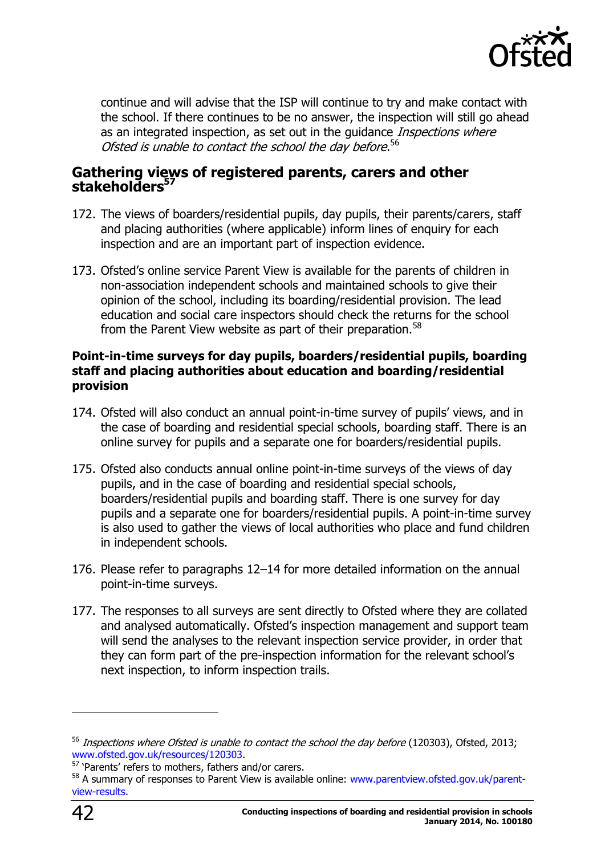

continue and will advise that the ISP will continue to try and make contact with the school. If there continues to be no answer, the inspection will still go ahead as an integrated inspection, as set out in the guidance *Inspections where* Ofsted is unable to contact the school the day before.<sup>56</sup>

#### <span id="page-41-0"></span>**Gathering views of registered parents, carers and other stakeholders<sup>57</sup>**

- 172. The views of boarders/residential pupils, day pupils, their parents/carers, staff and placing authorities (where applicable) inform lines of enquiry for each inspection and are an important part of inspection evidence.
- 173. Ofsted's online service Parent View is available for the parents of children in non-association independent schools and maintained schools to give their opinion of the school, including its boarding/residential provision. The lead education and social care inspectors should check the returns for the school from the Parent View website as part of their preparation.<sup>58</sup>

#### **Point-in-time surveys for day pupils, boarders/residential pupils, boarding staff and placing authorities about education and boarding/residential provision**

- 174. Ofsted will also conduct an annual point-in-time survey of pupils' views, and in the case of boarding and residential special schools, boarding staff. There is an online survey for pupils and a separate one for boarders/residential pupils.
- 175. Ofsted also conducts annual online point-in-time surveys of the views of day pupils, and in the case of boarding and residential special schools, boarders/residential pupils and boarding staff. There is one survey for day pupils and a separate one for boarders/residential pupils. A point-in-time survey is also used to gather the views of local authorities who place and fund children in independent schools.
- 176. Please refer to paragraphs 12–14 for more detailed information on the annual point-in-time surveys.
- 177. The responses to all surveys are sent directly to Ofsted where they are collated and analysed automatically. Ofsted's inspection management and support team will send the analyses to the relevant inspection service provider, in order that they can form part of the pre-inspection information for the relevant school's next inspection, to inform inspection trails.

<sup>&</sup>lt;sup>56</sup> Inspections where Ofsted is unable to contact the school the day before (120303), Ofsted, 2013; [www.ofsted.gov.uk/resources/120303.](http://www.ofsted.gov.uk/resources/120303)

<sup>&</sup>lt;sup>57</sup> 'Parents' refers to mothers, fathers and/or carers.

<sup>58</sup> A summary of responses to Parent View is available online: [www.parentview.ofsted.gov.uk/parent](http://www.parentview.ofsted.gov.uk/parent-view-results)[view-results.](http://www.parentview.ofsted.gov.uk/parent-view-results)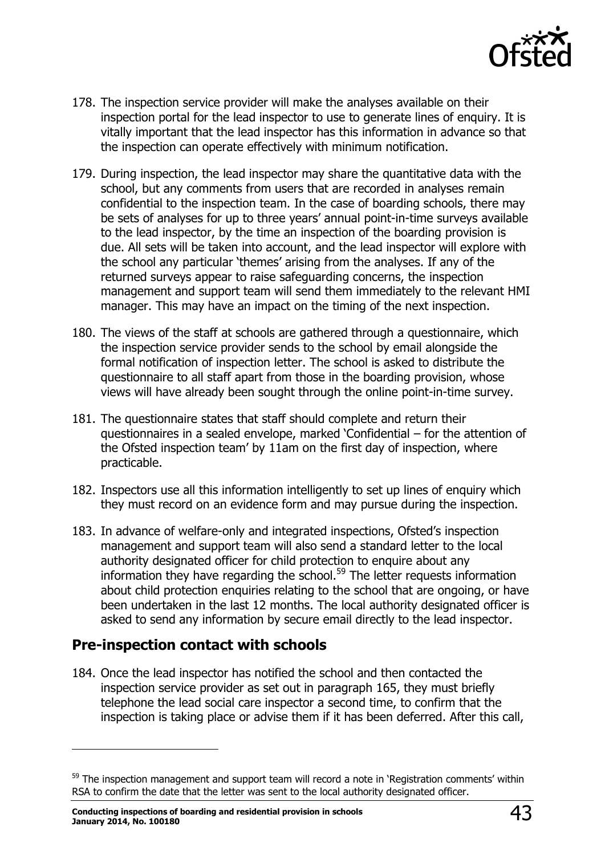

- 178. The inspection service provider will make the analyses available on their inspection portal for the lead inspector to use to generate lines of enquiry. It is vitally important that the lead inspector has this information in advance so that the inspection can operate effectively with minimum notification.
- 179. During inspection, the lead inspector may share the quantitative data with the school, but any comments from users that are recorded in analyses remain confidential to the inspection team. In the case of boarding schools, there may be sets of analyses for up to three years' annual point-in-time surveys available to the lead inspector, by the time an inspection of the boarding provision is due. All sets will be taken into account, and the lead inspector will explore with the school any particular 'themes' arising from the analyses. If any of the returned surveys appear to raise safeguarding concerns, the inspection management and support team will send them immediately to the relevant HMI manager. This may have an impact on the timing of the next inspection.
- 180. The views of the staff at schools are gathered through a questionnaire, which the inspection service provider sends to the school by email alongside the formal notification of inspection letter. The school is asked to distribute the questionnaire to all staff apart from those in the boarding provision, whose views will have already been sought through the online point-in-time survey.
- 181. The questionnaire states that staff should complete and return their questionnaires in a sealed envelope, marked 'Confidential – for the attention of the Ofsted inspection team' by 11am on the first day of inspection, where practicable.
- 182. Inspectors use all this information intelligently to set up lines of enquiry which they must record on an evidence form and may pursue during the inspection.
- 183. In advance of welfare-only and integrated inspections, Ofsted's inspection management and support team will also send a standard letter to the local authority designated officer for child protection to enquire about any information they have regarding the school.<sup>59</sup> The letter requests information about child protection enquiries relating to the school that are ongoing, or have been undertaken in the last 12 months. The local authority designated officer is asked to send any information by secure email directly to the lead inspector.

# <span id="page-42-0"></span>**Pre-inspection contact with schools**

j

184. Once the lead inspector has notified the school and then contacted the inspection service provider as set out in paragraph 165, they must briefly telephone the lead social care inspector a second time, to confirm that the inspection is taking place or advise them if it has been deferred. After this call,

<sup>&</sup>lt;sup>59</sup> The inspection management and support team will record a note in 'Registration comments' within RSA to confirm the date that the letter was sent to the local authority designated officer.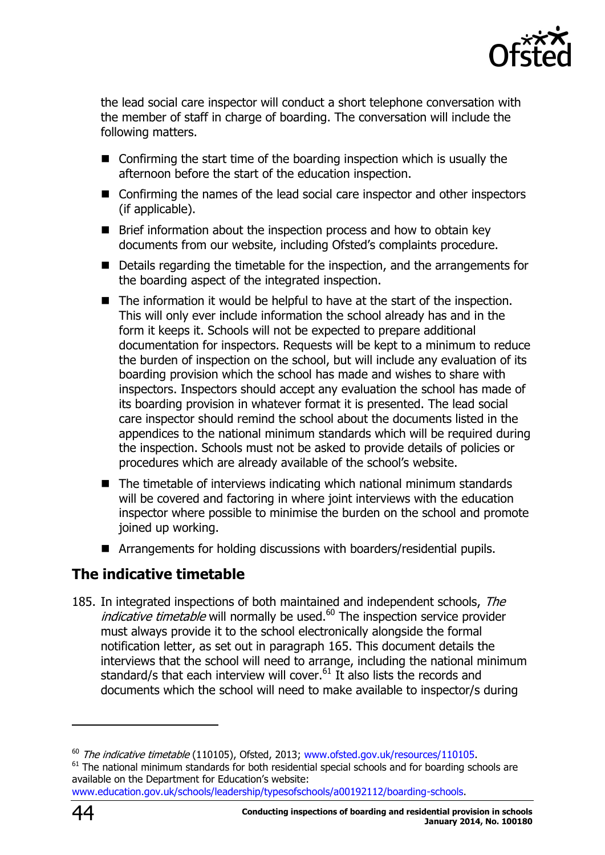

the lead social care inspector will conduct a short telephone conversation with the member of staff in charge of boarding. The conversation will include the following matters.

- $\blacksquare$  Confirming the start time of the boarding inspection which is usually the afternoon before the start of the education inspection.
- Confirming the names of the lead social care inspector and other inspectors (if applicable).
- **Brief information about the inspection process and how to obtain key** documents from our website, including Ofsted's complaints procedure.
- Details regarding the timetable for the inspection, and the arrangements for the boarding aspect of the integrated inspection.
- The information it would be helpful to have at the start of the inspection. This will only ever include information the school already has and in the form it keeps it. Schools will not be expected to prepare additional documentation for inspectors. Requests will be kept to a minimum to reduce the burden of inspection on the school, but will include any evaluation of its boarding provision which the school has made and wishes to share with inspectors. Inspectors should accept any evaluation the school has made of its boarding provision in whatever format it is presented. The lead social care inspector should remind the school about the documents listed in the appendices to the national minimum standards which will be required during the inspection. Schools must not be asked to provide details of policies or procedures which are already available of the school's website.
- $\blacksquare$  The timetable of interviews indicating which national minimum standards will be covered and factoring in where joint interviews with the education inspector where possible to minimise the burden on the school and promote joined up working.
- Arrangements for holding discussions with boarders/residential pupils.

# <span id="page-43-0"></span>**The indicative timetable**

185. In integrated inspections of both maintained and independent schools, The *indicative timetable* will normally be used.<sup>60</sup> The inspection service provider must always provide it to the school electronically alongside the formal notification letter, as set out in paragraph 165. This document details the interviews that the school will need to arrange, including the national minimum standard/s that each interview will cover.<sup>61</sup> It also lists the records and documents which the school will need to make available to inspector/s during

-

<sup>&</sup>lt;sup>60</sup> The indicative timetable (110105), Ofsted, 2013; [www.ofsted.gov.uk/resources/110105.](http://www.ofsted.gov.uk/resources/110105)

 $61$  The national minimum standards for both residential special schools and for boarding schools are available on the Department for Education's website:

[www.education.gov.uk/schools/leadership/typesofschools/a00192112/boarding-schools.](http://www.education.gov.uk/schools/leadership/typesofschools/a00192112/boarding-schools)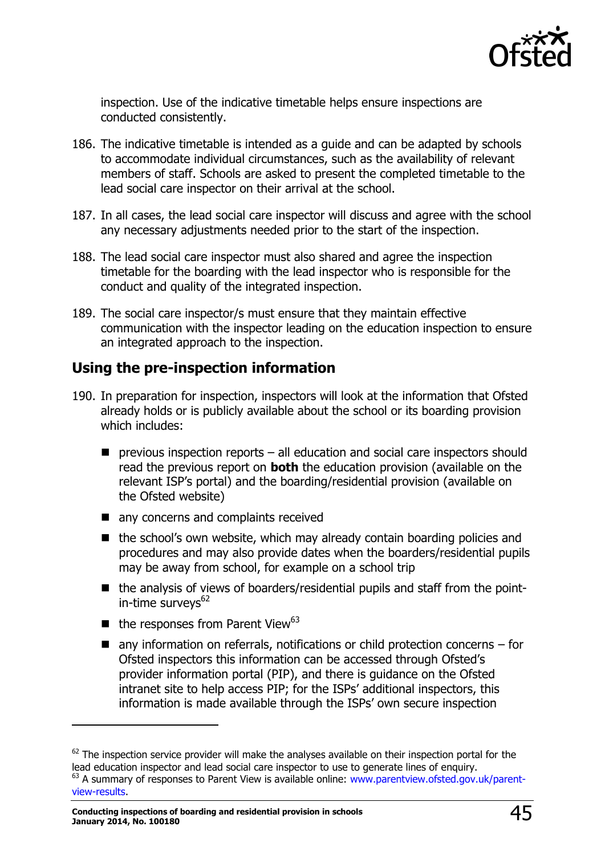

inspection. Use of the indicative timetable helps ensure inspections are conducted consistently.

- 186. The indicative timetable is intended as a guide and can be adapted by schools to accommodate individual circumstances, such as the availability of relevant members of staff. Schools are asked to present the completed timetable to the lead social care inspector on their arrival at the school.
- 187. In all cases, the lead social care inspector will discuss and agree with the school any necessary adjustments needed prior to the start of the inspection.
- 188. The lead social care inspector must also shared and agree the inspection timetable for the boarding with the lead inspector who is responsible for the conduct and quality of the integrated inspection.
- 189. The social care inspector/s must ensure that they maintain effective communication with the inspector leading on the education inspection to ensure an integrated approach to the inspection.

# <span id="page-44-0"></span>**Using the pre-inspection information**

- 190. In preparation for inspection, inspectors will look at the information that Ofsted already holds or is publicly available about the school or its boarding provision which includes:
	- $\blacksquare$  previous inspection reports all education and social care inspectors should read the previous report on **both** the education provision (available on the relevant ISP's portal) and the boarding/residential provision (available on the Ofsted website)
	- any concerns and complaints received
	- $\blacksquare$  the school's own website, which may already contain boarding policies and procedures and may also provide dates when the boarders/residential pupils may be away from school, for example on a school trip
	- the analysis of views of boarders/residential pupils and staff from the pointin-time surveys $62$
	- $\blacksquare$  the responses from Parent View<sup>63</sup>
	- $\blacksquare$  any information on referrals, notifications or child protection concerns for Ofsted inspectors this information can be accessed through Ofsted's provider information portal (PIP), and there is guidance on the Ofsted intranet site to help access PIP; for the ISPs' additional inspectors, this information is made available through the ISPs' own secure inspection

-

 $62$  The inspection service provider will make the analyses available on their inspection portal for the lead education inspector and lead social care inspector to use to generate lines of enquiry. <sup>63</sup> A summary of responses to Parent View is available online: [www.parentview.ofsted.gov.uk/parent-](http://www.parentview.ofsted.gov.uk/parent-view-results)

[view-results.](http://www.parentview.ofsted.gov.uk/parent-view-results)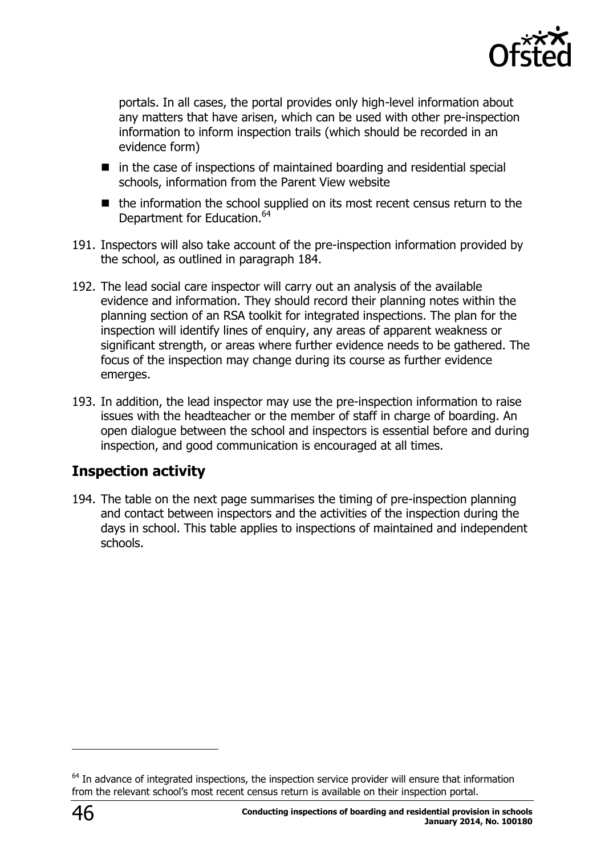

portals. In all cases, the portal provides only high-level information about any matters that have arisen, which can be used with other pre-inspection information to inform inspection trails (which should be recorded in an evidence form)

- $\blacksquare$  in the case of inspections of maintained boarding and residential special schools, information from the Parent View website
- $\blacksquare$  the information the school supplied on its most recent census return to the Department for Education.<sup>64</sup>
- 191. Inspectors will also take account of the pre-inspection information provided by the school, as outlined in paragraph 184.
- 192. The lead social care inspector will carry out an analysis of the available evidence and information. They should record their planning notes within the planning section of an RSA toolkit for integrated inspections. The plan for the inspection will identify lines of enquiry, any areas of apparent weakness or significant strength, or areas where further evidence needs to be gathered. The focus of the inspection may change during its course as further evidence emerges.
- 193. In addition, the lead inspector may use the pre-inspection information to raise issues with the headteacher or the member of staff in charge of boarding. An open dialogue between the school and inspectors is essential before and during inspection, and good communication is encouraged at all times.

# <span id="page-45-0"></span>**Inspection activity**

194. The table on the next page summarises the timing of pre-inspection planning and contact between inspectors and the activities of the inspection during the days in school. This table applies to inspections of maintained and independent schools.

<sup>&</sup>lt;sup>64</sup> In advance of integrated inspections, the inspection service provider will ensure that information from the relevant school's most recent census return is available on their inspection portal.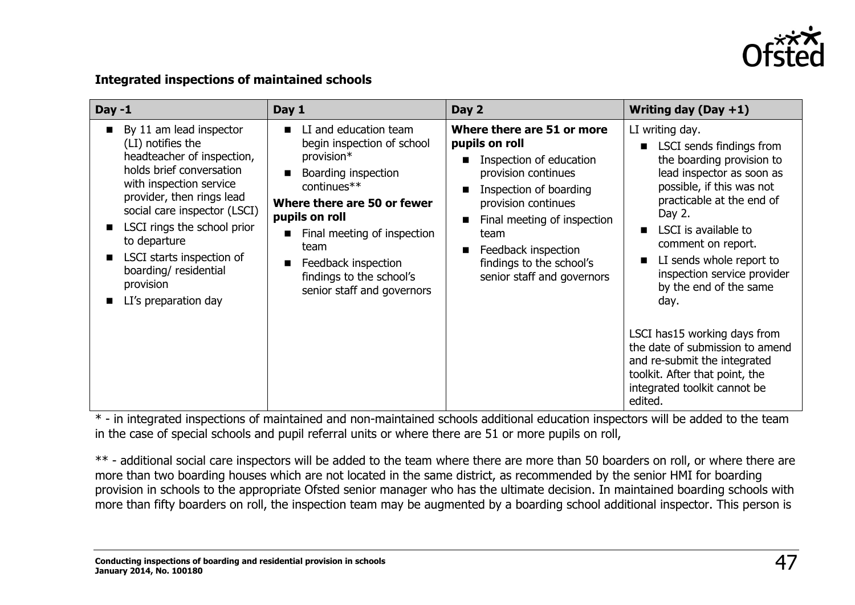

#### **Integrated inspections of maintained schools**

| Day $-1$                                                                                                                                                                                                                                                                                                                                                | Day 1                                                                                                                                                                                                                                                                            | Day 2                                                                                                                                                                                                                                                                                                    | Writing day (Day $+1$ )                                                                                                                                                                                                                                                                                                                                                                                                                                                                                |
|---------------------------------------------------------------------------------------------------------------------------------------------------------------------------------------------------------------------------------------------------------------------------------------------------------------------------------------------------------|----------------------------------------------------------------------------------------------------------------------------------------------------------------------------------------------------------------------------------------------------------------------------------|----------------------------------------------------------------------------------------------------------------------------------------------------------------------------------------------------------------------------------------------------------------------------------------------------------|--------------------------------------------------------------------------------------------------------------------------------------------------------------------------------------------------------------------------------------------------------------------------------------------------------------------------------------------------------------------------------------------------------------------------------------------------------------------------------------------------------|
| By 11 am lead inspector<br>$\mathbf{r}$<br>(LI) notifies the<br>headteacher of inspection,<br>holds brief conversation<br>with inspection service<br>provider, then rings lead<br>social care inspector (LSCI)<br>LSCI rings the school prior<br>to departure<br>LSCI starts inspection of<br>boarding/residential<br>provision<br>LI's preparation day | LI and education team<br>begin inspection of school<br>provision*<br>Boarding inspection<br>continues**<br>Where there are 50 or fewer<br>pupils on roll<br>Final meeting of inspection<br>team<br>Feedback inspection<br>findings to the school's<br>senior staff and governors | Where there are 51 or more<br>pupils on roll<br>Inspection of education<br>$\blacksquare$<br>provision continues<br>Inspection of boarding<br>п<br>provision continues<br>Final meeting of inspection<br>п<br>team<br>Feedback inspection<br>п<br>findings to the school's<br>senior staff and governors | LI writing day.<br>■ LSCI sends findings from<br>the boarding provision to<br>lead inspector as soon as<br>possible, if this was not<br>practicable at the end of<br>Day 2.<br>LSCI is available to<br>comment on report.<br>LI sends whole report to<br>inspection service provider<br>by the end of the same<br>day.<br>LSCI has15 working days from<br>the date of submission to amend<br>and re-submit the integrated<br>toolkit. After that point, the<br>integrated toolkit cannot be<br>edited. |

\* - in integrated inspections of maintained and non-maintained schools additional education inspectors will be added to the team in the case of special schools and pupil referral units or where there are 51 or more pupils on roll,

\*\* - additional social care inspectors will be added to the team where there are more than 50 boarders on roll, or where there are more than two boarding houses which are not located in the same district, as recommended by the senior HMI for boarding provision in schools to the appropriate Ofsted senior manager who has the ultimate decision. In maintained boarding schools with more than fifty boarders on roll, the inspection team may be augmented by a boarding school additional inspector. This person is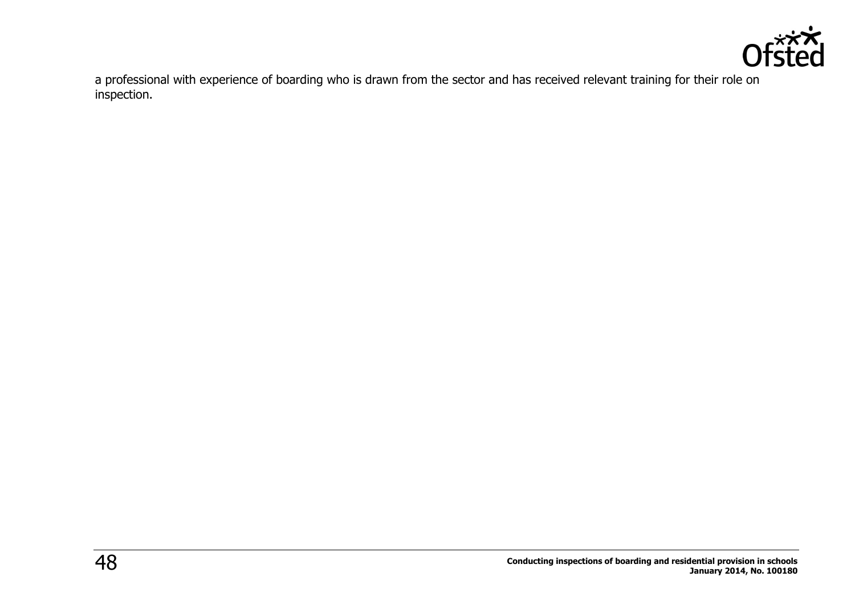

a professional with experience of boarding who is drawn from the sector and has received relevant training for their role on inspection.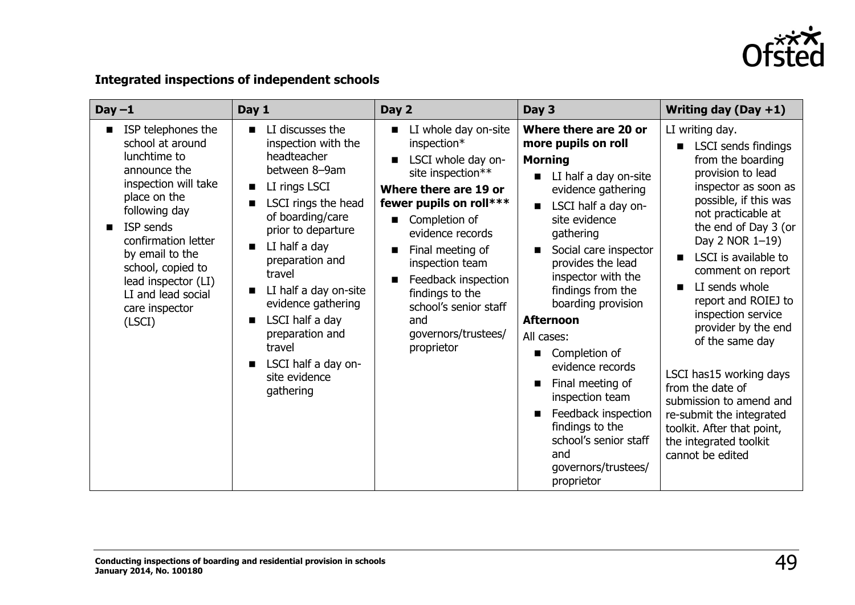

## **Integrated inspections of independent schools**

| $Day -1$                                                                                                                                                                                                                                                                             | Day 1                                                                                                                                                                                                                                                                                                                                                                              | Day 2                                                                                                                                                                                                                                                                                                                         | Day 3                                                                                                                                                                                                                                                                                                                                                                                                                                                                                                               | Writing day (Day $+1$ )                                                                                                                                                                                                                                                                                                                                                                                                                                                                                                                    |
|--------------------------------------------------------------------------------------------------------------------------------------------------------------------------------------------------------------------------------------------------------------------------------------|------------------------------------------------------------------------------------------------------------------------------------------------------------------------------------------------------------------------------------------------------------------------------------------------------------------------------------------------------------------------------------|-------------------------------------------------------------------------------------------------------------------------------------------------------------------------------------------------------------------------------------------------------------------------------------------------------------------------------|---------------------------------------------------------------------------------------------------------------------------------------------------------------------------------------------------------------------------------------------------------------------------------------------------------------------------------------------------------------------------------------------------------------------------------------------------------------------------------------------------------------------|--------------------------------------------------------------------------------------------------------------------------------------------------------------------------------------------------------------------------------------------------------------------------------------------------------------------------------------------------------------------------------------------------------------------------------------------------------------------------------------------------------------------------------------------|
| ISP telephones the<br>school at around<br>lunchtime to<br>announce the<br>inspection will take<br>place on the<br>following day<br>ISP sends<br>confirmation letter<br>by email to the<br>school, copied to<br>lead inspector (LI)<br>LI and lead social<br>care inspector<br>(LSCI) | LI discusses the<br>$\blacksquare$<br>inspection with the<br>headteacher<br>between 8-9am<br>LI rings LSCI<br>LSCI rings the head<br>of boarding/care<br>prior to departure<br>LI half a day<br>п<br>preparation and<br>travel<br>LI half a day on-site<br>evidence gathering<br>LSCI half a day<br>preparation and<br>travel<br>LSCI half a day on-<br>site evidence<br>gathering | LI whole day on-site<br>inspection*<br>LSCI whole day on-<br>site inspection**<br>Where there are 19 or<br>fewer pupils on roll***<br>Completion of<br>evidence records<br>Final meeting of<br>inspection team<br>Feedback inspection<br>findings to the<br>school's senior staff<br>and<br>governors/trustees/<br>proprietor | Where there are 20 or<br>more pupils on roll<br><b>Morning</b><br>LI half a day on-site<br>evidence gathering<br>LSCI half a day on-<br>site evidence<br>gathering<br>Social care inspector<br>provides the lead<br>inspector with the<br>findings from the<br>boarding provision<br><b>Afternoon</b><br>All cases:<br>Completion of<br>■<br>evidence records<br>Final meeting of<br>inspection team<br>Feedback inspection<br>findings to the<br>school's senior staff<br>and<br>governors/trustees/<br>proprietor | LI writing day.<br>LSCI sends findings<br>from the boarding<br>provision to lead<br>inspector as soon as<br>possible, if this was<br>not practicable at<br>the end of Day 3 (or<br>Day 2 NOR 1-19)<br>LSCI is available to<br>comment on report<br>LI sends whole<br>report and ROIEJ to<br>inspection service<br>provider by the end<br>of the same day<br>LSCI has15 working days<br>from the date of<br>submission to amend and<br>re-submit the integrated<br>toolkit. After that point,<br>the integrated toolkit<br>cannot be edited |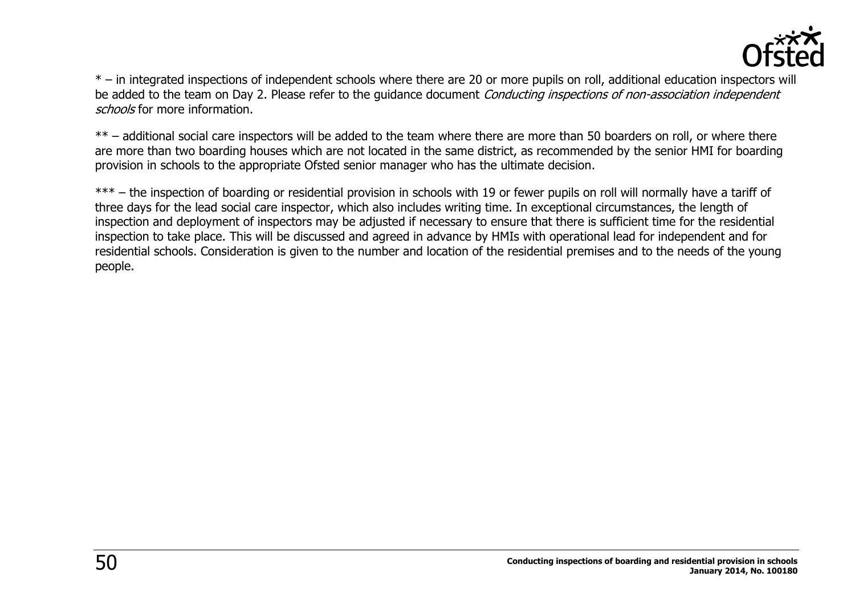

\* – in integrated inspections of independent schools where there are 20 or more pupils on roll, additional education inspectors will be added to the team on Day 2. Please refer to the quidance document Conducting inspections of non-association independent schools for more information.

\*\* – additional social care inspectors will be added to the team where there are more than 50 boarders on roll, or where there are more than two boarding houses which are not located in the same district, as recommended by the senior HMI for boarding provision in schools to the appropriate Ofsted senior manager who has the ultimate decision.

\*\*\* – the inspection of boarding or residential provision in schools with 19 or fewer pupils on roll will normally have a tariff of three days for the lead social care inspector, which also includes writing time. In exceptional circumstances, the length of inspection and deployment of inspectors may be adjusted if necessary to ensure that there is sufficient time for the residential inspection to take place. This will be discussed and agreed in advance by HMIs with operational lead for independent and for residential schools. Consideration is given to the number and location of the residential premises and to the needs of the young people.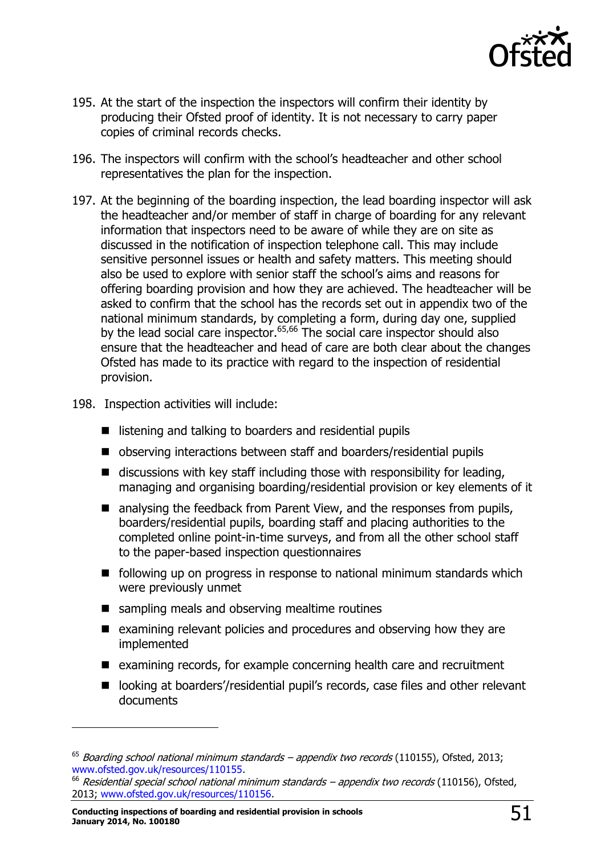

- 195. At the start of the inspection the inspectors will confirm their identity by producing their Ofsted proof of identity. It is not necessary to carry paper copies of criminal records checks.
- 196. The inspectors will confirm with the school's headteacher and other school representatives the plan for the inspection.
- 197. At the beginning of the boarding inspection, the lead boarding inspector will ask the headteacher and/or member of staff in charge of boarding for any relevant information that inspectors need to be aware of while they are on site as discussed in the notification of inspection telephone call. This may include sensitive personnel issues or health and safety matters. This meeting should also be used to explore with senior staff the school's aims and reasons for offering boarding provision and how they are achieved. The headteacher will be asked to confirm that the school has the records set out in appendix two of the national minimum standards, by completing a form, during day one, supplied by the lead social care inspector.<sup>65,66</sup> The social care inspector should also ensure that the headteacher and head of care are both clear about the changes Ofsted has made to its practice with regard to the inspection of residential provision.
- 198. Inspection activities will include:
	- $\blacksquare$  listening and talking to boarders and residential pupils
	- observing interactions between staff and boarders/residential pupils
	- $\blacksquare$  discussions with key staff including those with responsibility for leading, managing and organising boarding/residential provision or key elements of it
	- analysing the feedback from Parent View, and the responses from pupils, boarders/residential pupils, boarding staff and placing authorities to the completed online point-in-time surveys, and from all the other school staff to the paper-based inspection questionnaires
	- $\blacksquare$  following up on progress in response to national minimum standards which were previously unmet
	- sampling meals and observing mealtime routines
	- $\blacksquare$  examining relevant policies and procedures and observing how they are implemented
	- examining records, for example concerning health care and recruitment
	- looking at boarders'/residential pupil's records, case files and other relevant documents

 $65$  Boarding school national minimum standards – appendix two records (110155), Ofsted, 2013; [www.ofsted.gov.uk/resources/110155.](http://www.ofsted.gov.uk/resources/110155)

<sup>&</sup>lt;sup>66</sup> Residential special school national minimum standards - appendix two records (110156), Ofsted, 2013; [www.ofsted.gov.uk/resources/110156.](http://www.ofsted.gov.uk/resources/110156)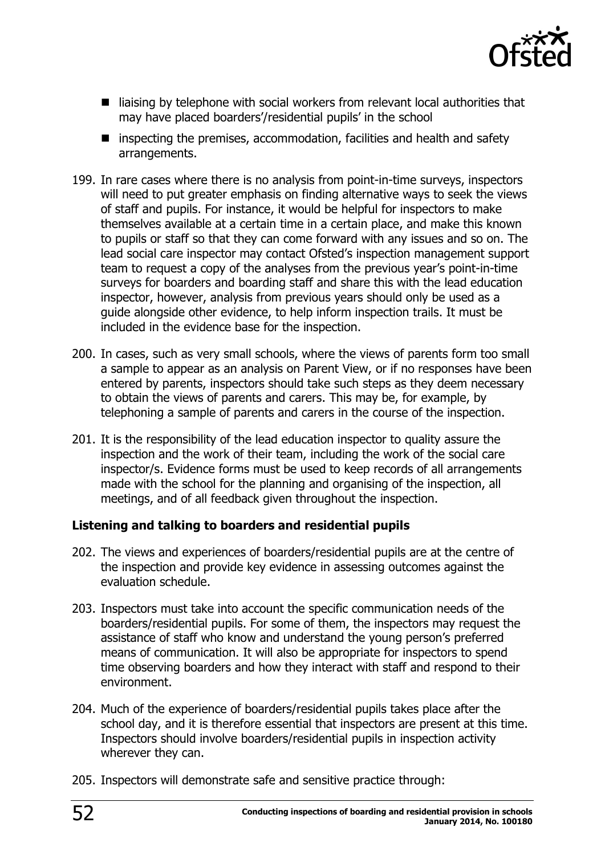

- $\blacksquare$  liaising by telephone with social workers from relevant local authorities that may have placed boarders'/residential pupils' in the school
- $\blacksquare$  inspecting the premises, accommodation, facilities and health and safety arrangements.
- 199. In rare cases where there is no analysis from point-in-time surveys, inspectors will need to put greater emphasis on finding alternative ways to seek the views of staff and pupils. For instance, it would be helpful for inspectors to make themselves available at a certain time in a certain place, and make this known to pupils or staff so that they can come forward with any issues and so on. The lead social care inspector may contact Ofsted's inspection management support team to request a copy of the analyses from the previous year's point-in-time surveys for boarders and boarding staff and share this with the lead education inspector, however, analysis from previous years should only be used as a guide alongside other evidence, to help inform inspection trails. It must be included in the evidence base for the inspection.
- 200. In cases, such as very small schools, where the views of parents form too small a sample to appear as an analysis on Parent View, or if no responses have been entered by parents, inspectors should take such steps as they deem necessary to obtain the views of parents and carers. This may be, for example, by telephoning a sample of parents and carers in the course of the inspection.
- 201. It is the responsibility of the lead education inspector to quality assure the inspection and the work of their team, including the work of the social care inspector/s. Evidence forms must be used to keep records of all arrangements made with the school for the planning and organising of the inspection, all meetings, and of all feedback given throughout the inspection.

#### **Listening and talking to boarders and residential pupils**

- 202. The views and experiences of boarders/residential pupils are at the centre of the inspection and provide key evidence in assessing outcomes against the evaluation schedule.
- 203. Inspectors must take into account the specific communication needs of the boarders/residential pupils. For some of them, the inspectors may request the assistance of staff who know and understand the young person's preferred means of communication. It will also be appropriate for inspectors to spend time observing boarders and how they interact with staff and respond to their environment.
- 204. Much of the experience of boarders/residential pupils takes place after the school day, and it is therefore essential that inspectors are present at this time. Inspectors should involve boarders/residential pupils in inspection activity wherever they can.
- 205. Inspectors will demonstrate safe and sensitive practice through: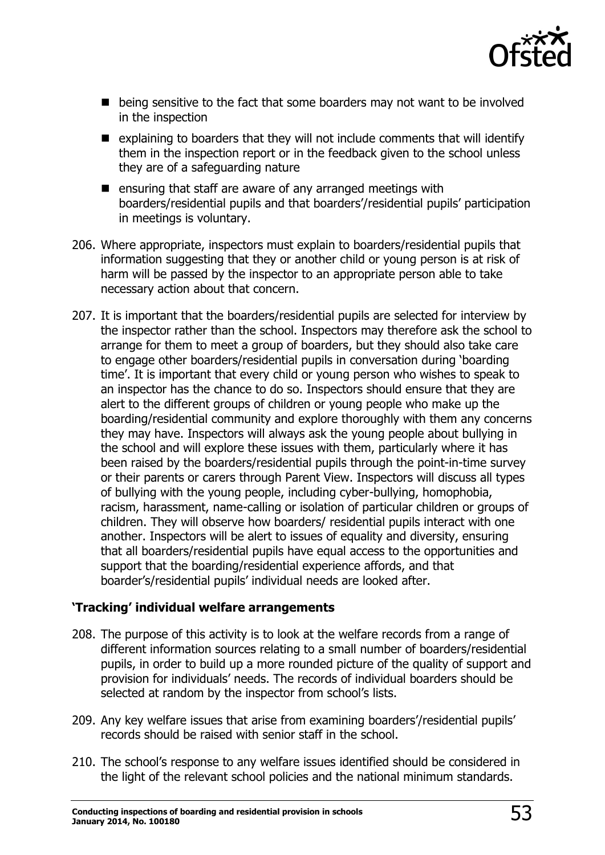

- being sensitive to the fact that some boarders may not want to be involved in the inspection
- $\blacksquare$  explaining to boarders that they will not include comments that will identify them in the inspection report or in the feedback given to the school unless they are of a safeguarding nature
- $\blacksquare$  ensuring that staff are aware of any arranged meetings with boarders/residential pupils and that boarders'/residential pupils' participation in meetings is voluntary.
- 206. Where appropriate, inspectors must explain to boarders/residential pupils that information suggesting that they or another child or young person is at risk of harm will be passed by the inspector to an appropriate person able to take necessary action about that concern.
- 207. It is important that the boarders/residential pupils are selected for interview by the inspector rather than the school. Inspectors may therefore ask the school to arrange for them to meet a group of boarders, but they should also take care to engage other boarders/residential pupils in conversation during 'boarding time'. It is important that every child or young person who wishes to speak to an inspector has the chance to do so. Inspectors should ensure that they are alert to the different groups of children or young people who make up the boarding/residential community and explore thoroughly with them any concerns they may have. Inspectors will always ask the young people about bullying in the school and will explore these issues with them, particularly where it has been raised by the boarders/residential pupils through the point-in-time survey or their parents or carers through Parent View. Inspectors will discuss all types of bullying with the young people, including cyber-bullying, homophobia, racism, harassment, name-calling or isolation of particular children or groups of children. They will observe how boarders/ residential pupils interact with one another. Inspectors will be alert to issues of equality and diversity, ensuring that all boarders/residential pupils have equal access to the opportunities and support that the boarding/residential experience affords, and that boarder's/residential pupils' individual needs are looked after.

#### **'Tracking' individual welfare arrangements**

- 208. The purpose of this activity is to look at the welfare records from a range of different information sources relating to a small number of boarders/residential pupils, in order to build up a more rounded picture of the quality of support and provision for individuals' needs. The records of individual boarders should be selected at random by the inspector from school's lists.
- 209. Any key welfare issues that arise from examining boarders'/residential pupils' records should be raised with senior staff in the school.
- 210. The school's response to any welfare issues identified should be considered in the light of the relevant school policies and the national minimum standards.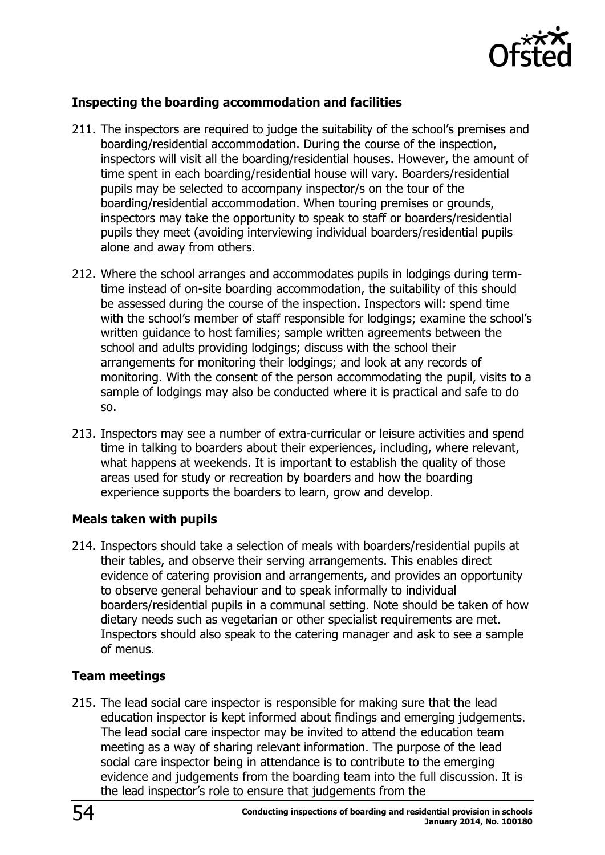

#### **Inspecting the boarding accommodation and facilities**

- 211. The inspectors are required to judge the suitability of the school's premises and boarding/residential accommodation. During the course of the inspection, inspectors will visit all the boarding/residential houses. However, the amount of time spent in each boarding/residential house will vary. Boarders/residential pupils may be selected to accompany inspector/s on the tour of the boarding/residential accommodation. When touring premises or grounds, inspectors may take the opportunity to speak to staff or boarders/residential pupils they meet (avoiding interviewing individual boarders/residential pupils alone and away from others.
- 212. Where the school arranges and accommodates pupils in lodgings during termtime instead of on-site boarding accommodation, the suitability of this should be assessed during the course of the inspection. Inspectors will: spend time with the school's member of staff responsible for lodgings; examine the school's written guidance to host families; sample written agreements between the school and adults providing lodgings; discuss with the school their arrangements for monitoring their lodgings; and look at any records of monitoring. With the consent of the person accommodating the pupil, visits to a sample of lodgings may also be conducted where it is practical and safe to do so.
- 213. Inspectors may see a number of extra-curricular or leisure activities and spend time in talking to boarders about their experiences, including, where relevant, what happens at weekends. It is important to establish the quality of those areas used for study or recreation by boarders and how the boarding experience supports the boarders to learn, grow and develop.

#### **Meals taken with pupils**

214. Inspectors should take a selection of meals with boarders/residential pupils at their tables, and observe their serving arrangements. This enables direct evidence of catering provision and arrangements, and provides an opportunity to observe general behaviour and to speak informally to individual boarders/residential pupils in a communal setting. Note should be taken of how dietary needs such as vegetarian or other specialist requirements are met. Inspectors should also speak to the catering manager and ask to see a sample of menus.

#### **Team meetings**

215. The lead social care inspector is responsible for making sure that the lead education inspector is kept informed about findings and emerging judgements. The lead social care inspector may be invited to attend the education team meeting as a way of sharing relevant information. The purpose of the lead social care inspector being in attendance is to contribute to the emerging evidence and judgements from the boarding team into the full discussion. It is the lead inspector's role to ensure that judgements from the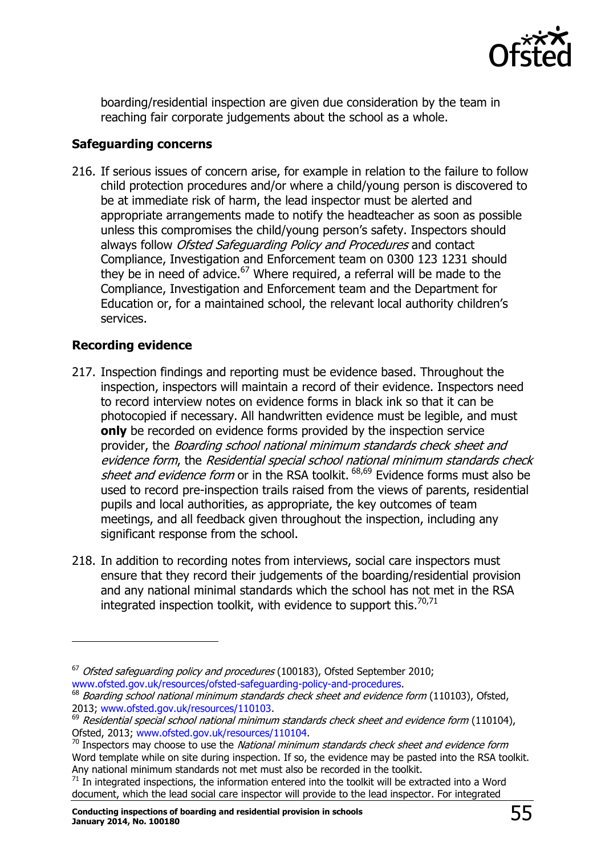

boarding/residential inspection are given due consideration by the team in reaching fair corporate judgements about the school as a whole.

#### **Safeguarding concerns**

216. If serious issues of concern arise, for example in relation to the failure to follow child protection procedures and/or where a child/young person is discovered to be at immediate risk of harm, the lead inspector must be alerted and appropriate arrangements made to notify the headteacher as soon as possible unless this compromises the child/young person's safety. Inspectors should always follow Ofsted Safeguarding Policy and Procedures and contact Compliance, Investigation and Enforcement team on 0300 123 1231 should they be in need of advice.<sup>67</sup> Where required, a referral will be made to the Compliance, Investigation and Enforcement team and the Department for Education or, for a maintained school, the relevant local authority children's services.

#### **Recording evidence**

- 217. Inspection findings and reporting must be evidence based. Throughout the inspection, inspectors will maintain a record of their evidence. Inspectors need to record interview notes on evidence forms in black ink so that it can be photocopied if necessary. All handwritten evidence must be legible, and must **only** be recorded on evidence forms provided by the inspection service provider, the Boarding school national minimum standards check sheet and evidence form, the Residential special school national minimum standards check sheet and evidence form or in the RSA toolkit.  $68,69$  Evidence forms must also be used to record pre-inspection trails raised from the views of parents, residential pupils and local authorities, as appropriate, the key outcomes of team meetings, and all feedback given throughout the inspection, including any significant response from the school.
- 218. In addition to recording notes from interviews, social care inspectors must ensure that they record their judgements of the boarding/residential provision and any national minimal standards which the school has not met in the RSA integrated inspection toolkit, with evidence to support this. $70,71$

 $67$  Ofsted safeguarding policy and procedures (100183), Ofsted September 2010; [www.ofsted.gov.uk/resources/ofsted-safeguarding-policy-and-procedures.](http://www.ofsted.gov.uk/resources/ofsted-safeguarding-policy-and-procedures)

 $68$  Boarding school national minimum standards check sheet and evidence form (110103), Ofsted, 2013; [www.ofsted.gov.uk/resources/110103.](http://www.ofsted.gov.uk/resources/boarding-school-national-minimum-standards-check-sheet-and-evidence-form)

 $^{69}$  Residential special school national minimum standards check sheet and evidence form (110104), Ofsted, 2013; [www.ofsted.gov.uk/resources/110104.](http://www.ofsted.gov.uk/resources/residential-special-school-national-minimum-standards-check-sheet-and-evidence-form)

 $70$  Inspectors may choose to use the National minimum standards check sheet and evidence form Word template while on site during inspection. If so, the evidence may be pasted into the RSA toolkit. Any national minimum standards not met must also be recorded in the toolkit.

 $71$  In integrated inspections, the information entered into the toolkit will be extracted into a Word document, which the lead social care inspector will provide to the lead inspector. For integrated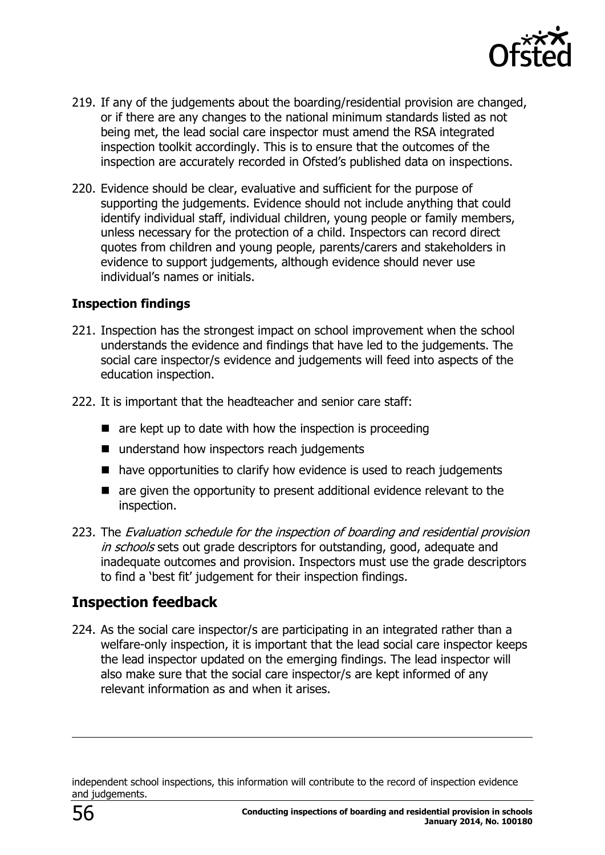

- 219. If any of the judgements about the boarding/residential provision are changed, or if there are any changes to the national minimum standards listed as not being met, the lead social care inspector must amend the RSA integrated inspection toolkit accordingly. This is to ensure that the outcomes of the inspection are accurately recorded in Ofsted's published data on inspections.
- 220. Evidence should be clear, evaluative and sufficient for the purpose of supporting the judgements. Evidence should not include anything that could identify individual staff, individual children, young people or family members, unless necessary for the protection of a child. Inspectors can record direct quotes from children and young people, parents/carers and stakeholders in evidence to support judgements, although evidence should never use individual's names or initials.

#### **Inspection findings**

- 221. Inspection has the strongest impact on school improvement when the school understands the evidence and findings that have led to the judgements. The social care inspector/s evidence and judgements will feed into aspects of the education inspection.
- 222. It is important that the headteacher and senior care staff:
	- $\blacksquare$  are kept up to date with how the inspection is proceeding
	- understand how inspectors reach judgements
	- have opportunities to clarify how evidence is used to reach judgements
	- are given the opportunity to present additional evidence relevant to the inspection.
- 223. The Evaluation schedule for the inspection of boarding and residential provision in schools sets out grade descriptors for outstanding, good, adequate and inadequate outcomes and provision. Inspectors must use the grade descriptors to find a 'best fit' judgement for their inspection findings.

# <span id="page-55-0"></span>**Inspection feedback**

224. As the social care inspector/s are participating in an integrated rather than a welfare-only inspection, it is important that the lead social care inspector keeps the lead inspector updated on the emerging findings. The lead inspector will also make sure that the social care inspector/s are kept informed of any relevant information as and when it arises.

independent school inspections, this information will contribute to the record of inspection evidence and judgements.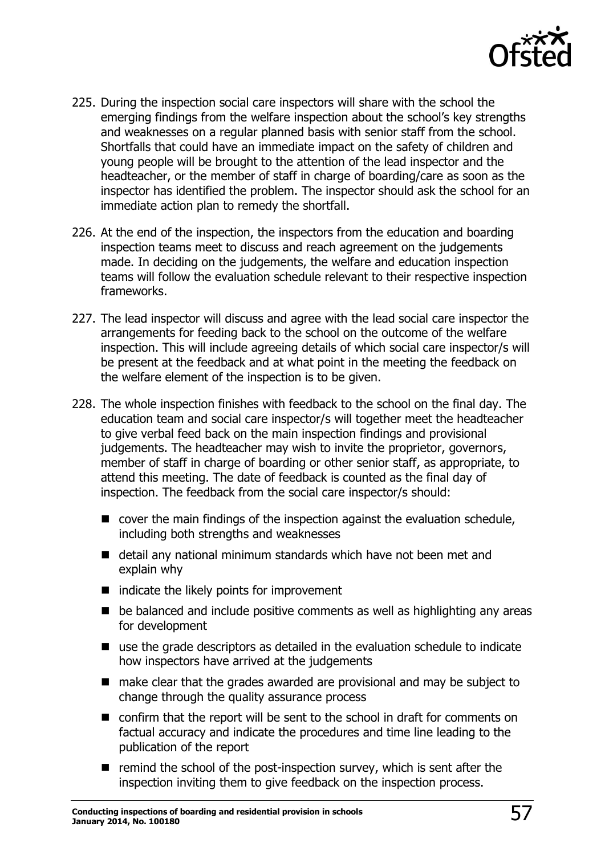

- 225. During the inspection social care inspectors will share with the school the emerging findings from the welfare inspection about the school's key strengths and weaknesses on a regular planned basis with senior staff from the school. Shortfalls that could have an immediate impact on the safety of children and young people will be brought to the attention of the lead inspector and the headteacher, or the member of staff in charge of boarding/care as soon as the inspector has identified the problem. The inspector should ask the school for an immediate action plan to remedy the shortfall.
- 226. At the end of the inspection, the inspectors from the education and boarding inspection teams meet to discuss and reach agreement on the judgements made. In deciding on the judgements, the welfare and education inspection teams will follow the evaluation schedule relevant to their respective inspection frameworks.
- 227. The lead inspector will discuss and agree with the lead social care inspector the arrangements for feeding back to the school on the outcome of the welfare inspection. This will include agreeing details of which social care inspector/s will be present at the feedback and at what point in the meeting the feedback on the welfare element of the inspection is to be given.
- 228. The whole inspection finishes with feedback to the school on the final day. The education team and social care inspector/s will together meet the headteacher to give verbal feed back on the main inspection findings and provisional judgements. The headteacher may wish to invite the proprietor, governors, member of staff in charge of boarding or other senior staff, as appropriate, to attend this meeting. The date of feedback is counted as the final day of inspection. The feedback from the social care inspector/s should:
	- cover the main findings of the inspection against the evaluation schedule, including both strengths and weaknesses
	- detail any national minimum standards which have not been met and explain why
	- $\blacksquare$  indicate the likely points for improvement
	- $\blacksquare$  be balanced and include positive comments as well as highlighting any areas for development
	- use the grade descriptors as detailed in the evaluation schedule to indicate how inspectors have arrived at the judgements
	- make clear that the grades awarded are provisional and may be subject to change through the quality assurance process
	- confirm that the report will be sent to the school in draft for comments on factual accuracy and indicate the procedures and time line leading to the publication of the report
	- $\blacksquare$  remind the school of the post-inspection survey, which is sent after the inspection inviting them to give feedback on the inspection process.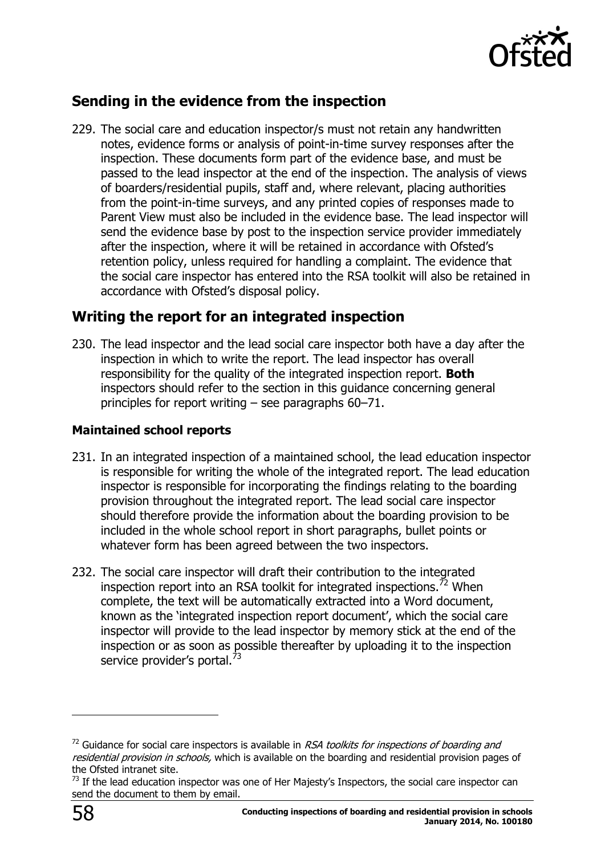

# <span id="page-57-0"></span>**Sending in the evidence from the inspection**

229. The social care and education inspector/s must not retain any handwritten notes, evidence forms or analysis of point-in-time survey responses after the inspection. These documents form part of the evidence base, and must be passed to the lead inspector at the end of the inspection. The analysis of views of boarders/residential pupils, staff and, where relevant, placing authorities from the point-in-time surveys, and any printed copies of responses made to Parent View must also be included in the evidence base. The lead inspector will send the evidence base by post to the inspection service provider immediately after the inspection, where it will be retained in accordance with Ofsted's retention policy, unless required for handling a complaint. The evidence that the social care inspector has entered into the RSA toolkit will also be retained in accordance with Ofsted's disposal policy.

# <span id="page-57-1"></span>**Writing the report for an integrated inspection**

230. The lead inspector and the lead social care inspector both have a day after the inspection in which to write the report. The lead inspector has overall responsibility for the quality of the integrated inspection report. **Both** inspectors should refer to the section in this guidance concerning general principles for report writing – see paragraphs 60–71.

#### **Maintained school reports**

- 231. In an integrated inspection of a maintained school, the lead education inspector is responsible for writing the whole of the integrated report. The lead education inspector is responsible for incorporating the findings relating to the boarding provision throughout the integrated report. The lead social care inspector should therefore provide the information about the boarding provision to be included in the whole school report in short paragraphs, bullet points or whatever form has been agreed between the two inspectors.
- 232. The social care inspector will draft their contribution to the integrated inspection report into an RSA toolkit for integrated inspections.<sup>72</sup> When complete, the text will be automatically extracted into a Word document, known as the 'integrated inspection report document', which the social care inspector will provide to the lead inspector by memory stick at the end of the inspection or as soon as possible thereafter by uploading it to the inspection service provider's portal.<sup>73</sup>

 $72$  Guidance for social care inspectors is available in RSA toolkits for inspections of boarding and residential provision in schools, which is available on the boarding and residential provision pages of the Ofsted intranet site.

 $73$  If the lead education inspector was one of Her Majesty's Inspectors, the social care inspector can send the document to them by email.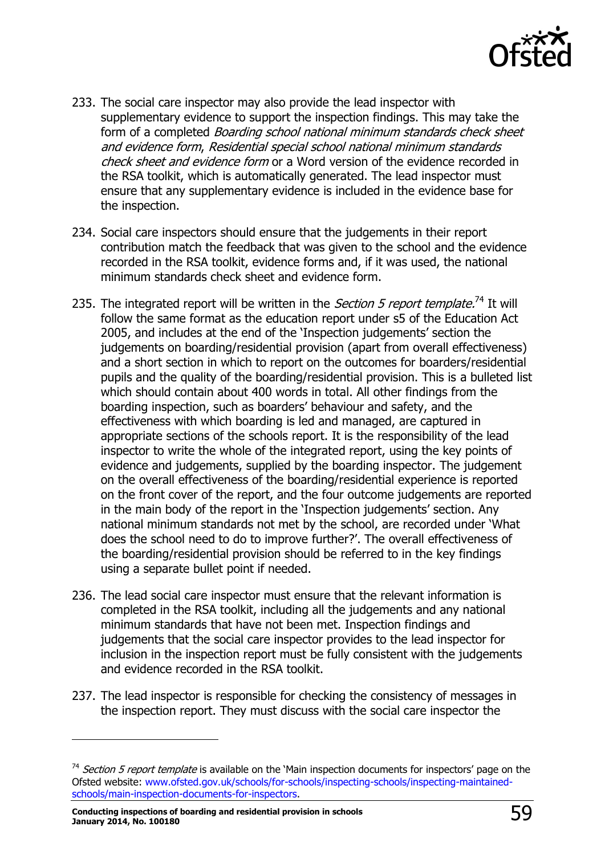

- 233. The social care inspector may also provide the lead inspector with supplementary evidence to support the inspection findings. This may take the form of a completed *Boarding school national minimum standards check sheet* and evidence form, Residential special school national minimum standards check sheet and evidence form or a Word version of the evidence recorded in the RSA toolkit, which is automatically generated. The lead inspector must ensure that any supplementary evidence is included in the evidence base for the inspection.
- 234. Social care inspectors should ensure that the judgements in their report contribution match the feedback that was given to the school and the evidence recorded in the RSA toolkit, evidence forms and, if it was used, the national minimum standards check sheet and evidence form.
- 235. The integrated report will be written in the *Section 5 report template.*<sup>74</sup> It will follow the same format as the education report under s5 of the Education Act 2005, and includes at the end of the 'Inspection judgements' section the judgements on boarding/residential provision (apart from overall effectiveness) and a short section in which to report on the outcomes for boarders/residential pupils and the quality of the boarding/residential provision. This is a bulleted list which should contain about 400 words in total. All other findings from the boarding inspection, such as boarders' behaviour and safety, and the effectiveness with which boarding is led and managed, are captured in appropriate sections of the schools report. It is the responsibility of the lead inspector to write the whole of the integrated report, using the key points of evidence and judgements, supplied by the boarding inspector. The judgement on the overall effectiveness of the boarding/residential experience is reported on the front cover of the report, and the four outcome judgements are reported in the main body of the report in the 'Inspection judgements' section. Any national minimum standards not met by the school, are recorded under 'What does the school need to do to improve further?'. The overall effectiveness of the boarding/residential provision should be referred to in the key findings using a separate bullet point if needed.
- 236. The lead social care inspector must ensure that the relevant information is completed in the RSA toolkit, including all the judgements and any national minimum standards that have not been met. Inspection findings and judgements that the social care inspector provides to the lead inspector for inclusion in the inspection report must be fully consistent with the judgements and evidence recorded in the RSA toolkit.
- 237. The lead inspector is responsible for checking the consistency of messages in the inspection report. They must discuss with the social care inspector the

<sup>&</sup>lt;sup>74</sup> Section 5 report template is available on the 'Main inspection documents for inspectors' page on the Ofsted website: [www.ofsted.gov.uk/schools/for-schools/inspecting-schools/inspecting-maintained](http://www.ofsted.gov.uk/schools/for-schools/inspecting-schools/inspecting-maintained-schools/main-inspection-documents-for-inspectors)[schools/main-inspection-documents-for-inspectors.](http://www.ofsted.gov.uk/schools/for-schools/inspecting-schools/inspecting-maintained-schools/main-inspection-documents-for-inspectors)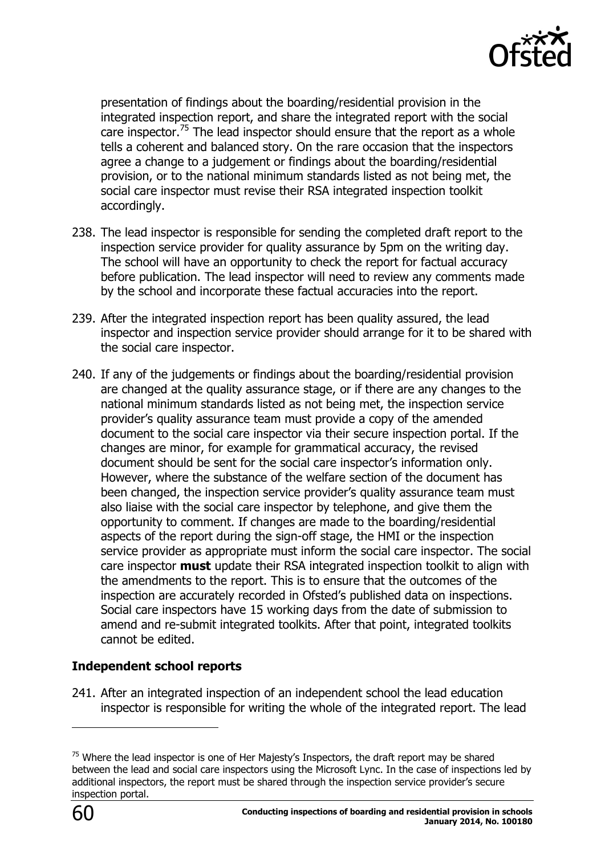

presentation of findings about the boarding/residential provision in the integrated inspection report, and share the integrated report with the social care inspector.<sup>75</sup> The lead inspector should ensure that the report as a whole tells a coherent and balanced story. On the rare occasion that the inspectors agree a change to a judgement or findings about the boarding/residential provision, or to the national minimum standards listed as not being met, the social care inspector must revise their RSA integrated inspection toolkit accordingly.

- 238. The lead inspector is responsible for sending the completed draft report to the inspection service provider for quality assurance by 5pm on the writing day. The school will have an opportunity to check the report for factual accuracy before publication. The lead inspector will need to review any comments made by the school and incorporate these factual accuracies into the report.
- 239. After the integrated inspection report has been quality assured, the lead inspector and inspection service provider should arrange for it to be shared with the social care inspector.
- 240. If any of the judgements or findings about the boarding/residential provision are changed at the quality assurance stage, or if there are any changes to the national minimum standards listed as not being met, the inspection service provider's quality assurance team must provide a copy of the amended document to the social care inspector via their secure inspection portal. If the changes are minor, for example for grammatical accuracy, the revised document should be sent for the social care inspector's information only. However, where the substance of the welfare section of the document has been changed, the inspection service provider's quality assurance team must also liaise with the social care inspector by telephone, and give them the opportunity to comment. If changes are made to the boarding/residential aspects of the report during the sign-off stage, the HMI or the inspection service provider as appropriate must inform the social care inspector. The social care inspector **must** update their RSA integrated inspection toolkit to align with the amendments to the report. This is to ensure that the outcomes of the inspection are accurately recorded in Ofsted's published data on inspections. Social care inspectors have 15 working days from the date of submission to amend and re-submit integrated toolkits. After that point, integrated toolkits cannot be edited.

#### **Independent school reports**

241. After an integrated inspection of an independent school the lead education inspector is responsible for writing the whole of the integrated report. The lead

 $75$  Where the lead inspector is one of Her Majesty's Inspectors, the draft report may be shared between the lead and social care inspectors using the Microsoft Lync. In the case of inspections led by additional inspectors, the report must be shared through the inspection service provider's secure inspection portal.

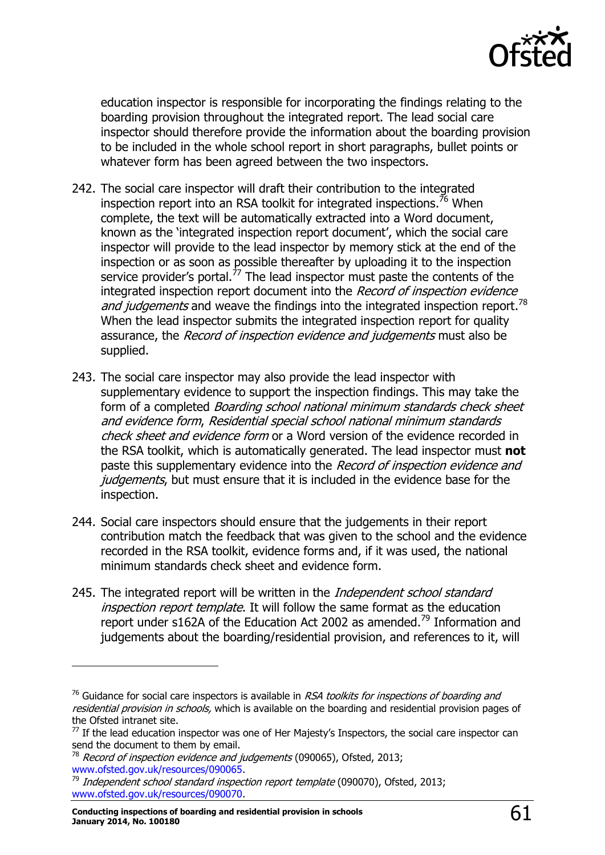

education inspector is responsible for incorporating the findings relating to the boarding provision throughout the integrated report. The lead social care inspector should therefore provide the information about the boarding provision to be included in the whole school report in short paragraphs, bullet points or whatever form has been agreed between the two inspectors.

- 242. The social care inspector will draft their contribution to the integrated inspection report into an RSA toolkit for integrated inspections.<sup>76</sup> When complete, the text will be automatically extracted into a Word document, known as the 'integrated inspection report document', which the social care inspector will provide to the lead inspector by memory stick at the end of the inspection or as soon as possible thereafter by uploading it to the inspection service provider's portal.<sup>77</sup> The lead inspector must paste the contents of the integrated inspection report document into the Record of inspection evidence and judgements and weave the findings into the integrated inspection report.<sup>78</sup> When the lead inspector submits the integrated inspection report for quality assurance, the *Record of inspection evidence and judgements* must also be supplied.
- 243. The social care inspector may also provide the lead inspector with supplementary evidence to support the inspection findings. This may take the form of a completed *Boarding school national minimum standards check sheet* and evidence form, Residential special school national minimum standards check sheet and evidence form or a Word version of the evidence recorded in the RSA toolkit, which is automatically generated. The lead inspector must **not**  paste this supplementary evidence into the Record of inspection evidence and judgements, but must ensure that it is included in the evidence base for the inspection.
- 244. Social care inspectors should ensure that the judgements in their report contribution match the feedback that was given to the school and the evidence recorded in the RSA toolkit, evidence forms and, if it was used, the national minimum standards check sheet and evidence form.
- 245. The integrated report will be written in the *Independent school standard* inspection report template. It will follow the same format as the education report under s162A of the Education Act 2002 as amended.<sup>79</sup> Information and judgements about the boarding/residential provision, and references to it, will

 $76$  Guidance for social care inspectors is available in RSA toolkits for inspections of boarding and residential provision in schools, which is available on the boarding and residential provision pages of the Ofsted intranet site.

 $77$  If the lead education inspector was one of Her Majesty's Inspectors, the social care inspector can send the document to them by email.

 $78$  Record of inspection evidence and judgements (090065), Ofsted, 2013; [www.ofsted.gov.uk/resources/090065.](http://www.ofsted.gov.uk/resources/record-of-inspection-evidence-and-judgements-roiej-for-standard-inspections-independent-schools)

<sup>&</sup>lt;sup>79</sup> Independent school standard inspection report template (090070), Ofsted, 2013; [www.ofsted.gov.uk/resources/090070.](http://www.ofsted.gov.uk/resources/report-template-standard-independent-schools)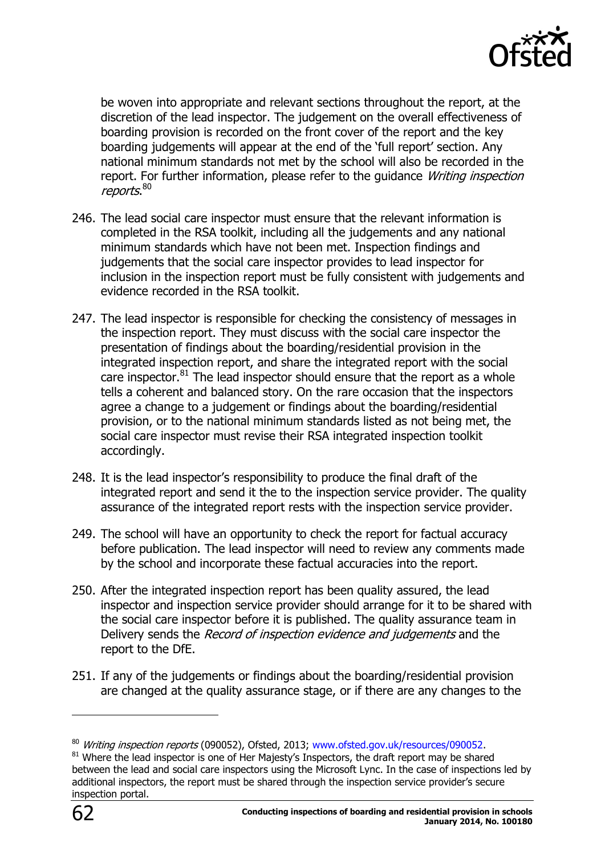

be woven into appropriate and relevant sections throughout the report, at the discretion of the lead inspector. The judgement on the overall effectiveness of boarding provision is recorded on the front cover of the report and the key boarding judgements will appear at the end of the 'full report' section. Any national minimum standards not met by the school will also be recorded in the report. For further information, please refer to the quidance *Writing inspection* reports.<sup>80</sup>

- 246. The lead social care inspector must ensure that the relevant information is completed in the RSA toolkit, including all the judgements and any national minimum standards which have not been met. Inspection findings and judgements that the social care inspector provides to lead inspector for inclusion in the inspection report must be fully consistent with judgements and evidence recorded in the RSA toolkit.
- 247. The lead inspector is responsible for checking the consistency of messages in the inspection report. They must discuss with the social care inspector the presentation of findings about the boarding/residential provision in the integrated inspection report, and share the integrated report with the social care inspector.<sup>81</sup> The lead inspector should ensure that the report as a whole tells a coherent and balanced story. On the rare occasion that the inspectors agree a change to a judgement or findings about the boarding/residential provision, or to the national minimum standards listed as not being met, the social care inspector must revise their RSA integrated inspection toolkit accordingly.
- 248. It is the lead inspector's responsibility to produce the final draft of the integrated report and send it the to the inspection service provider. The quality assurance of the integrated report rests with the inspection service provider.
- 249. The school will have an opportunity to check the report for factual accuracy before publication. The lead inspector will need to review any comments made by the school and incorporate these factual accuracies into the report.
- 250. After the integrated inspection report has been quality assured, the lead inspector and inspection service provider should arrange for it to be shared with the social care inspector before it is published. The quality assurance team in Delivery sends the *Record of inspection evidence and judgements* and the report to the DfE.
- 251. If any of the judgements or findings about the boarding/residential provision are changed at the quality assurance stage, or if there are any changes to the

<sup>&</sup>lt;sup>80</sup> Writing inspection reports (090052), Ofsted, 2013; [www.ofsted.gov.uk/resources/090052.](http://www.ofsted.gov.uk/resources/090052)

 $81$  Where the lead inspector is one of Her Majesty's Inspectors, the draft report may be shared between the lead and social care inspectors using the Microsoft Lync. In the case of inspections led by additional inspectors, the report must be shared through the inspection service provider's secure inspection portal.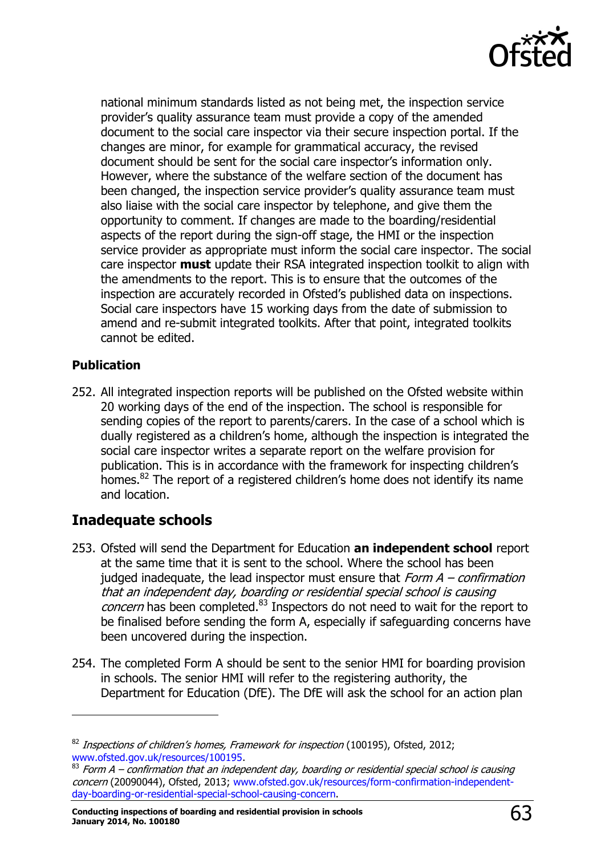

national minimum standards listed as not being met, the inspection service provider's quality assurance team must provide a copy of the amended document to the social care inspector via their secure inspection portal. If the changes are minor, for example for grammatical accuracy, the revised document should be sent for the social care inspector's information only. However, where the substance of the welfare section of the document has been changed, the inspection service provider's quality assurance team must also liaise with the social care inspector by telephone, and give them the opportunity to comment. If changes are made to the boarding/residential aspects of the report during the sign-off stage, the HMI or the inspection service provider as appropriate must inform the social care inspector. The social care inspector **must** update their RSA integrated inspection toolkit to align with the amendments to the report. This is to ensure that the outcomes of the inspection are accurately recorded in Ofsted's published data on inspections. Social care inspectors have 15 working days from the date of submission to amend and re-submit integrated toolkits. After that point, integrated toolkits cannot be edited.

#### **Publication**

j

252. All integrated inspection reports will be published on the Ofsted website within 20 working days of the end of the inspection. The school is responsible for sending copies of the report to parents/carers. In the case of a school which is dually registered as a children's home, although the inspection is integrated the social care inspector writes a separate report on the welfare provision for publication. This is in accordance with the framework for inspecting children's homes. $82$  The report of a registered children's home does not identify its name and location.

# <span id="page-62-0"></span>**Inadequate schools**

- 253. Ofsted will send the Department for Education **an independent school** report at the same time that it is sent to the school. Where the school has been judged inadequate, the lead inspector must ensure that  $Form A - confirmation$ that an independent day, boarding or residential special school is causing *concern* has been completed. $83$  Inspectors do not need to wait for the report to be finalised before sending the form A, especially if safeguarding concerns have been uncovered during the inspection.
- 254. The completed Form A should be sent to the senior HMI for boarding provision in schools. The senior HMI will refer to the registering authority, the Department for Education (DfE). The DfE will ask the school for an action plan

 $82$  Inspections of children's homes, Framework for inspection (100195), Ofsted, 2012; [www.ofsted.gov.uk/resources/100195.](http://www.ofsted.gov.uk/resources/100195)

 $83$  Form A – confirmation that an independent day, boarding or residential special school is causing concern (20090044), Ofsted, 2013; [www.ofsted.gov.uk/resources/form-confirmation-independent](http://www.ofsted.gov.uk/resources/form-confirmation-independent-day-boarding-or-residential-special-school-causing-concern)[day-boarding-or-residential-special-school-causing-concern.](http://www.ofsted.gov.uk/resources/form-confirmation-independent-day-boarding-or-residential-special-school-causing-concern)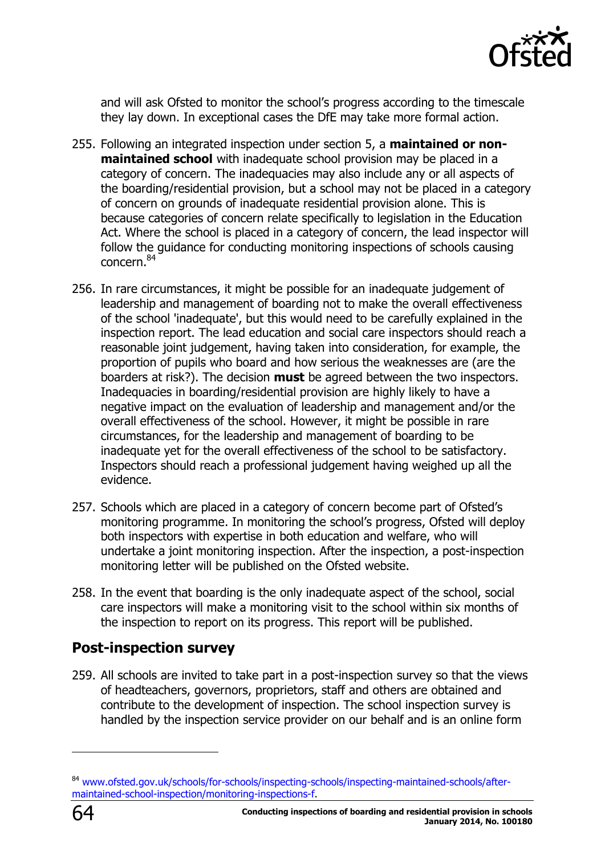

and will ask Ofsted to monitor the school's progress according to the timescale they lay down. In exceptional cases the DfE may take more formal action.

- 255. Following an integrated inspection under section 5, a **maintained or nonmaintained school** with inadequate school provision may be placed in a category of concern. The inadequacies may also include any or all aspects of the boarding/residential provision, but a school may not be placed in a category of concern on grounds of inadequate residential provision alone. This is because categories of concern relate specifically to legislation in the Education Act. Where the school is placed in a category of concern, the lead inspector will follow the guidance for conducting monitoring inspections of schools causing concern. 84
- 256. In rare circumstances, it might be possible for an inadequate judgement of leadership and management of boarding not to make the overall effectiveness of the school 'inadequate', but this would need to be carefully explained in the inspection report. The lead education and social care inspectors should reach a reasonable joint judgement, having taken into consideration, for example, the proportion of pupils who board and how serious the weaknesses are (are the boarders at risk?). The decision **must** be agreed between the two inspectors. Inadequacies in boarding/residential provision are highly likely to have a negative impact on the evaluation of leadership and management and/or the overall effectiveness of the school. However, it might be possible in rare circumstances, for the leadership and management of boarding to be inadequate yet for the overall effectiveness of the school to be satisfactory. Inspectors should reach a professional judgement having weighed up all the evidence.
- 257. Schools which are placed in a category of concern become part of Ofsted's monitoring programme. In monitoring the school's progress, Ofsted will deploy both inspectors with expertise in both education and welfare, who will undertake a joint monitoring inspection. After the inspection, a post-inspection monitoring letter will be published on the Ofsted website.
- 258. In the event that boarding is the only inadequate aspect of the school, social care inspectors will make a monitoring visit to the school within six months of the inspection to report on its progress. This report will be published.

## <span id="page-63-0"></span>**Post-inspection survey**

259. All schools are invited to take part in a post-inspection survey so that the views of headteachers, governors, proprietors, staff and others are obtained and contribute to the development of inspection. The school inspection survey is handled by the inspection service provider on our behalf and is an online form

-

<sup>&</sup>lt;sup>84</sup> [www.ofsted.gov.uk/schools/for-schools/inspecting-schools/inspecting-maintained-schools/after](http://www.ofsted.gov.uk/schools/for-schools/inspecting-schools/inspecting-maintained-schools/after-maintained-school-inspection/monitoring-inspections-f)[maintained-school-inspection/monitoring-inspections-f.](http://www.ofsted.gov.uk/schools/for-schools/inspecting-schools/inspecting-maintained-schools/after-maintained-school-inspection/monitoring-inspections-f)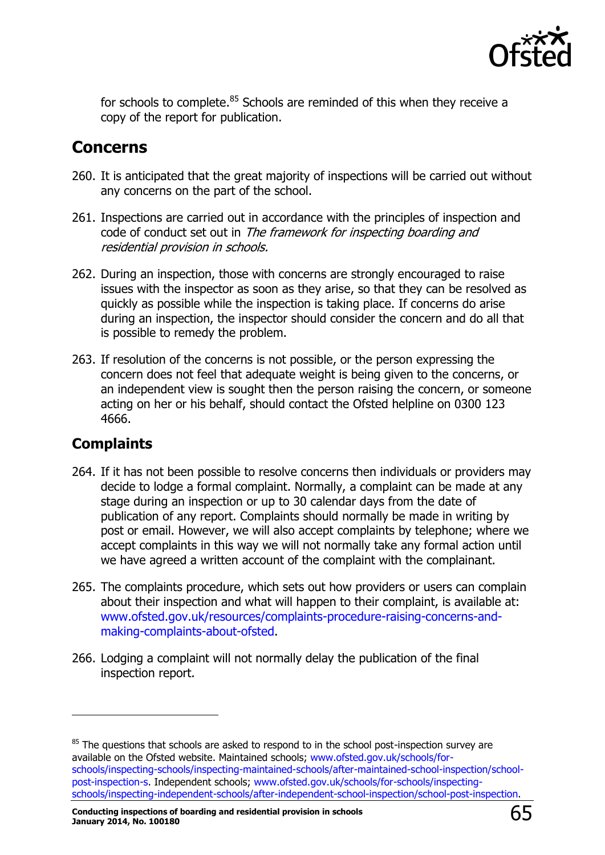

for schools to complete.<sup>85</sup> Schools are reminded of this when they receive a copy of the report for publication.

# <span id="page-64-0"></span>**Concerns**

- 260. It is anticipated that the great majority of inspections will be carried out without any concerns on the part of the school.
- 261. Inspections are carried out in accordance with the principles of inspection and code of conduct set out in The framework for inspecting boarding and residential provision in schools.
- 262. During an inspection, those with concerns are strongly encouraged to raise issues with the inspector as soon as they arise, so that they can be resolved as quickly as possible while the inspection is taking place. If concerns do arise during an inspection, the inspector should consider the concern and do all that is possible to remedy the problem.
- 263. If resolution of the concerns is not possible, or the person expressing the concern does not feel that adequate weight is being given to the concerns, or an independent view is sought then the person raising the concern, or someone acting on her or his behalf, should contact the Ofsted helpline on 0300 123 4666.

# <span id="page-64-1"></span>**Complaints**

- 264. If it has not been possible to resolve concerns then individuals or providers may decide to lodge a formal complaint. Normally, a complaint can be made at any stage during an inspection or up to 30 calendar days from the date of publication of any report. Complaints should normally be made in writing by post or email. However, we will also accept complaints by telephone; where we accept complaints in this way we will not normally take any formal action until we have agreed a written account of the complaint with the complainant.
- 265. The complaints procedure, which sets out how providers or users can complain about their inspection and what will happen to their complaint, is available at: [www.ofsted.gov.uk/resources/complaints-procedure-raising-concerns-and](http://www.ofsted.gov.uk/resources/complaints-procedure-raising-concerns-and-making-complaints-about-ofsted)[making-complaints-about-ofsted.](http://www.ofsted.gov.uk/resources/complaints-procedure-raising-concerns-and-making-complaints-about-ofsted)
- 266. Lodging a complaint will not normally delay the publication of the final inspection report.

 $85$  The questions that schools are asked to respond to in the school post-inspection survey are available on the Ofsted website. Maintained schools; [www.ofsted.gov.uk/schools/for](http://www.ofsted.gov.uk/schools/for-schools/inspecting-schools/inspecting-maintained-schools/after-maintained-school-inspection/school-post-inspection-s)[schools/inspecting-schools/inspecting-maintained-schools/after-maintained-school-inspection/school](http://www.ofsted.gov.uk/schools/for-schools/inspecting-schools/inspecting-maintained-schools/after-maintained-school-inspection/school-post-inspection-s)[post-inspection-s.](http://www.ofsted.gov.uk/schools/for-schools/inspecting-schools/inspecting-maintained-schools/after-maintained-school-inspection/school-post-inspection-s) Independent schools; [www.ofsted.gov.uk/schools/for-schools/inspecting](http://www.ofsted.gov.uk/schools/for-schools/inspecting-schools/inspecting-independent-schools/after-independent-school-inspection/school-post-inspection)[schools/inspecting-independent-schools/after-independent-school-inspection/school-post-inspection.](http://www.ofsted.gov.uk/schools/for-schools/inspecting-schools/inspecting-independent-schools/after-independent-school-inspection/school-post-inspection)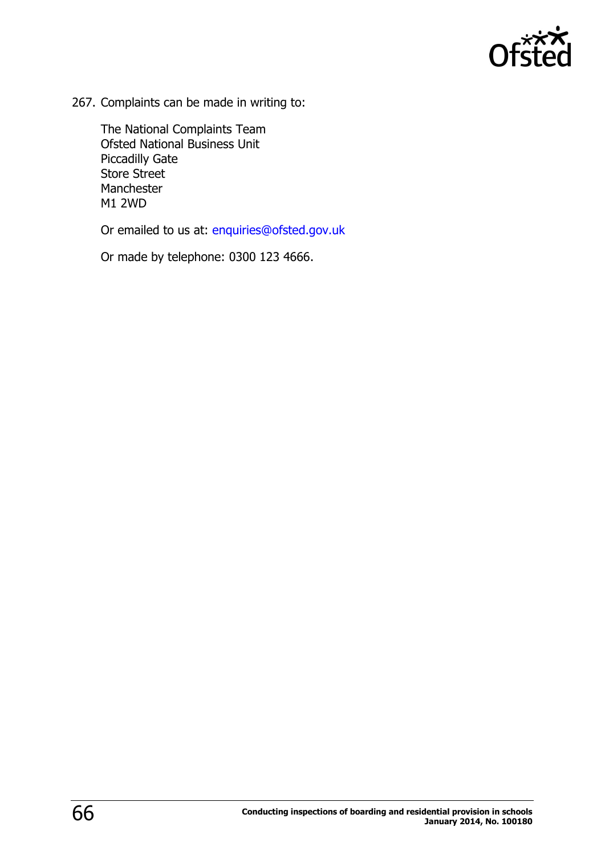

267. Complaints can be made in writing to:

The National Complaints Team Ofsted National Business Unit Piccadilly Gate Store Street Manchester M1 2WD

Or emailed to us at: [enquiries@ofsted.gov.uk](mailto:enquiries@ofsted.gov.uk)

Or made by telephone: 0300 123 4666.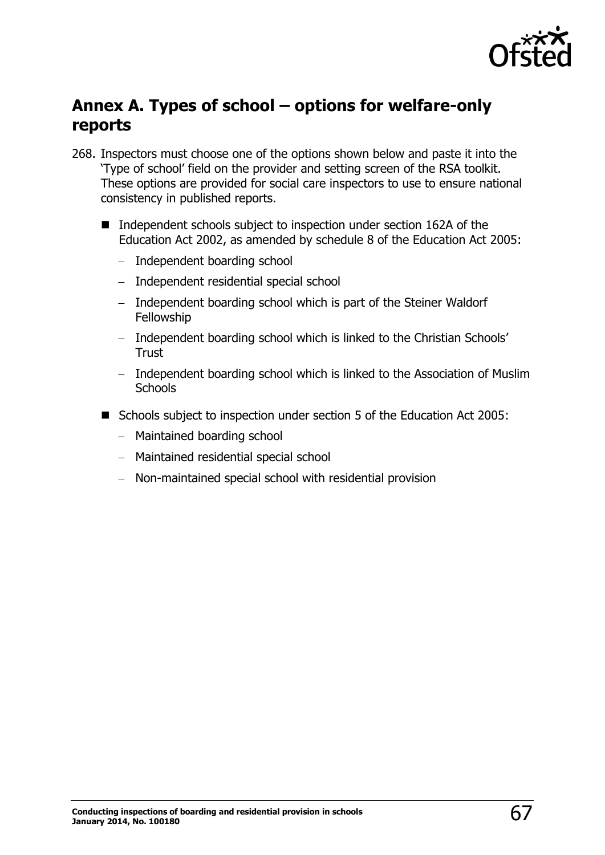

# <span id="page-66-0"></span>**Annex A. Types of school – options for welfare-only reports**

- 268. Inspectors must choose one of the options shown below and paste it into the 'Type of school' field on the provider and setting screen of the RSA toolkit. These options are provided for social care inspectors to use to ensure national consistency in published reports.
	- $\blacksquare$  Independent schools subject to inspection under section 162A of the Education Act 2002, as amended by schedule 8 of the Education Act 2005:
		- Independent boarding school
		- Independent residential special school
		- Independent boarding school which is part of the Steiner Waldorf Fellowship
		- Independent boarding school which is linked to the Christian Schools' **Trust**
		- Independent boarding school which is linked to the Association of Muslim **Schools**
	- Schools subject to inspection under section 5 of the Education Act 2005:
		- Maintained boarding school
		- Maintained residential special school
		- Non-maintained special school with residential provision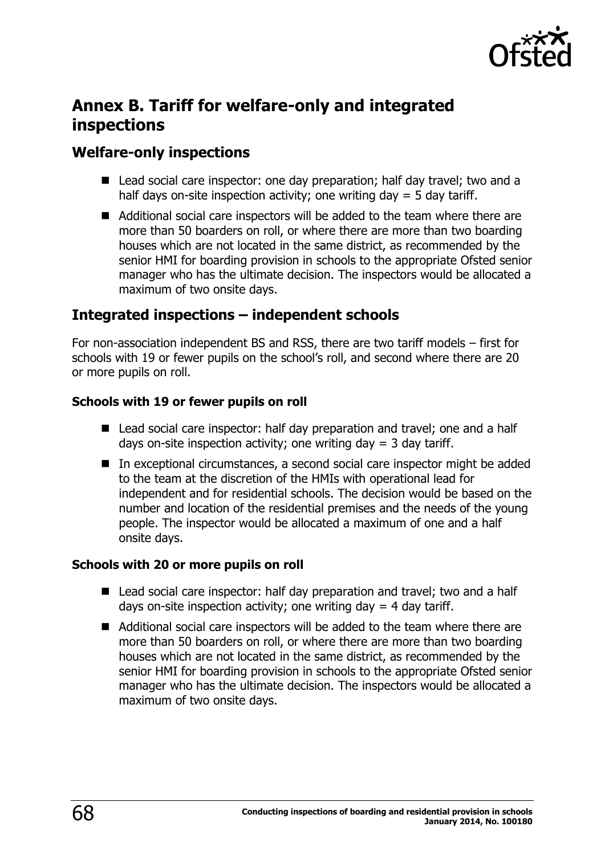

# <span id="page-67-0"></span>**Annex B. Tariff for welfare-only and integrated inspections**

# <span id="page-67-1"></span>**Welfare-only inspections**

- Lead social care inspector: one day preparation; half day travel; two and a half days on-site inspection activity; one writing day  $=$  5 day tariff.
- Additional social care inspectors will be added to the team where there are more than 50 boarders on roll, or where there are more than two boarding houses which are not located in the same district, as recommended by the senior HMI for boarding provision in schools to the appropriate Ofsted senior manager who has the ultimate decision. The inspectors would be allocated a maximum of two onsite days.

# <span id="page-67-2"></span>**Integrated inspections – independent schools**

For non-association independent BS and RSS, there are two tariff models – first for schools with 19 or fewer pupils on the school's roll, and second where there are 20 or more pupils on roll.

#### **Schools with 19 or fewer pupils on roll**

- Lead social care inspector: half day preparation and travel; one and a half days on-site inspection activity; one writing day  $=$  3 day tariff.
- In exceptional circumstances, a second social care inspector might be added to the team at the discretion of the HMIs with operational lead for independent and for residential schools. The decision would be based on the number and location of the residential premises and the needs of the young people. The inspector would be allocated a maximum of one and a half onsite days.

#### **Schools with 20 or more pupils on roll**

- Lead social care inspector: half day preparation and travel; two and a half days on-site inspection activity; one writing day  $=$  4 day tariff.
- Additional social care inspectors will be added to the team where there are more than 50 boarders on roll, or where there are more than two boarding houses which are not located in the same district, as recommended by the senior HMI for boarding provision in schools to the appropriate Ofsted senior manager who has the ultimate decision. The inspectors would be allocated a maximum of two onsite days.